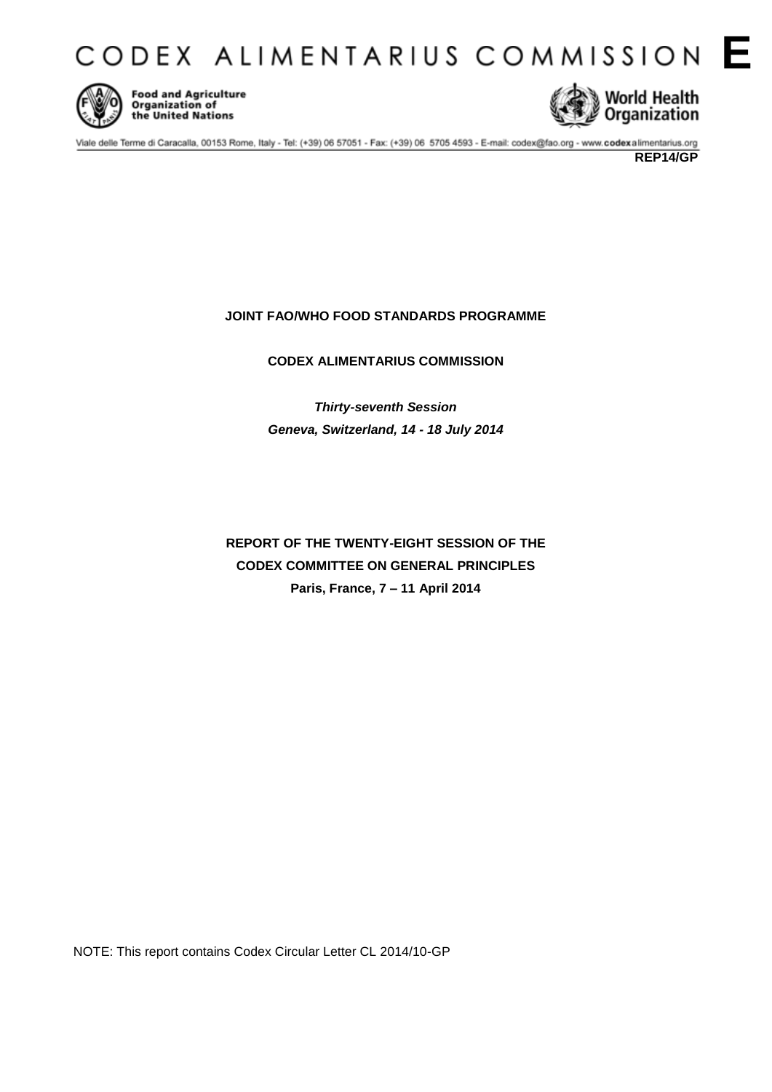CODEX ALIMENTARIUS COMMISSION E



**Food and Agriculture** Organization of the United Nations



Viale delle Terme di Caracalla, 00153 Rome, Italy - Tel: (+39) 06 57051 - Fax: (+39) 06 5705 4593 - E-mail: codex@fao.org - www.codexalimentarius.org

# **JOINT FAO/WHO FOOD STANDARDS PROGRAMME**

# **CODEX ALIMENTARIUS COMMISSION**

*Thirty-seventh Session Geneva, Switzerland, 14 - 18 July 2014*

**REPORT OF THE TWENTY-EIGHT SESSION OF THE CODEX COMMITTEE ON GENERAL PRINCIPLES Paris, France, 7 – 11 April 2014**

NOTE: This report contains Codex Circular Letter CL 2014/10-GP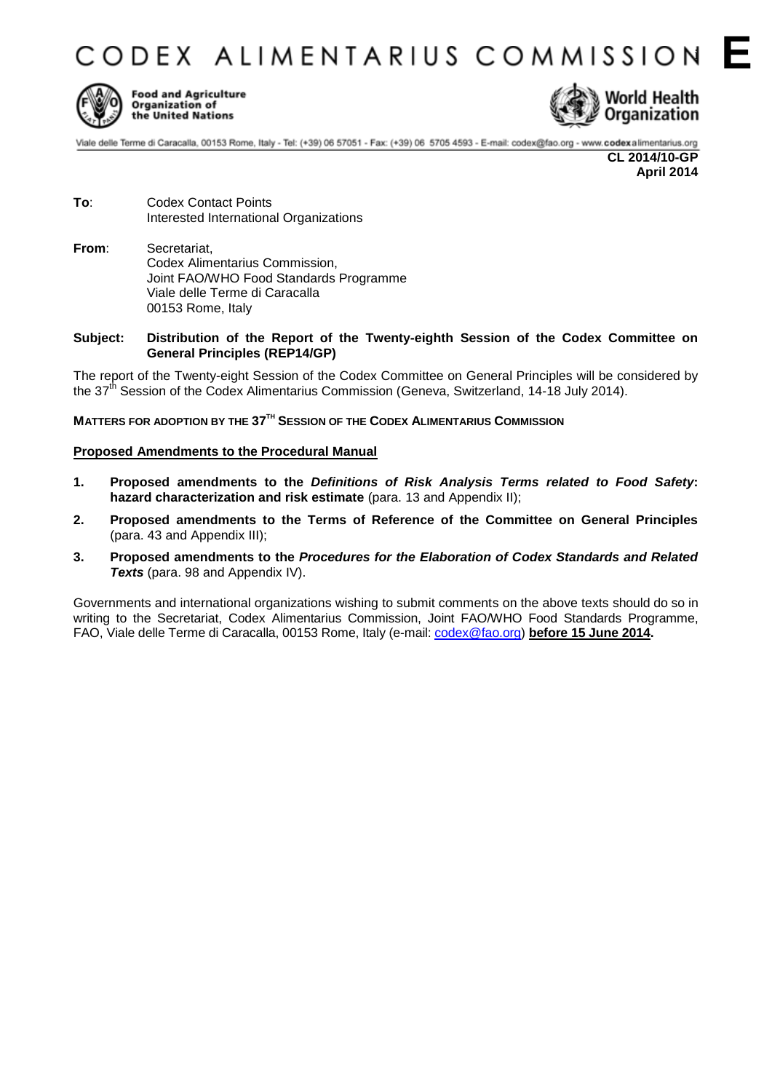**CODEX ALIMENTARIUS COMMISSION** 



**Food and Agriculture** Organization of the United Nations



Viale delle Terme di Caracalla, 00153 Rome, Italy - Tel: (+39) 06 57051 - Fax: (+39) 06 5705 4593 - E-mail: codex@fao.org - www.codexalimentarius.org

**CL 2014/10-GP April 2014**

- **To**: Codex Contact Points Interested International Organizations
- **From**: Secretariat, Codex Alimentarius Commission, Joint FAO/WHO Food Standards Programme Viale delle Terme di Caracalla 00153 Rome, Italy
- **Subject: Distribution of the Report of the Twenty-eighth Session of the Codex Committee on General Principles (REP14/GP)**

The report of the Twenty-eight Session of the Codex Committee on General Principles will be considered by the 37<sup>th</sup> Session of the Codex Alimentarius Commission (Geneva, Switzerland, 14-18 July 2014).

## **MATTERS FOR ADOPTION BY THE 37 TH SESSION OF THE CODEX ALIMENTARIUS COMMISSION**

## **Proposed Amendments to the Procedural Manual**

- **1. Proposed amendments to the** *Definitions of Risk Analysis Terms related to Food Safety***: hazard characterization and risk estimate** (para. 13 and Appendix II);
- **2. Proposed amendments to the Terms of Reference of the Committee on General Principles** (para. 43 and Appendix III);
- **3. Proposed amendments to the** *Procedures for the Elaboration of Codex Standards and Related*  **Texts** (para. 98 and Appendix IV).

Governments and international organizations wishing to submit comments on the above texts should do so in writing to the Secretariat, Codex Alimentarius Commission, Joint FAO/WHO Food Standards Programme, FAO, Viale delle Terme di Caracalla, 00153 Rome, Italy (e-mail: [codex@fao.org\)](mailto:codex@fao.org) **before 15 June 2014.**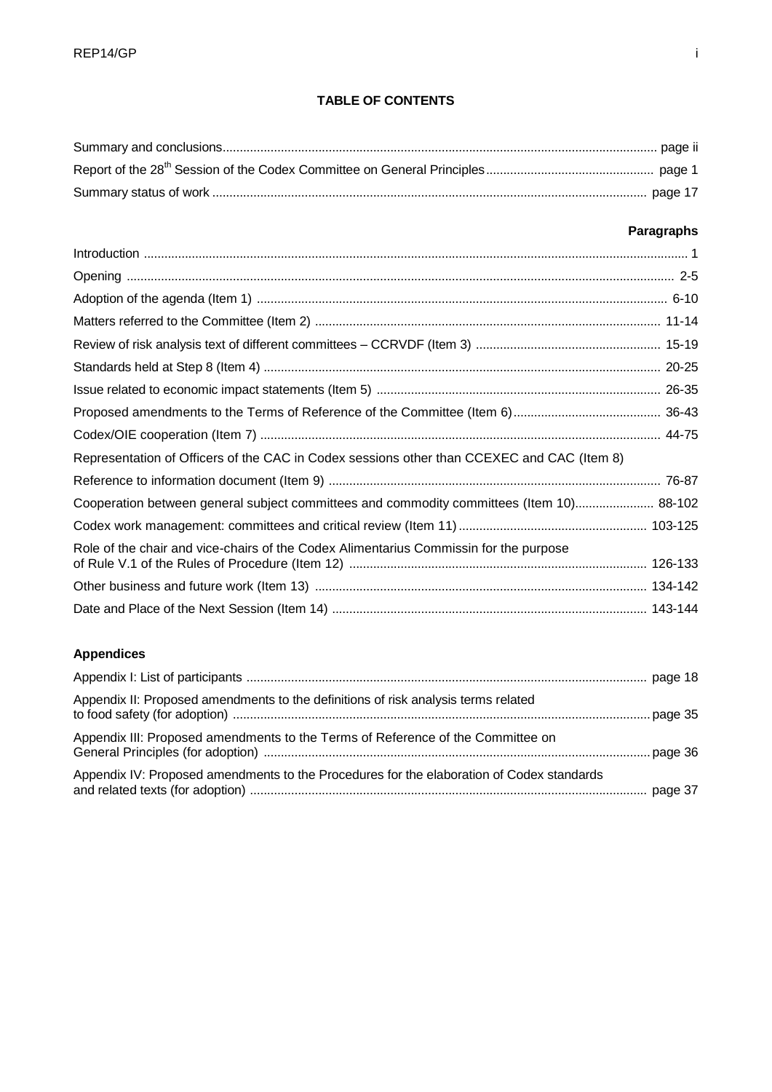# **TABLE OF CONTENTS**

# **Paragraphs**

| Representation of Officers of the CAC in Codex sessions other than CCEXEC and CAC (Item 8) |  |
|--------------------------------------------------------------------------------------------|--|
|                                                                                            |  |
| Cooperation between general subject committees and commodity committees (Item 10) 88-102   |  |
|                                                                                            |  |
| Role of the chair and vice-chairs of the Codex Alimentarius Commissin for the purpose      |  |
|                                                                                            |  |
|                                                                                            |  |

# **Appendices**

| Appendix II: Proposed amendments to the definitions of risk analysis terms related        |  |
|-------------------------------------------------------------------------------------------|--|
| Appendix III: Proposed amendments to the Terms of Reference of the Committee on           |  |
| Appendix IV: Proposed amendments to the Procedures for the elaboration of Codex standards |  |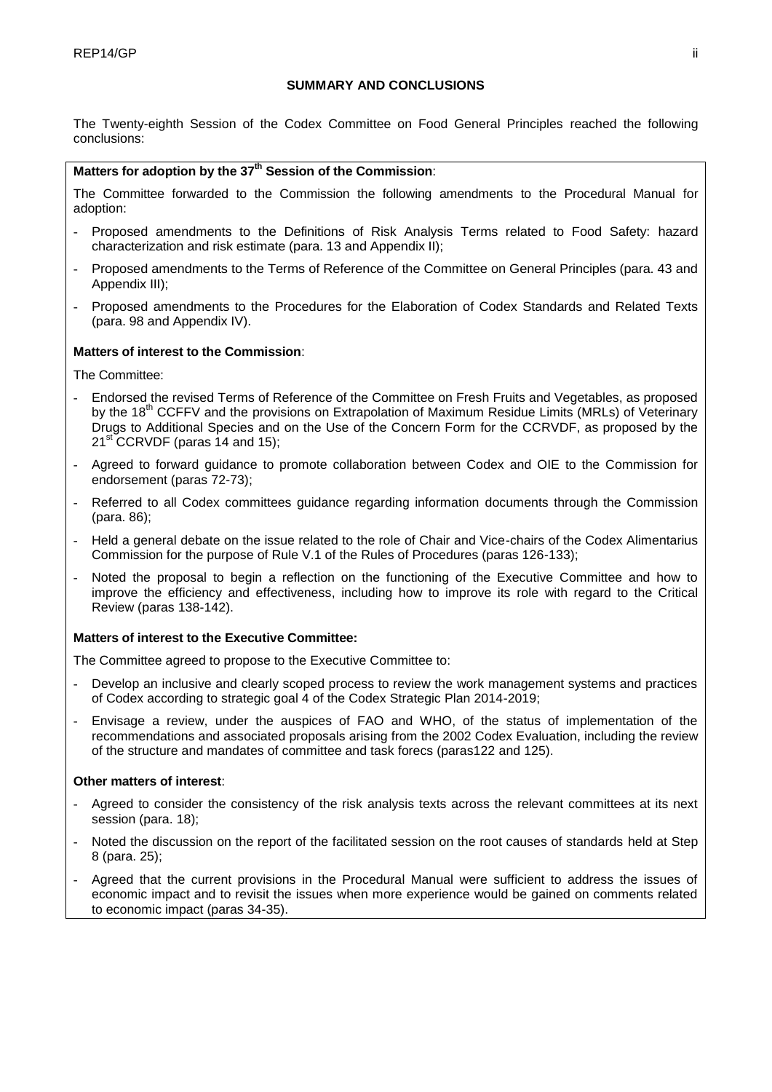# **SUMMARY AND CONCLUSIONS**

The Twenty-eighth Session of the Codex Committee on Food General Principles reached the following conclusions:

# **Matters for adoption by the 37th Session of the Commission**:

The Committee forwarded to the Commission the following amendments to the Procedural Manual for adoption:

- Proposed amendments to the Definitions of Risk Analysis Terms related to Food Safety: hazard characterization and risk estimate (para. 13 and Appendix II);
- Proposed amendments to the Terms of Reference of the Committee on General Principles (para. 43 and Appendix III);
- Proposed amendments to the Procedures for the Elaboration of Codex Standards and Related Texts (para. 98 and Appendix IV).

# **Matters of interest to the Commission**:

The Committee:

- Endorsed the revised Terms of Reference of the Committee on Fresh Fruits and Vegetables, as proposed by the 18<sup>th</sup> CCFFV and the provisions on Extrapolation of Maximum Residue Limits (MRLs) of Veterinary Drugs to Additional Species and on the Use of the Concern Form for the CCRVDF, as proposed by the 21<sup>st</sup> CCRVDF (paras 14 and 15);
- Agreed to forward guidance to promote collaboration between Codex and OIE to the Commission for endorsement (paras 72-73);
- Referred to all Codex committees guidance regarding information documents through the Commission (para. 86);
- Held a general debate on the issue related to the role of Chair and Vice-chairs of the Codex Alimentarius Commission for the purpose of Rule V.1 of the Rules of Procedures (paras 126-133);
- Noted the proposal to begin a reflection on the functioning of the Executive Committee and how to improve the efficiency and effectiveness, including how to improve its role with regard to the Critical Review (paras 138-142).

# **Matters of interest to the Executive Committee:**

The Committee agreed to propose to the Executive Committee to:

- Develop an inclusive and clearly scoped process to review the work management systems and practices of Codex according to strategic goal 4 of the Codex Strategic Plan 2014-2019;
- Envisage a review, under the auspices of FAO and WHO, of the status of implementation of the recommendations and associated proposals arising from the 2002 Codex Evaluation, including the review of the structure and mandates of committee and task forecs (paras122 and 125).

# **Other matters of interest**:

- Agreed to consider the consistency of the risk analysis texts across the relevant committees at its next session (para. 18);
- Noted the discussion on the report of the facilitated session on the root causes of standards held at Step 8 (para. 25);
- Agreed that the current provisions in the Procedural Manual were sufficient to address the issues of economic impact and to revisit the issues when more experience would be gained on comments related to economic impact (paras 34-35).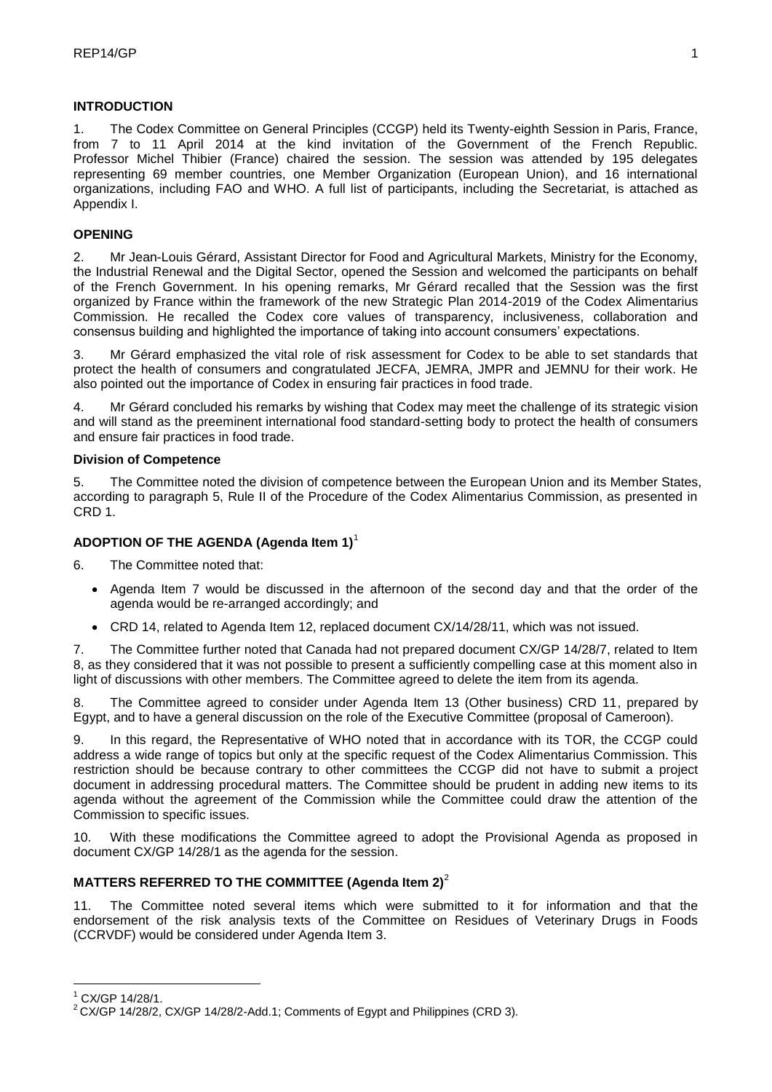# **INTRODUCTION**

1. The Codex Committee on General Principles (CCGP) held its Twenty-eighth Session in Paris, France, from 7 to 11 April 2014 at the kind invitation of the Government of the French Republic. Professor Michel Thibier (France) chaired the session. The session was attended by 195 delegates representing 69 member countries, one Member Organization (European Union), and 16 international organizations, including FAO and WHO. A full list of participants, including the Secretariat, is attached as Appendix I.

# **OPENING**

2. Mr Jean-Louis Gérard, Assistant Director for Food and Agricultural Markets, Ministry for the Economy, the Industrial Renewal and the Digital Sector, opened the Session and welcomed the participants on behalf of the French Government. In his opening remarks, Mr Gérard recalled that the Session was the first organized by France within the framework of the new Strategic Plan 2014-2019 of the Codex Alimentarius Commission. He recalled the Codex core values of transparency, inclusiveness, collaboration and consensus building and highlighted the importance of taking into account consumers' expectations.

3. Mr Gérard emphasized the vital role of risk assessment for Codex to be able to set standards that protect the health of consumers and congratulated JECFA, JEMRA, JMPR and JEMNU for their work. He also pointed out the importance of Codex in ensuring fair practices in food trade.

4. Mr Gérard concluded his remarks by wishing that Codex may meet the challenge of its strategic vision and will stand as the preeminent international food standard-setting body to protect the health of consumers and ensure fair practices in food trade.

## **Division of Competence**

5. The Committee noted the division of competence between the European Union and its Member States, according to paragraph 5, Rule II of the Procedure of the Codex Alimentarius Commission, as presented in CRD 1.

# **ADOPTION OF THE AGENDA (Agenda Item 1)**<sup>1</sup>

6. The Committee noted that:

- Agenda Item 7 would be discussed in the afternoon of the second day and that the order of the agenda would be re-arranged accordingly; and
- CRD 14, related to Agenda Item 12, replaced document CX/14/28/11, which was not issued.

7. The Committee further noted that Canada had not prepared document CX/GP 14/28/7, related to Item 8, as they considered that it was not possible to present a sufficiently compelling case at this moment also in light of discussions with other members. The Committee agreed to delete the item from its agenda.

8. The Committee agreed to consider under Agenda Item 13 (Other business) CRD 11, prepared by Egypt, and to have a general discussion on the role of the Executive Committee (proposal of Cameroon).

9. In this regard, the Representative of WHO noted that in accordance with its TOR, the CCGP could address a wide range of topics but only at the specific request of the Codex Alimentarius Commission. This restriction should be because contrary to other committees the CCGP did not have to submit a project document in addressing procedural matters. The Committee should be prudent in adding new items to its agenda without the agreement of the Commission while the Committee could draw the attention of the Commission to specific issues.

10. With these modifications the Committee agreed to adopt the Provisional Agenda as proposed in document CX/GP 14/28/1 as the agenda for the session.

# **MATTERS REFERRED TO THE COMMITTEE (Agenda Item 2)**<sup>2</sup>

11. The Committee noted several items which were submitted to it for information and that the endorsement of the risk analysis texts of the Committee on Residues of Veterinary Drugs in Foods (CCRVDF) would be considered under Agenda Item 3.

<u>.</u>

 $1$  CX/GP 14/28/1.

<sup>&</sup>lt;sup>2</sup> CX/GP 14/28/2, CX/GP 14/28/2-Add.1; Comments of Egypt and Philippines (CRD 3).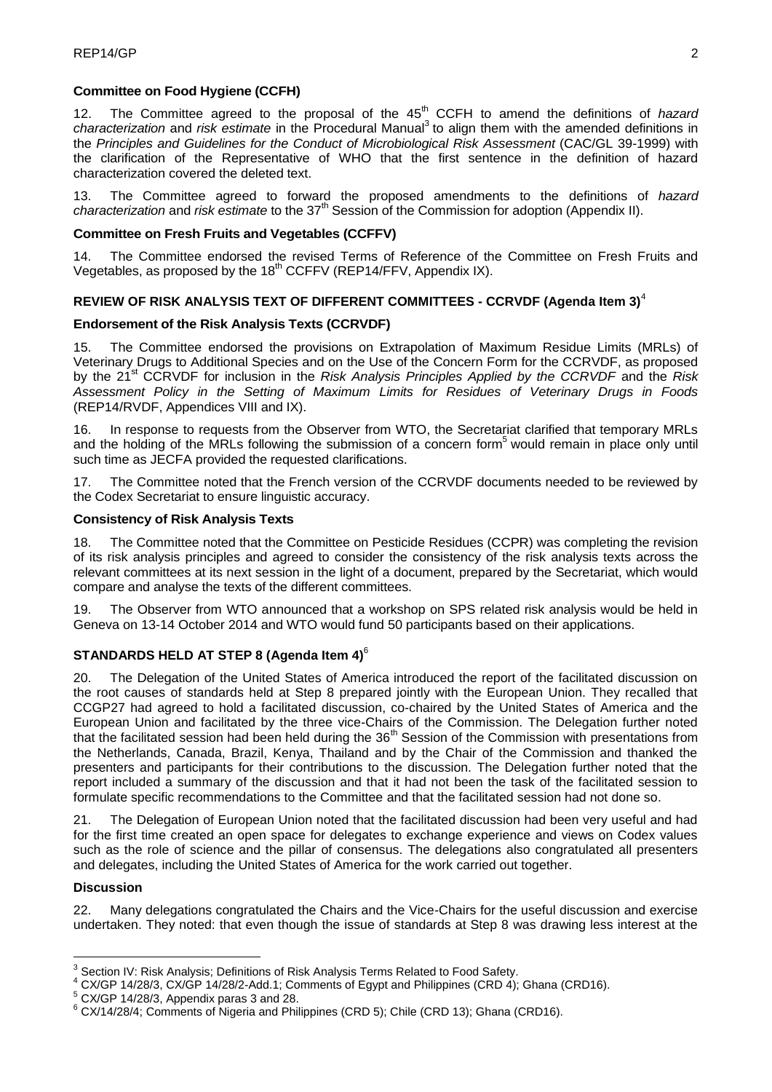# **Committee on Food Hygiene (CCFH)**

12. The Committee agreed to the proposal of the 45<sup>th</sup> CCFH to amend the definitions of *hazard* characterization and risk estimate in the Procedural Manual<sup>3</sup> to align them with the amended definitions in the *Principles and Guidelines for the Conduct of Microbiological Risk Assessment* (CAC/GL 39-1999) with the clarification of the Representative of WHO that the first sentence in the definition of hazard characterization covered the deleted text.

13. The Committee agreed to forward the proposed amendments to the definitions of *hazard* characterization and risk estimate to the 37<sup>th</sup> Session of the Commission for adoption (Appendix II).

# **Committee on Fresh Fruits and Vegetables (CCFFV)**

14. The Committee endorsed the revised Terms of Reference of the Committee on Fresh Fruits and Vegetables, as proposed by the 18<sup>th</sup> CCFFV (REP14/FFV, Appendix IX).

# **REVIEW OF RISK ANALYSIS TEXT OF DIFFERENT COMMITTEES - CCRVDF (Agenda Item 3)**<sup>4</sup>

# **Endorsement of the Risk Analysis Texts (CCRVDF)**

15. The Committee endorsed the provisions on Extrapolation of Maximum Residue Limits (MRLs) of Veterinary Drugs to Additional Species and on the Use of the Concern Form for the CCRVDF, as proposed by the 21st CCRVDF for inclusion in the *Risk Analysis Principles Applied by the CCRVDF* and the *Risk Assessment Policy in the Setting of Maximum Limits for Residues of Veterinary Drugs in Foods*  (REP14/RVDF, Appendices VIII and IX).

In response to requests from the Observer from WTO, the Secretariat clarified that temporary MRLs and the holding of the MRLs following the submission of a concern form<sup>5</sup> would remain in place only until such time as JECFA provided the requested clarifications.

17. The Committee noted that the French version of the CCRVDF documents needed to be reviewed by the Codex Secretariat to ensure linguistic accuracy.

## **Consistency of Risk Analysis Texts**

18. The Committee noted that the Committee on Pesticide Residues (CCPR) was completing the revision of its risk analysis principles and agreed to consider the consistency of the risk analysis texts across the relevant committees at its next session in the light of a document, prepared by the Secretariat, which would compare and analyse the texts of the different committees.

19. The Observer from WTO announced that a workshop on SPS related risk analysis would be held in Geneva on 13-14 October 2014 and WTO would fund 50 participants based on their applications.

# **STANDARDS HELD AT STEP 8 (Agenda Item 4)**<sup>6</sup>

20. The Delegation of the United States of America introduced the report of the facilitated discussion on the root causes of standards held at Step 8 prepared jointly with the European Union. They recalled that CCGP27 had agreed to hold a facilitated discussion, co-chaired by the United States of America and the European Union and facilitated by the three vice-Chairs of the Commission. The Delegation further noted that the facilitated session had been held during the 36<sup>th</sup> Session of the Commission with presentations from the Netherlands, Canada, Brazil, Kenya, Thailand and by the Chair of the Commission and thanked the presenters and participants for their contributions to the discussion. The Delegation further noted that the report included a summary of the discussion and that it had not been the task of the facilitated session to formulate specific recommendations to the Committee and that the facilitated session had not done so.

21. The Delegation of European Union noted that the facilitated discussion had been very useful and had for the first time created an open space for delegates to exchange experience and views on Codex values such as the role of science and the pillar of consensus. The delegations also congratulated all presenters and delegates, including the United States of America for the work carried out together.

## **Discussion**

1

22. Many delegations congratulated the Chairs and the Vice-Chairs for the useful discussion and exercise undertaken. They noted: that even though the issue of standards at Step 8 was drawing less interest at the

 $3$  Section IV: Risk Analysis; Definitions of Risk Analysis Terms Related to Food Safety.

<sup>4</sup> CX/GP 14/28/3, CX/GP 14/28/2-Add.1; Comments of Egypt and Philippines (CRD 4); Ghana (CRD16).

<sup>5</sup> CX/GP 14/28/3, Appendix paras 3 and 28.

<sup>&</sup>lt;sup>6</sup> CX/14/28/4; Comments of Nigeria and Philippines (CRD 5); Chile (CRD 13); Ghana (CRD16).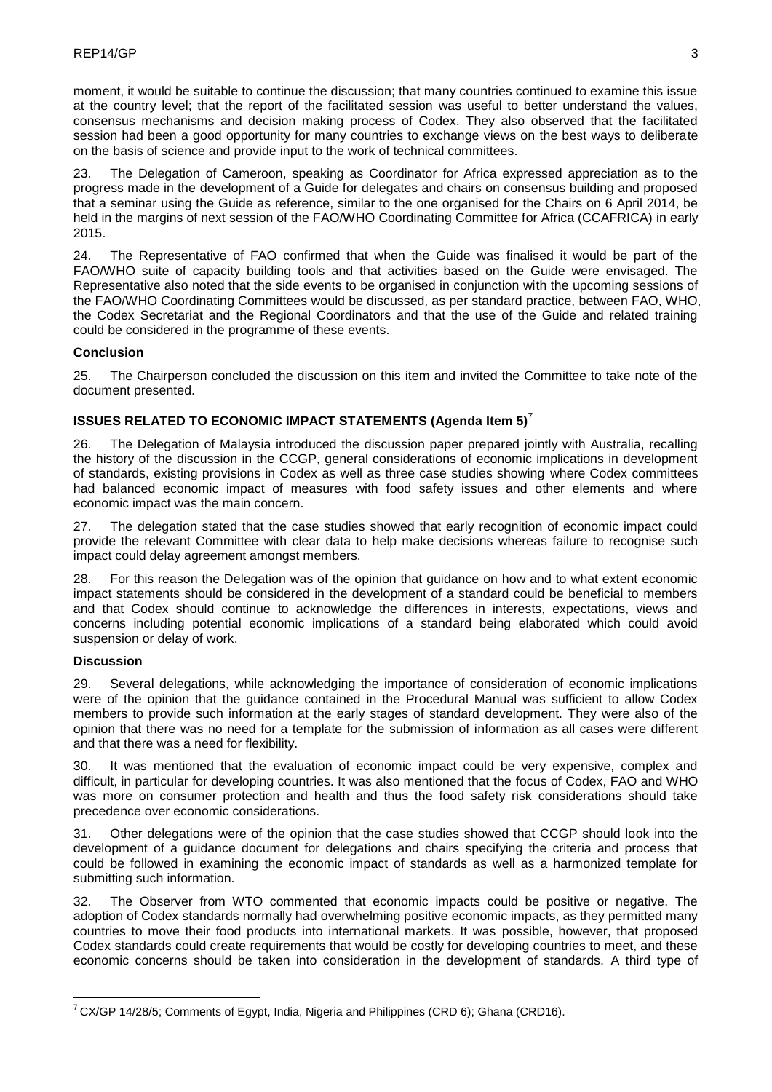moment, it would be suitable to continue the discussion; that many countries continued to examine this issue at the country level; that the report of the facilitated session was useful to better understand the values, consensus mechanisms and decision making process of Codex. They also observed that the facilitated session had been a good opportunity for many countries to exchange views on the best ways to deliberate on the basis of science and provide input to the work of technical committees.

23. The Delegation of Cameroon, speaking as Coordinator for Africa expressed appreciation as to the progress made in the development of a Guide for delegates and chairs on consensus building and proposed that a seminar using the Guide as reference, similar to the one organised for the Chairs on 6 April 2014, be held in the margins of next session of the FAO/WHO Coordinating Committee for Africa (CCAFRICA) in early 2015.

24. The Representative of FAO confirmed that when the Guide was finalised it would be part of the FAO/WHO suite of capacity building tools and that activities based on the Guide were envisaged. The Representative also noted that the side events to be organised in conjunction with the upcoming sessions of the FAO/WHO Coordinating Committees would be discussed, as per standard practice, between FAO, WHO, the Codex Secretariat and the Regional Coordinators and that the use of the Guide and related training could be considered in the programme of these events.

## **Conclusion**

25. The Chairperson concluded the discussion on this item and invited the Committee to take note of the document presented.

# **ISSUES RELATED TO ECONOMIC IMPACT STATEMENTS (Agenda Item 5)**<sup>7</sup>

26. The Delegation of Malaysia introduced the discussion paper prepared jointly with Australia, recalling the history of the discussion in the CCGP, general considerations of economic implications in development of standards, existing provisions in Codex as well as three case studies showing where Codex committees had balanced economic impact of measures with food safety issues and other elements and where economic impact was the main concern.

27. The delegation stated that the case studies showed that early recognition of economic impact could provide the relevant Committee with clear data to help make decisions whereas failure to recognise such impact could delay agreement amongst members.

For this reason the Delegation was of the opinion that guidance on how and to what extent economic impact statements should be considered in the development of a standard could be beneficial to members and that Codex should continue to acknowledge the differences in interests, expectations, views and concerns including potential economic implications of a standard being elaborated which could avoid suspension or delay of work.

## **Discussion**

1

29. Several delegations, while acknowledging the importance of consideration of economic implications were of the opinion that the guidance contained in the Procedural Manual was sufficient to allow Codex members to provide such information at the early stages of standard development. They were also of the opinion that there was no need for a template for the submission of information as all cases were different and that there was a need for flexibility.

30. It was mentioned that the evaluation of economic impact could be very expensive, complex and difficult, in particular for developing countries. It was also mentioned that the focus of Codex, FAO and WHO was more on consumer protection and health and thus the food safety risk considerations should take precedence over economic considerations.

31. Other delegations were of the opinion that the case studies showed that CCGP should look into the development of a guidance document for delegations and chairs specifying the criteria and process that could be followed in examining the economic impact of standards as well as a harmonized template for submitting such information.

32. The Observer from WTO commented that economic impacts could be positive or negative. The adoption of Codex standards normally had overwhelming positive economic impacts, as they permitted many countries to move their food products into international markets. It was possible, however, that proposed Codex standards could create requirements that would be costly for developing countries to meet, and these economic concerns should be taken into consideration in the development of standards. A third type of

<sup>7</sup> CX/GP 14/28/5; Comments of Egypt, India, Nigeria and Philippines (CRD 6); Ghana (CRD16).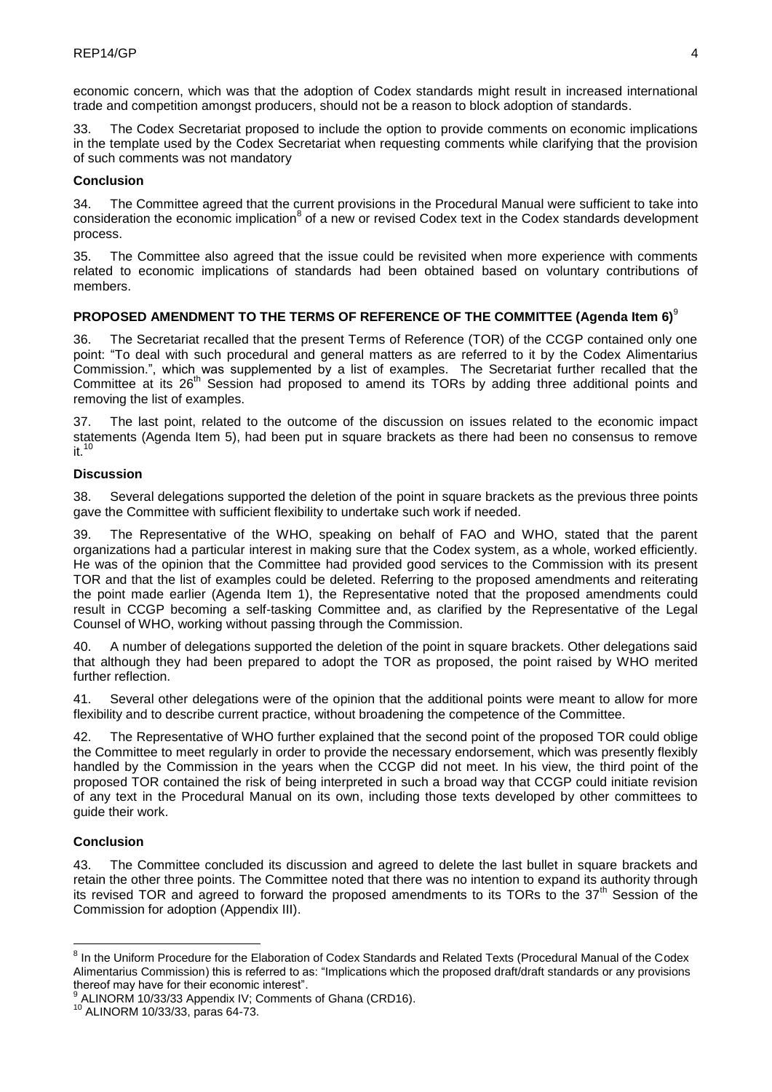economic concern, which was that the adoption of Codex standards might result in increased international trade and competition amongst producers, should not be a reason to block adoption of standards.

33. The Codex Secretariat proposed to include the option to provide comments on economic implications in the template used by the Codex Secretariat when requesting comments while clarifying that the provision of such comments was not mandatory

# **Conclusion**

34. The Committee agreed that the current provisions in the Procedural Manual were sufficient to take into consideration the economic implication<sup>8</sup> of a new or revised Codex text in the Codex standards development process.

35. The Committee also agreed that the issue could be revisited when more experience with comments related to economic implications of standards had been obtained based on voluntary contributions of members.

# **PROPOSED AMENDMENT TO THE TERMS OF REFERENCE OF THE COMMITTEE (Agenda Item 6)**<sup>9</sup>

36. The Secretariat recalled that the present Terms of Reference (TOR) of the CCGP contained only one point: "To deal with such procedural and general matters as are referred to it by the Codex Alimentarius Commission.", which was supplemented by a list of examples. The Secretariat further recalled that the Committee at its 26<sup>th</sup> Session had proposed to amend its TORs by adding three additional points and removing the list of examples.

37. The last point, related to the outcome of the discussion on issues related to the economic impact statements (Agenda Item 5), had been put in square brackets as there had been no consensus to remove  $\overline{10}$ 

# **Discussion**

38. Several delegations supported the deletion of the point in square brackets as the previous three points gave the Committee with sufficient flexibility to undertake such work if needed.

39. The Representative of the WHO, speaking on behalf of FAO and WHO, stated that the parent organizations had a particular interest in making sure that the Codex system, as a whole, worked efficiently. He was of the opinion that the Committee had provided good services to the Commission with its present TOR and that the list of examples could be deleted. Referring to the proposed amendments and reiterating the point made earlier (Agenda Item 1), the Representative noted that the proposed amendments could result in CCGP becoming a self-tasking Committee and, as clarified by the Representative of the Legal Counsel of WHO, working without passing through the Commission.

40. A number of delegations supported the deletion of the point in square brackets. Other delegations said that although they had been prepared to adopt the TOR as proposed, the point raised by WHO merited further reflection.

41. Several other delegations were of the opinion that the additional points were meant to allow for more flexibility and to describe current practice, without broadening the competence of the Committee.

42. The Representative of WHO further explained that the second point of the proposed TOR could oblige the Committee to meet regularly in order to provide the necessary endorsement, which was presently flexibly handled by the Commission in the years when the CCGP did not meet. In his view, the third point of the proposed TOR contained the risk of being interpreted in such a broad way that CCGP could initiate revision of any text in the Procedural Manual on its own, including those texts developed by other committees to guide their work.

# **Conclusion**

<u>.</u>

43. The Committee concluded its discussion and agreed to delete the last bullet in square brackets and retain the other three points. The Committee noted that there was no intention to expand its authority through its revised TOR and agreed to forward the proposed amendments to its TORs to the 37<sup>th</sup> Session of the Commission for adoption (Appendix III).

<sup>&</sup>lt;sup>8</sup> In the Uniform Procedure for the Elaboration of Codex Standards and Related Texts (Procedural Manual of the Codex Alimentarius Commission) this is referred to as: "Implications which the proposed draft/draft standards or any provisions thereof may have for their economic interest".

<sup>9</sup> ALINORM 10/33/33 Appendix IV; Comments of Ghana (CRD16).

<sup>10</sup> ALINORM 10/33/33, paras 64-73.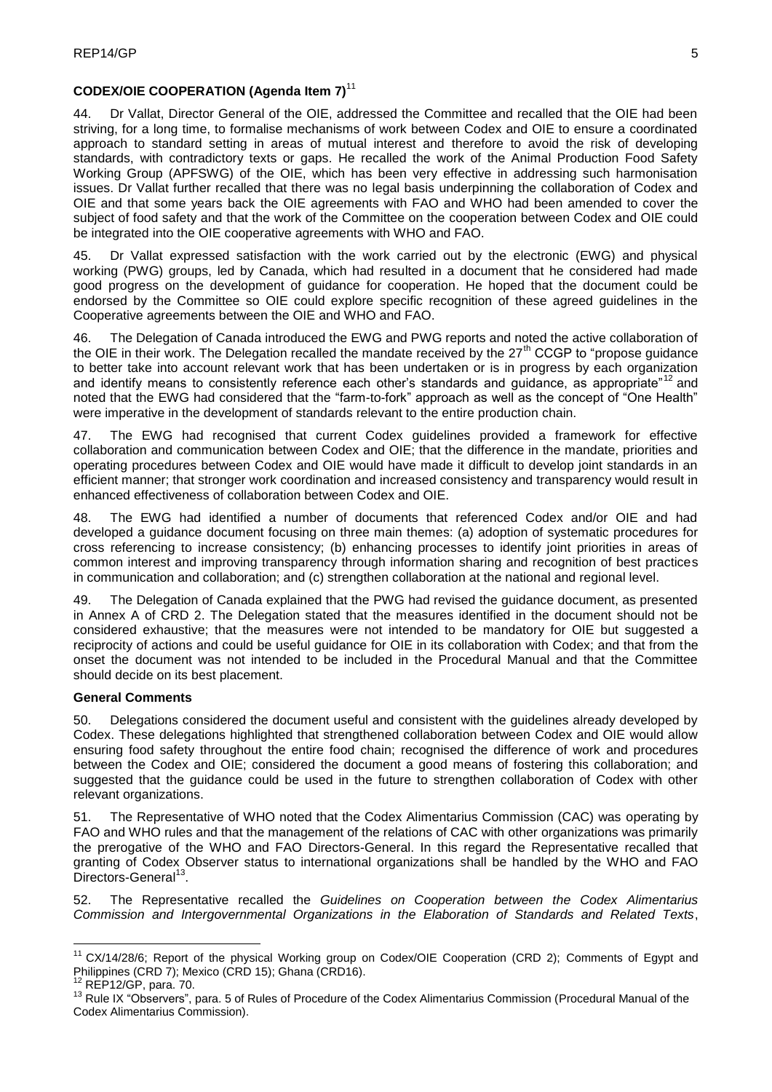# **CODEX/OIE COOPERATION (Agenda Item 7)**<sup>11</sup>

44. Dr Vallat, Director General of the OIE, addressed the Committee and recalled that the OIE had been striving, for a long time, to formalise mechanisms of work between Codex and OIE to ensure a coordinated approach to standard setting in areas of mutual interest and therefore to avoid the risk of developing standards, with contradictory texts or gaps. He recalled the work of the Animal Production Food Safety Working Group (APFSWG) of the OIE, which has been very effective in addressing such harmonisation issues. Dr Vallat further recalled that there was no legal basis underpinning the collaboration of Codex and OIE and that some years back the OIE agreements with FAO and WHO had been amended to cover the subject of food safety and that the work of the Committee on the cooperation between Codex and OIE could be integrated into the OIE cooperative agreements with WHO and FAO.

45. Dr Vallat expressed satisfaction with the work carried out by the electronic (EWG) and physical working (PWG) groups, led by Canada, which had resulted in a document that he considered had made good progress on the development of guidance for cooperation. He hoped that the document could be endorsed by the Committee so OIE could explore specific recognition of these agreed guidelines in the Cooperative agreements between the OIE and WHO and FAO.

46. The Delegation of Canada introduced the EWG and PWG reports and noted the active collaboration of the OIE in their work. The Delegation recalled the mandate received by the  $27<sup>th</sup>$  CCGP to "propose guidance" to better take into account relevant work that has been undertaken or is in progress by each organization and identify means to consistently reference each other's standards and quidance, as appropriate"<sup>12</sup> and noted that the EWG had considered that the "farm-to-fork" approach as well as the concept of "One Health" were imperative in the development of standards relevant to the entire production chain.

47. The EWG had recognised that current Codex guidelines provided a framework for effective collaboration and communication between Codex and OIE; that the difference in the mandate, priorities and operating procedures between Codex and OIE would have made it difficult to develop joint standards in an efficient manner; that stronger work coordination and increased consistency and transparency would result in enhanced effectiveness of collaboration between Codex and OIE.

48. The EWG had identified a number of documents that referenced Codex and/or OIE and had developed a guidance document focusing on three main themes: (a) adoption of systematic procedures for cross referencing to increase consistency; (b) enhancing processes to identify joint priorities in areas of common interest and improving transparency through information sharing and recognition of best practices in communication and collaboration; and (c) strengthen collaboration at the national and regional level.

49. The Delegation of Canada explained that the PWG had revised the guidance document, as presented in Annex A of CRD 2. The Delegation stated that the measures identified in the document should not be considered exhaustive; that the measures were not intended to be mandatory for OIE but suggested a reciprocity of actions and could be useful guidance for OIE in its collaboration with Codex; and that from the onset the document was not intended to be included in the Procedural Manual and that the Committee should decide on its best placement.

# **General Comments**

50. Delegations considered the document useful and consistent with the guidelines already developed by Codex. These delegations highlighted that strengthened collaboration between Codex and OIE would allow ensuring food safety throughout the entire food chain; recognised the difference of work and procedures between the Codex and OIE; considered the document a good means of fostering this collaboration; and suggested that the guidance could be used in the future to strengthen collaboration of Codex with other relevant organizations.

51. The Representative of WHO noted that the Codex Alimentarius Commission (CAC) was operating by FAO and WHO rules and that the management of the relations of CAC with other organizations was primarily the prerogative of the WHO and FAO Directors-General. In this regard the Representative recalled that granting of Codex Observer status to international organizations shall be handled by the WHO and FAO Directors-General<sup>13</sup>.

52. The Representative recalled the *Guidelines on Cooperation between the Codex Alimentarius Commission and Intergovernmental Organizations in the Elaboration of Standards and Related Texts*,

<u>.</u>

<sup>&</sup>lt;sup>11</sup> CX/14/28/6; Report of the physical Working group on Codex/OIE Cooperation (CRD 2); Comments of Egypt and Philippines (CRD 7); Mexico (CRD 15); Ghana (CRD16).

<sup>12</sup> REP12/GP, para. 70.

<sup>&</sup>lt;sup>13</sup> Rule IX "Observers", para. 5 of Rules of Procedure of the Codex Alimentarius Commission (Procedural Manual of the Codex Alimentarius Commission).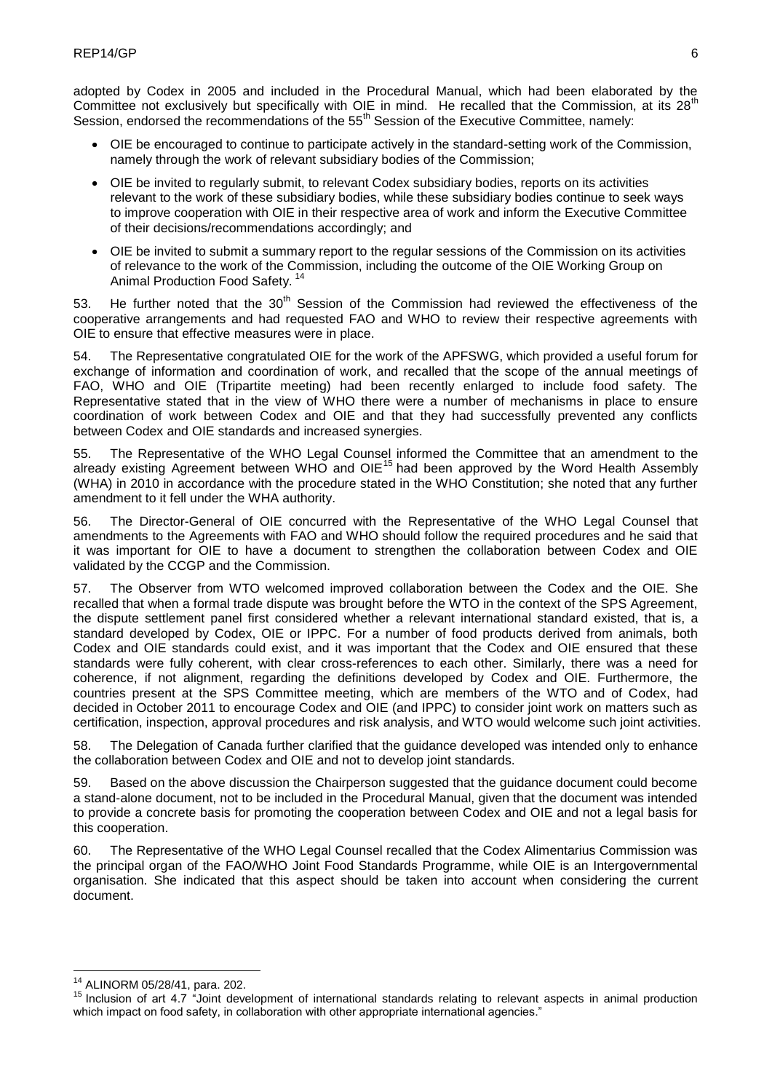adopted by Codex in 2005 and included in the Procedural Manual, which had been elaborated by the Committee not exclusively but specifically with OIE in mind. He recalled that the Commission, at its 28<sup>th</sup> Session, endorsed the recommendations of the 55<sup>th</sup> Session of the Executive Committee, namely:

- OIE be encouraged to continue to participate actively in the standard-setting work of the Commission, namely through the work of relevant subsidiary bodies of the Commission;
- OIE be invited to regularly submit, to relevant Codex subsidiary bodies, reports on its activities relevant to the work of these subsidiary bodies, while these subsidiary bodies continue to seek ways to improve cooperation with OIE in their respective area of work and inform the Executive Committee of their decisions/recommendations accordingly; and
- OIE be invited to submit a summary report to the regular sessions of the Commission on its activities of relevance to the work of the Commission, including the outcome of the OIE Working Group on Animal Production Food Safety.<sup>14</sup>

53. He further noted that the  $30<sup>th</sup>$  Session of the Commission had reviewed the effectiveness of the cooperative arrangements and had requested FAO and WHO to review their respective agreements with OIE to ensure that effective measures were in place.

54. The Representative congratulated OIE for the work of the APFSWG, which provided a useful forum for exchange of information and coordination of work, and recalled that the scope of the annual meetings of FAO, WHO and OIE (Tripartite meeting) had been recently enlarged to include food safety. The Representative stated that in the view of WHO there were a number of mechanisms in place to ensure coordination of work between Codex and OIE and that they had successfully prevented any conflicts between Codex and OIE standards and increased synergies.

55. The Representative of the WHO Legal Counsel informed the Committee that an amendment to the already existing Agreement between WHO and OIE<sup>15</sup> had been approved by the Word Health Assembly (WHA) in 2010 in accordance with the procedure stated in the WHO Constitution; she noted that any further amendment to it fell under the WHA authority.

56. The Director-General of OIE concurred with the Representative of the WHO Legal Counsel that amendments to the Agreements with FAO and WHO should follow the required procedures and he said that it was important for OIE to have a document to strengthen the collaboration between Codex and OIE validated by the CCGP and the Commission.

57. The Observer from WTO welcomed improved collaboration between the Codex and the OIE. She recalled that when a formal trade dispute was brought before the WTO in the context of the SPS Agreement, the dispute settlement panel first considered whether a relevant international standard existed, that is, a standard developed by Codex, OIE or IPPC. For a number of food products derived from animals, both Codex and OIE standards could exist, and it was important that the Codex and OIE ensured that these standards were fully coherent, with clear cross-references to each other. Similarly, there was a need for coherence, if not alignment, regarding the definitions developed by Codex and OIE. Furthermore, the countries present at the SPS Committee meeting, which are members of the WTO and of Codex, had decided in October 2011 to encourage Codex and OIE (and IPPC) to consider joint work on matters such as certification, inspection, approval procedures and risk analysis, and WTO would welcome such joint activities.

58. The Delegation of Canada further clarified that the guidance developed was intended only to enhance the collaboration between Codex and OIE and not to develop joint standards.

59. Based on the above discussion the Chairperson suggested that the guidance document could become a stand-alone document, not to be included in the Procedural Manual, given that the document was intended to provide a concrete basis for promoting the cooperation between Codex and OIE and not a legal basis for this cooperation.

60. The Representative of the WHO Legal Counsel recalled that the Codex Alimentarius Commission was the principal organ of the FAO/WHO Joint Food Standards Programme, while OIE is an Intergovernmental organisation. She indicated that this aspect should be taken into account when considering the current document.

<sup>1</sup> <sup>14</sup> ALINORM 05/28/41, para. 202.

<sup>15</sup> Inclusion of art 4.7 "Joint development of international standards relating to relevant aspects in animal production which impact on food safety, in collaboration with other appropriate international agencies."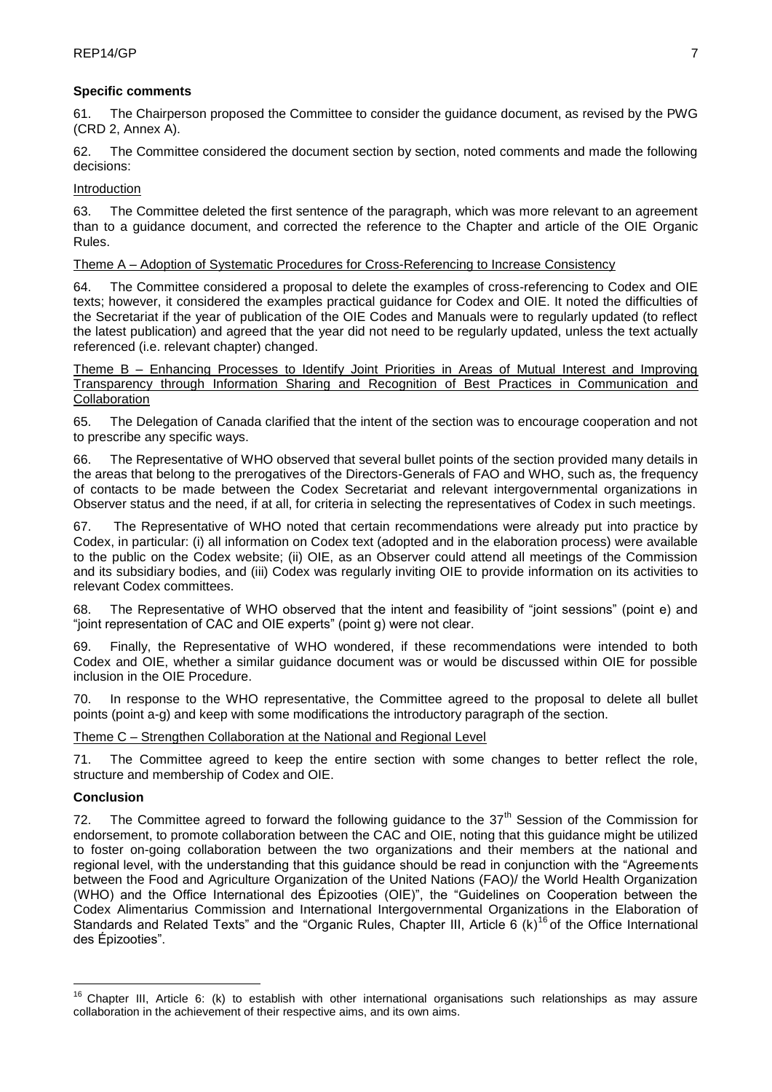# **Specific comments**

61. The Chairperson proposed the Committee to consider the guidance document, as revised by the PWG (CRD 2, Annex A).

62. The Committee considered the document section by section, noted comments and made the following decisions:

# Introduction

63. The Committee deleted the first sentence of the paragraph, which was more relevant to an agreement than to a guidance document, and corrected the reference to the Chapter and article of the OIE Organic Rules.

# Theme A – Adoption of Systematic Procedures for Cross-Referencing to Increase Consistency

64. The Committee considered a proposal to delete the examples of cross-referencing to Codex and OIE texts; however, it considered the examples practical guidance for Codex and OIE. It noted the difficulties of the Secretariat if the year of publication of the OIE Codes and Manuals were to regularly updated (to reflect the latest publication) and agreed that the year did not need to be regularly updated, unless the text actually referenced (i.e. relevant chapter) changed.

Theme B – Enhancing Processes to Identify Joint Priorities in Areas of Mutual Interest and Improving Transparency through Information Sharing and Recognition of Best Practices in Communication and Collaboration

65. The Delegation of Canada clarified that the intent of the section was to encourage cooperation and not to prescribe any specific ways.

66. The Representative of WHO observed that several bullet points of the section provided many details in the areas that belong to the prerogatives of the Directors-Generals of FAO and WHO, such as, the frequency of contacts to be made between the Codex Secretariat and relevant intergovernmental organizations in Observer status and the need, if at all, for criteria in selecting the representatives of Codex in such meetings.

67. The Representative of WHO noted that certain recommendations were already put into practice by Codex, in particular: (i) all information on Codex text (adopted and in the elaboration process) were available to the public on the Codex website; (ii) OIE, as an Observer could attend all meetings of the Commission and its subsidiary bodies, and (iii) Codex was regularly inviting OIE to provide information on its activities to relevant Codex committees.

68. The Representative of WHO observed that the intent and feasibility of "joint sessions" (point e) and "joint representation of CAC and OIE experts" (point g) were not clear.

69. Finally, the Representative of WHO wondered, if these recommendations were intended to both Codex and OIE, whether a similar guidance document was or would be discussed within OIE for possible inclusion in the OIE Procedure.

70. In response to the WHO representative, the Committee agreed to the proposal to delete all bullet points (point a-g) and keep with some modifications the introductory paragraph of the section.

# Theme C – Strengthen Collaboration at the National and Regional Level

71. The Committee agreed to keep the entire section with some changes to better reflect the role, structure and membership of Codex and OIE.

# **Conclusion**

<u>.</u>

72. The Committee agreed to forward the following guidance to the  $37<sup>th</sup>$  Session of the Commission for endorsement, to promote collaboration between the CAC and OIE, noting that this guidance might be utilized to foster on-going collaboration between the two organizations and their members at the national and regional level, with the understanding that this guidance should be read in conjunction with the "Agreements between the Food and Agriculture Organization of the United Nations (FAO)/ the World Health Organization (WHO) and the Office International des Épizooties (OIE)", the "Guidelines on Cooperation between the Codex Alimentarius Commission and International Intergovernmental Organizations in the Elaboration of Standards and Related Texts" and the "Organic Rules, Chapter III, Article 6 (k)<sup>16</sup> of the Office International des Épizooties".

 $16$  Chapter III, Article 6: (k) to establish with other international organisations such relationships as may assure collaboration in the achievement of their respective aims, and its own aims.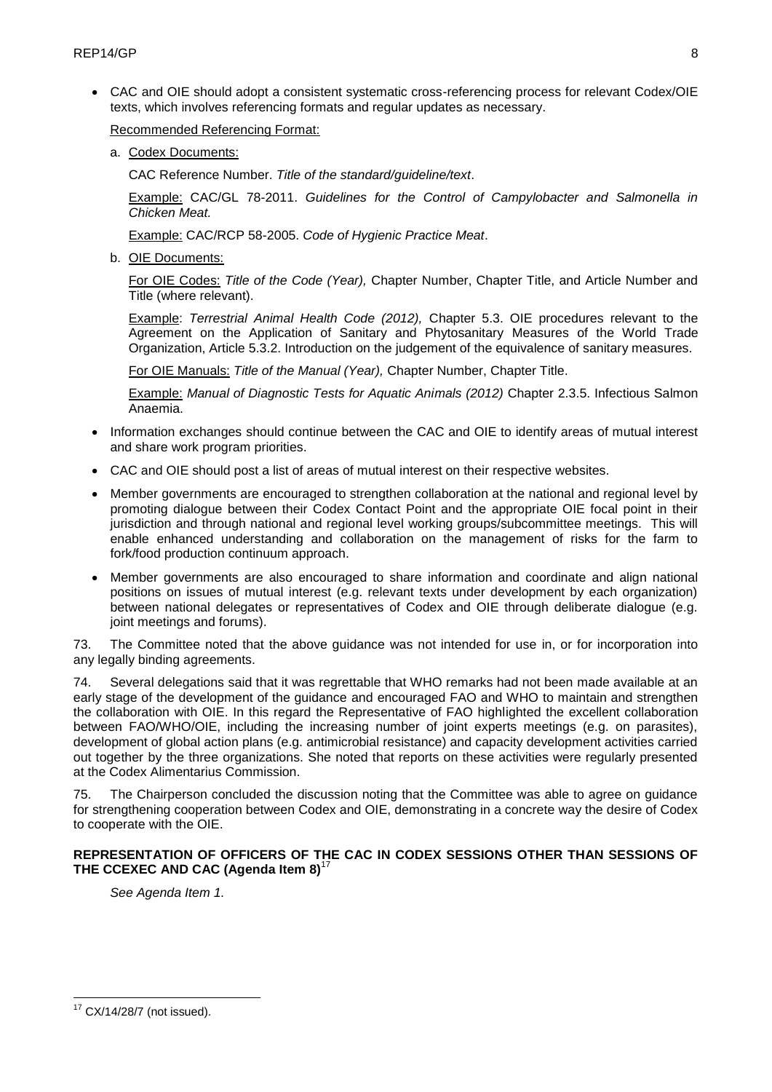CAC and OIE should adopt a consistent systematic cross-referencing process for relevant Codex/OIE texts, which involves referencing formats and regular updates as necessary.

Recommended Referencing Format:

a. Codex Documents:

CAC Reference Number. *Title of the standard/guideline/text*.

Example: CAC/GL 78-2011. *Guidelines for the Control of Campylobacter and Salmonella in Chicken Meat.*

Example: CAC/RCP 58-2005. *Code of Hygienic Practice Meat*.

b. OIE Documents:

For OIE Codes: *Title of the Code (Year),* Chapter Number, Chapter Title, and Article Number and Title (where relevant).

Example: *Terrestrial Animal Health Code (2012),* Chapter 5.3. OIE procedures relevant to the Agreement on the Application of Sanitary and Phytosanitary Measures of the World Trade Organization, Article 5.3.2. Introduction on the judgement of the equivalence of sanitary measures.

For OIE Manuals: *Title of the Manual (Year),* Chapter Number, Chapter Title.

Example: *Manual of Diagnostic Tests for Aquatic Animals (2012)* Chapter 2.3.5. Infectious Salmon Anaemia.

- Information exchanges should continue between the CAC and OIE to identify areas of mutual interest and share work program priorities.
- CAC and OIE should post a list of areas of mutual interest on their respective websites.
- Member governments are encouraged to strengthen collaboration at the national and regional level by promoting dialogue between their Codex Contact Point and the appropriate OIE focal point in their jurisdiction and through national and regional level working groups/subcommittee meetings. This will enable enhanced understanding and collaboration on the management of risks for the farm to fork/food production continuum approach.
- Member governments are also encouraged to share information and coordinate and align national positions on issues of mutual interest (e.g. relevant texts under development by each organization) between national delegates or representatives of Codex and OIE through deliberate dialogue (e.g. joint meetings and forums).

73. The Committee noted that the above guidance was not intended for use in, or for incorporation into any legally binding agreements.

74. Several delegations said that it was regrettable that WHO remarks had not been made available at an early stage of the development of the guidance and encouraged FAO and WHO to maintain and strengthen the collaboration with OIE. In this regard the Representative of FAO highlighted the excellent collaboration between FAO/WHO/OIE, including the increasing number of joint experts meetings (e.g. on parasites), development of global action plans (e.g. antimicrobial resistance) and capacity development activities carried out together by the three organizations. She noted that reports on these activities were regularly presented at the Codex Alimentarius Commission.

75. The Chairperson concluded the discussion noting that the Committee was able to agree on guidance for strengthening cooperation between Codex and OIE, demonstrating in a concrete way the desire of Codex to cooperate with the OIE.

## **REPRESENTATION OF OFFICERS OF THE CAC IN CODEX SESSIONS OTHER THAN SESSIONS OF**  THE CCEXEC AND CAC (Agenda Item 8)<sup>1</sup>

*See Agenda Item 1.*

1

 $17$  CX/14/28/7 (not issued).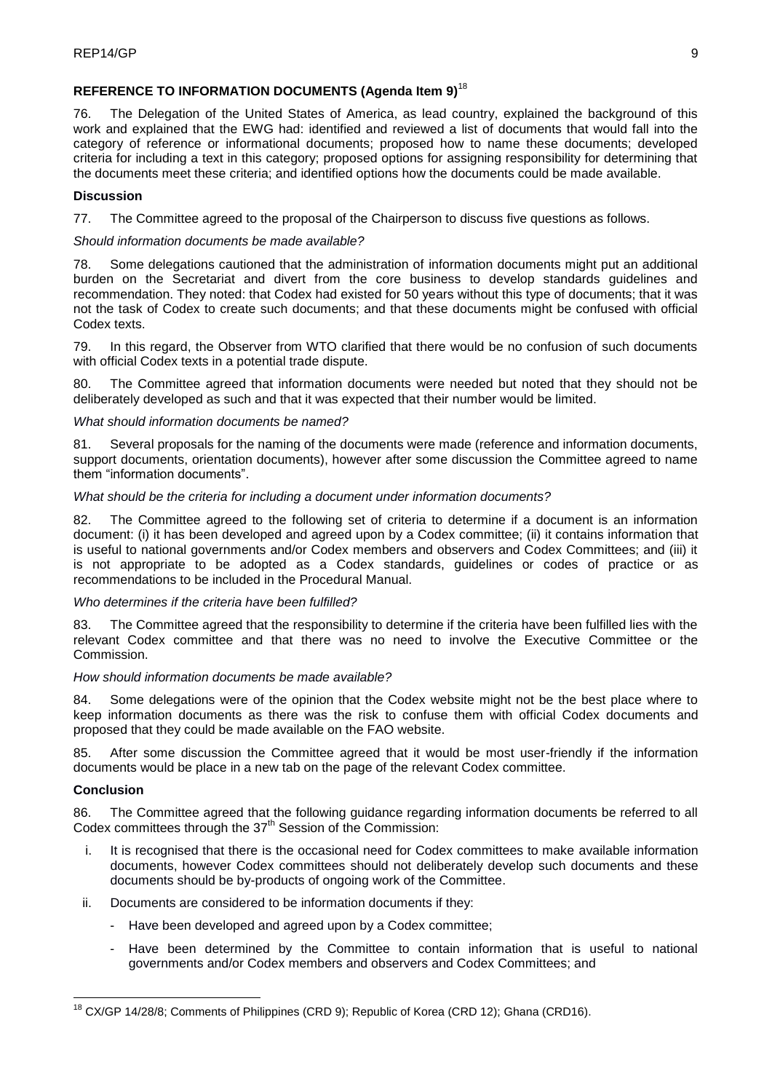# **REFERENCE TO INFORMATION DOCUMENTS (Agenda Item 9)**<sup>18</sup>

76. The Delegation of the United States of America, as lead country, explained the background of this work and explained that the EWG had: identified and reviewed a list of documents that would fall into the category of reference or informational documents; proposed how to name these documents; developed criteria for including a text in this category; proposed options for assigning responsibility for determining that the documents meet these criteria; and identified options how the documents could be made available.

# **Discussion**

77. The Committee agreed to the proposal of the Chairperson to discuss five questions as follows.

## *Should information documents be made available?*

78. Some delegations cautioned that the administration of information documents might put an additional burden on the Secretariat and divert from the core business to develop standards guidelines and recommendation. They noted: that Codex had existed for 50 years without this type of documents; that it was not the task of Codex to create such documents; and that these documents might be confused with official Codex texts.

79. In this regard, the Observer from WTO clarified that there would be no confusion of such documents with official Codex texts in a potential trade dispute.

80. The Committee agreed that information documents were needed but noted that they should not be deliberately developed as such and that it was expected that their number would be limited.

## *What should information documents be named?*

81. Several proposals for the naming of the documents were made (reference and information documents, support documents, orientation documents), however after some discussion the Committee agreed to name them "information documents".

# *What should be the criteria for including a document under information documents?*

82. The Committee agreed to the following set of criteria to determine if a document is an information document: (i) it has been developed and agreed upon by a Codex committee; (ii) it contains information that is useful to national governments and/or Codex members and observers and Codex Committees; and (iii) it is not appropriate to be adopted as a Codex standards, guidelines or codes of practice or as recommendations to be included in the Procedural Manual.

## *Who determines if the criteria have been fulfilled?*

83. The Committee agreed that the responsibility to determine if the criteria have been fulfilled lies with the relevant Codex committee and that there was no need to involve the Executive Committee or the Commission.

## *How should information documents be made available?*

84. Some delegations were of the opinion that the Codex website might not be the best place where to keep information documents as there was the risk to confuse them with official Codex documents and proposed that they could be made available on the FAO website.

85. After some discussion the Committee agreed that it would be most user-friendly if the information documents would be place in a new tab on the page of the relevant Codex committee.

## **Conclusion**

1

86. The Committee agreed that the following guidance regarding information documents be referred to all Codex committees through the  $37<sup>th</sup>$  Session of the Commission:

- i. It is recognised that there is the occasional need for Codex committees to make available information documents, however Codex committees should not deliberately develop such documents and these documents should be by-products of ongoing work of the Committee.
- ii. Documents are considered to be information documents if they:
	- Have been developed and agreed upon by a Codex committee;
	- Have been determined by the Committee to contain information that is useful to national governments and/or Codex members and observers and Codex Committees; and

<sup>&</sup>lt;sup>18</sup> CX/GP 14/28/8; Comments of Philippines (CRD 9); Republic of Korea (CRD 12); Ghana (CRD16).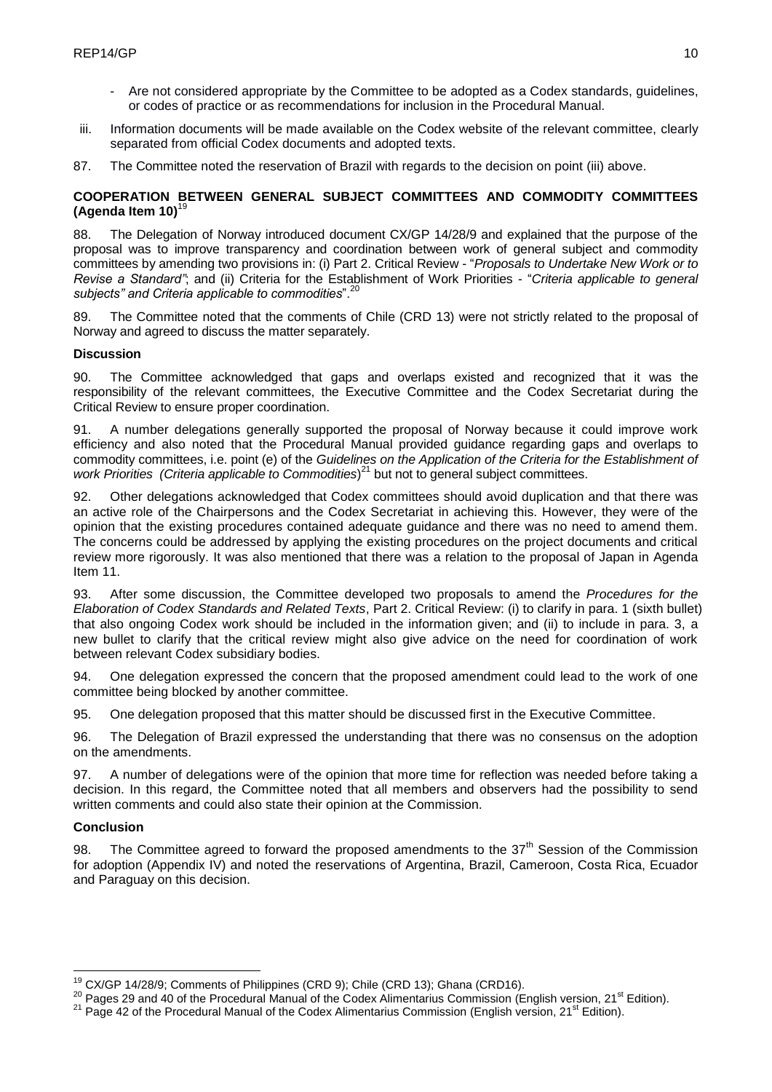- Are not considered appropriate by the Committee to be adopted as a Codex standards, guidelines, or codes of practice or as recommendations for inclusion in the Procedural Manual.
- iii. Information documents will be made available on the Codex website of the relevant committee, clearly separated from official Codex documents and adopted texts.
- 87. The Committee noted the reservation of Brazil with regards to the decision on point (iii) above.

# **COOPERATION BETWEEN GENERAL SUBJECT COMMITTEES AND COMMODITY COMMITTEES (Agenda Item 10)<sup>1</sup>**

88. The Delegation of Norway introduced document CX/GP 14/28/9 and explained that the purpose of the proposal was to improve transparency and coordination between work of general subject and commodity committees by amending two provisions in: (i) Part 2. Critical Review - "*Proposals to Undertake New Work or to Revise a Standard"*; and (ii) Criteria for the Establishment of Work Priorities - "*Criteria applicable to general subjects" and Criteria applicable to commodities*".<sup>20</sup>

The Committee noted that the comments of Chile (CRD 13) were not strictly related to the proposal of Norway and agreed to discuss the matter separately.

## **Discussion**

90. The Committee acknowledged that gaps and overlaps existed and recognized that it was the responsibility of the relevant committees, the Executive Committee and the Codex Secretariat during the Critical Review to ensure proper coordination.

91. A number delegations generally supported the proposal of Norway because it could improve work efficiency and also noted that the Procedural Manual provided guidance regarding gaps and overlaps to commodity committees, i.e. point (e) of the *Guidelines on the Application of the Criteria for the Establishment of*  work Priorities (Criteria applicable to Commodities)<sup>21</sup> but not to general subject committees.

92. Other delegations acknowledged that Codex committees should avoid duplication and that there was an active role of the Chairpersons and the Codex Secretariat in achieving this. However, they were of the opinion that the existing procedures contained adequate guidance and there was no need to amend them. The concerns could be addressed by applying the existing procedures on the project documents and critical review more rigorously. It was also mentioned that there was a relation to the proposal of Japan in Agenda Item 11.

93. After some discussion, the Committee developed two proposals to amend the *Procedures for the Elaboration of Codex Standards and Related Texts*, Part 2. Critical Review: (i) to clarify in para. 1 (sixth bullet) that also ongoing Codex work should be included in the information given; and (ii) to include in para. 3, a new bullet to clarify that the critical review might also give advice on the need for coordination of work between relevant Codex subsidiary bodies.

94. One delegation expressed the concern that the proposed amendment could lead to the work of one committee being blocked by another committee.

95. One delegation proposed that this matter should be discussed first in the Executive Committee.

96. The Delegation of Brazil expressed the understanding that there was no consensus on the adoption on the amendments.

97. A number of delegations were of the opinion that more time for reflection was needed before taking a decision. In this regard, the Committee noted that all members and observers had the possibility to send written comments and could also state their opinion at the Commission.

## **Conclusion**

98. The Committee agreed to forward the proposed amendments to the  $37<sup>th</sup>$  Session of the Commission for adoption (Appendix IV) and noted the reservations of Argentina, Brazil, Cameroon, Costa Rica, Ecuador and Paraguay on this decision.

<sup>1</sup> <sup>19</sup> CX/GP 14/28/9; Comments of Philippines (CRD 9); Chile (CRD 13); Ghana (CRD16).

<sup>&</sup>lt;sup>20</sup> Pages 29 and 40 of the Procedural Manual of the Codex Alimentarius Commission (English version, 21<sup>st</sup> Edition).

 $21$  Page 42 of the Procedural Manual of the Codex Alimentarius Commission (English version, 21<sup>st</sup> Edition).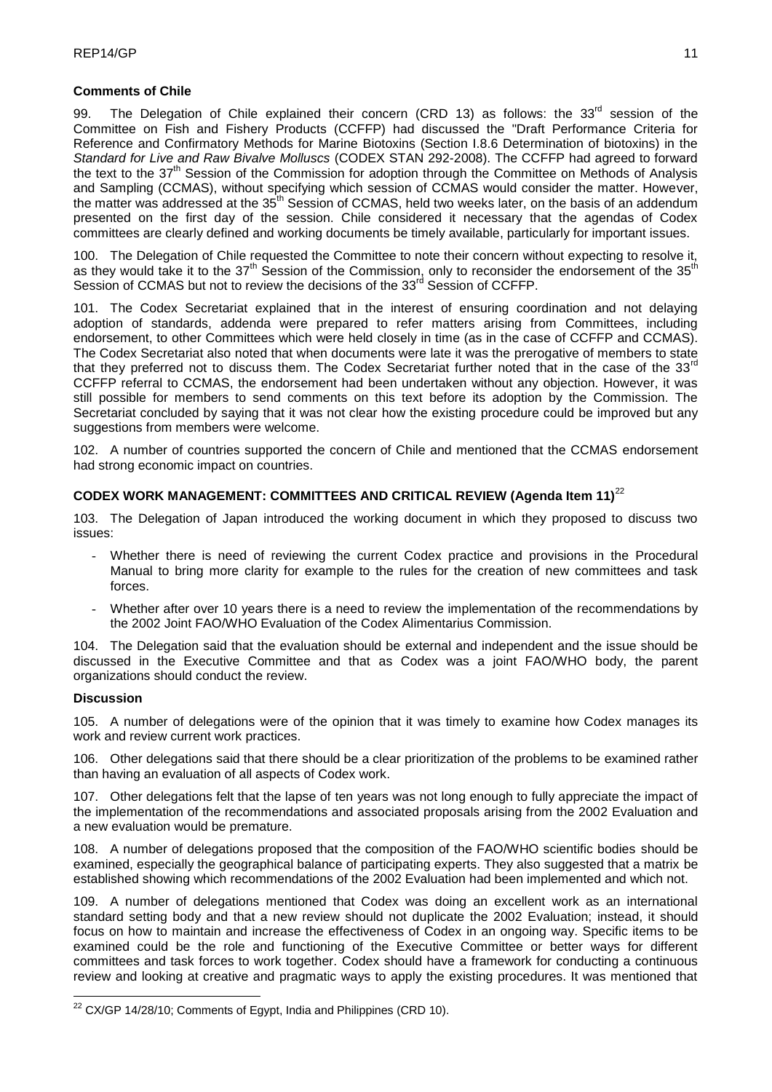## **Comments of Chile**

99. The Delegation of Chile explained their concern (CRD 13) as follows: the 33<sup>rd</sup> session of the Committee on Fish and Fishery Products (CCFFP) had discussed the "Draft Performance Criteria for Reference and Confirmatory Methods for Marine Biotoxins (Section I.8.6 Determination of biotoxins) in the *Standard for Live and Raw Bivalve Molluscs* (CODEX STAN 292-2008). The CCFFP had agreed to forward the text to the 37<sup>th</sup> Session of the Commission for adoption through the Committee on Methods of Analysis and Sampling (CCMAS), without specifying which session of CCMAS would consider the matter. However, the matter was addressed at the 35<sup>th</sup> Session of CCMAS, held two weeks later, on the basis of an addendum presented on the first day of the session. Chile considered it necessary that the agendas of Codex committees are clearly defined and working documents be timely available, particularly for important issues.

100. The Delegation of Chile requested the Committee to note their concern without expecting to resolve it, as they would take it to the 37<sup>th</sup> Session of the Commission, only to reconsider the endorsement of the 35<sup>th</sup> Session of CCMAS but not to review the decisions of the 33<sup>rd</sup> Session of CCFFP.

101. The Codex Secretariat explained that in the interest of ensuring coordination and not delaying adoption of standards, addenda were prepared to refer matters arising from Committees, including endorsement, to other Committees which were held closely in time (as in the case of CCFFP and CCMAS). The Codex Secretariat also noted that when documents were late it was the prerogative of members to state that they preferred not to discuss them. The Codex Secretariat further noted that in the case of the 33 $^{\text{rd}}$ CCFFP referral to CCMAS, the endorsement had been undertaken without any objection. However, it was still possible for members to send comments on this text before its adoption by the Commission. The Secretariat concluded by saying that it was not clear how the existing procedure could be improved but any suggestions from members were welcome.

102. A number of countries supported the concern of Chile and mentioned that the CCMAS endorsement had strong economic impact on countries.

## **CODEX WORK MANAGEMENT: COMMITTEES AND CRITICAL REVIEW (Agenda Item 11)**<sup>22</sup>

103. The Delegation of Japan introduced the working document in which they proposed to discuss two issues:

- Whether there is need of reviewing the current Codex practice and provisions in the Procedural Manual to bring more clarity for example to the rules for the creation of new committees and task forces.
- Whether after over 10 years there is a need to review the implementation of the recommendations by the 2002 Joint FAO/WHO Evaluation of the Codex Alimentarius Commission.

104. The Delegation said that the evaluation should be external and independent and the issue should be discussed in the Executive Committee and that as Codex was a joint FAO/WHO body, the parent organizations should conduct the review.

## **Discussion**

<u>.</u>

105. A number of delegations were of the opinion that it was timely to examine how Codex manages its work and review current work practices.

106. Other delegations said that there should be a clear prioritization of the problems to be examined rather than having an evaluation of all aspects of Codex work.

107. Other delegations felt that the lapse of ten years was not long enough to fully appreciate the impact of the implementation of the recommendations and associated proposals arising from the 2002 Evaluation and a new evaluation would be premature.

108. A number of delegations proposed that the composition of the FAO/WHO scientific bodies should be examined, especially the geographical balance of participating experts. They also suggested that a matrix be established showing which recommendations of the 2002 Evaluation had been implemented and which not.

109. A number of delegations mentioned that Codex was doing an excellent work as an international standard setting body and that a new review should not duplicate the 2002 Evaluation; instead, it should focus on how to maintain and increase the effectiveness of Codex in an ongoing way. Specific items to be examined could be the role and functioning of the Executive Committee or better ways for different committees and task forces to work together. Codex should have a framework for conducting a continuous review and looking at creative and pragmatic ways to apply the existing procedures. It was mentioned that

 $22$  CX/GP 14/28/10; Comments of Egypt, India and Philippines (CRD 10).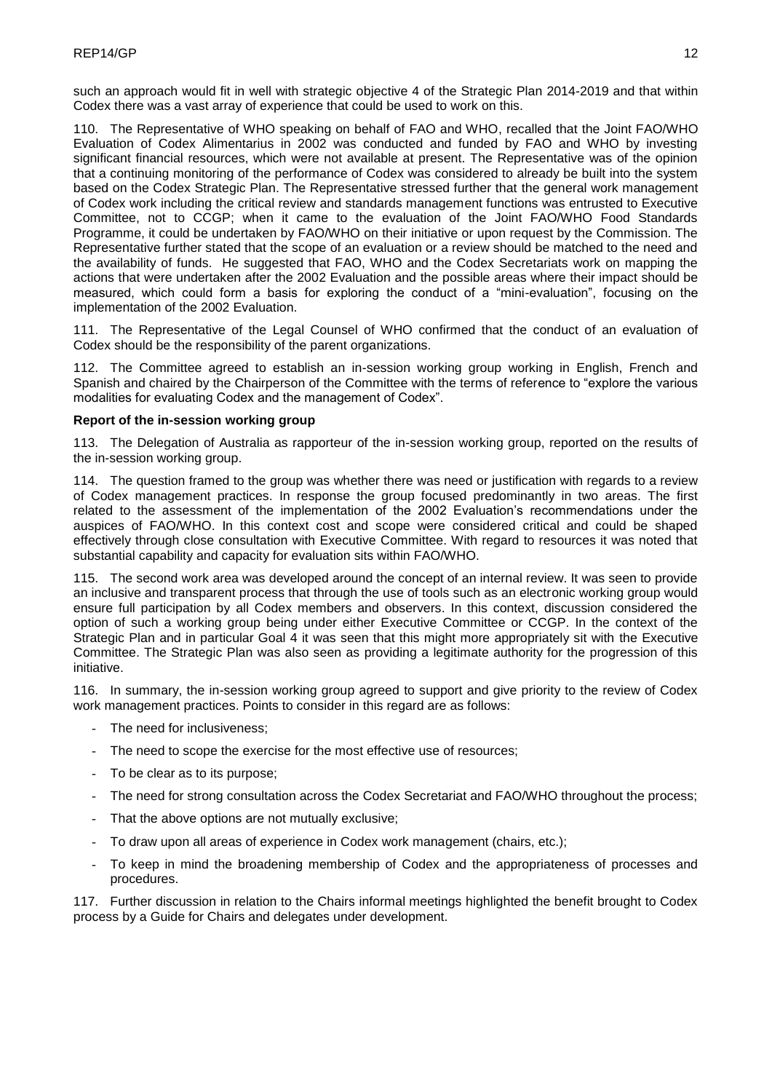such an approach would fit in well with strategic objective 4 of the Strategic Plan 2014-2019 and that within Codex there was a vast array of experience that could be used to work on this.

110. The Representative of WHO speaking on behalf of FAO and WHO, recalled that the Joint FAO/WHO Evaluation of Codex Alimentarius in 2002 was conducted and funded by FAO and WHO by investing significant financial resources, which were not available at present. The Representative was of the opinion that a continuing monitoring of the performance of Codex was considered to already be built into the system based on the Codex Strategic Plan. The Representative stressed further that the general work management of Codex work including the critical review and standards management functions was entrusted to Executive Committee, not to CCGP; when it came to the evaluation of the Joint FAO/WHO Food Standards Programme, it could be undertaken by FAO/WHO on their initiative or upon request by the Commission. The Representative further stated that the scope of an evaluation or a review should be matched to the need and the availability of funds. He suggested that FAO, WHO and the Codex Secretariats work on mapping the actions that were undertaken after the 2002 Evaluation and the possible areas where their impact should be measured, which could form a basis for exploring the conduct of a "mini-evaluation", focusing on the implementation of the 2002 Evaluation.

111. The Representative of the Legal Counsel of WHO confirmed that the conduct of an evaluation of Codex should be the responsibility of the parent organizations.

112. The Committee agreed to establish an in-session working group working in English, French and Spanish and chaired by the Chairperson of the Committee with the terms of reference to "explore the various modalities for evaluating Codex and the management of Codex".

## **Report of the in-session working group**

113. The Delegation of Australia as rapporteur of the in-session working group, reported on the results of the in-session working group.

114. The question framed to the group was whether there was need or justification with regards to a review of Codex management practices. In response the group focused predominantly in two areas. The first related to the assessment of the implementation of the 2002 Evaluation's recommendations under the auspices of FAO/WHO. In this context cost and scope were considered critical and could be shaped effectively through close consultation with Executive Committee. With regard to resources it was noted that substantial capability and capacity for evaluation sits within FAO/WHO.

115. The second work area was developed around the concept of an internal review. It was seen to provide an inclusive and transparent process that through the use of tools such as an electronic working group would ensure full participation by all Codex members and observers. In this context, discussion considered the option of such a working group being under either Executive Committee or CCGP. In the context of the Strategic Plan and in particular Goal 4 it was seen that this might more appropriately sit with the Executive Committee. The Strategic Plan was also seen as providing a legitimate authority for the progression of this initiative.

116. In summary, the in-session working group agreed to support and give priority to the review of Codex work management practices. Points to consider in this regard are as follows:

- The need for inclusiveness;
- The need to scope the exercise for the most effective use of resources;
- To be clear as to its purpose;
- The need for strong consultation across the Codex Secretariat and FAO/WHO throughout the process;
- That the above options are not mutually exclusive;
- To draw upon all areas of experience in Codex work management (chairs, etc.);
- To keep in mind the broadening membership of Codex and the appropriateness of processes and procedures.

117. Further discussion in relation to the Chairs informal meetings highlighted the benefit brought to Codex process by a Guide for Chairs and delegates under development.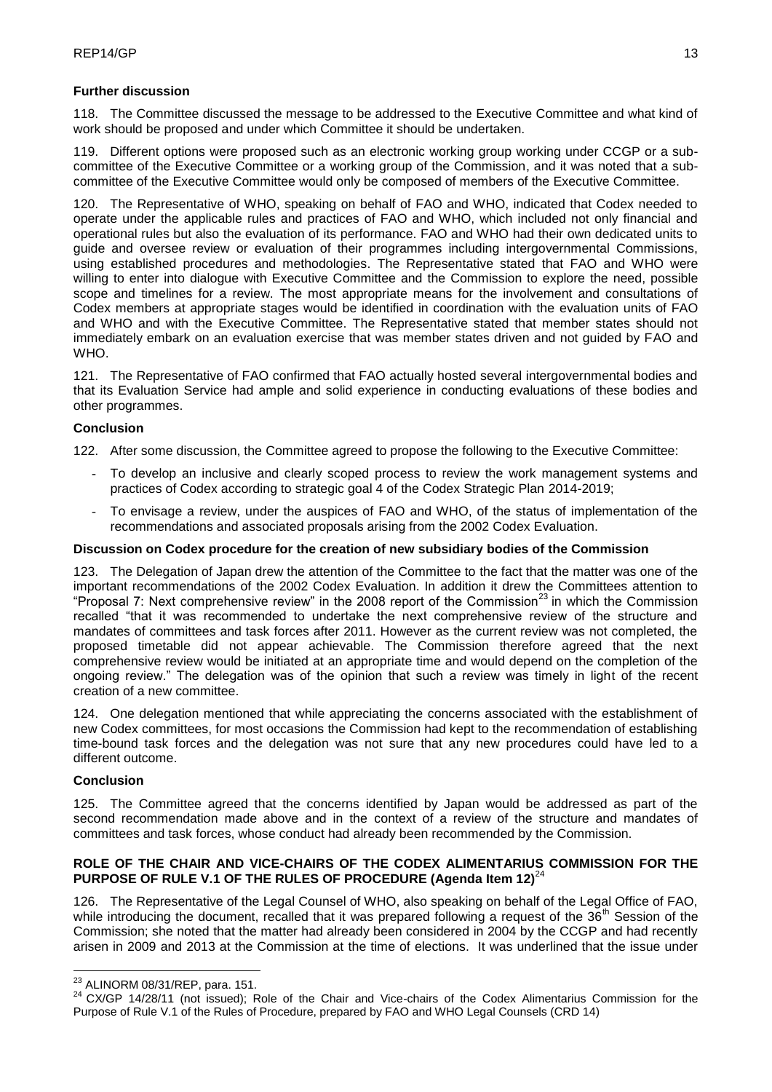# **Further discussion**

118. The Committee discussed the message to be addressed to the Executive Committee and what kind of work should be proposed and under which Committee it should be undertaken.

119. Different options were proposed such as an electronic working group working under CCGP or a subcommittee of the Executive Committee or a working group of the Commission, and it was noted that a subcommittee of the Executive Committee would only be composed of members of the Executive Committee.

120. The Representative of WHO, speaking on behalf of FAO and WHO, indicated that Codex needed to operate under the applicable rules and practices of FAO and WHO, which included not only financial and operational rules but also the evaluation of its performance. FAO and WHO had their own dedicated units to guide and oversee review or evaluation of their programmes including intergovernmental Commissions, using established procedures and methodologies. The Representative stated that FAO and WHO were willing to enter into dialogue with Executive Committee and the Commission to explore the need, possible scope and timelines for a review. The most appropriate means for the involvement and consultations of Codex members at appropriate stages would be identified in coordination with the evaluation units of FAO and WHO and with the Executive Committee. The Representative stated that member states should not immediately embark on an evaluation exercise that was member states driven and not guided by FAO and WHO.

121. The Representative of FAO confirmed that FAO actually hosted several intergovernmental bodies and that its Evaluation Service had ample and solid experience in conducting evaluations of these bodies and other programmes.

# **Conclusion**

122. After some discussion, the Committee agreed to propose the following to the Executive Committee:

- To develop an inclusive and clearly scoped process to review the work management systems and practices of Codex according to strategic goal 4 of the Codex Strategic Plan 2014-2019;
- To envisage a review, under the auspices of FAO and WHO, of the status of implementation of the recommendations and associated proposals arising from the 2002 Codex Evaluation.

# **Discussion on Codex procedure for the creation of new subsidiary bodies of the Commission**

123. The Delegation of Japan drew the attention of the Committee to the fact that the matter was one of the important recommendations of the 2002 Codex Evaluation. In addition it drew the Committees attention to "Proposal 7: Next comprehensive review" in the 2008 report of the Commission<sup>23</sup> in which the Commission recalled "that it was recommended to undertake the next comprehensive review of the structure and mandates of committees and task forces after 2011. However as the current review was not completed, the proposed timetable did not appear achievable. The Commission therefore agreed that the next comprehensive review would be initiated at an appropriate time and would depend on the completion of the ongoing review." The delegation was of the opinion that such a review was timely in light of the recent creation of a new committee.

124. One delegation mentioned that while appreciating the concerns associated with the establishment of new Codex committees, for most occasions the Commission had kept to the recommendation of establishing time-bound task forces and the delegation was not sure that any new procedures could have led to a different outcome.

# **Conclusion**

125. The Committee agreed that the concerns identified by Japan would be addressed as part of the second recommendation made above and in the context of a review of the structure and mandates of committees and task forces, whose conduct had already been recommended by the Commission.

## **ROLE OF THE CHAIR AND VICE-CHAIRS OF THE CODEX ALIMENTARIUS COMMISSION FOR THE**  PURPOSE OF RULE V.1 OF THE RULES OF PROCEDURE (Agenda Item 12)<sup>24</sup>

126. The Representative of the Legal Counsel of WHO, also speaking on behalf of the Legal Office of FAO, while introducing the document, recalled that it was prepared following a request of the  $36<sup>th</sup>$  Session of the Commission; she noted that the matter had already been considered in 2004 by the CCGP and had recently arisen in 2009 and 2013 at the Commission at the time of elections. It was underlined that the issue under

<sup>1</sup>  $^{23}$  ALINORM 08/31/REP, para. 151.

<sup>24</sup> CX/GP 14/28/11 (not issued); Role of the Chair and Vice-chairs of the Codex Alimentarius Commission for the Purpose of Rule V.1 of the Rules of Procedure, prepared by FAO and WHO Legal Counsels (CRD 14)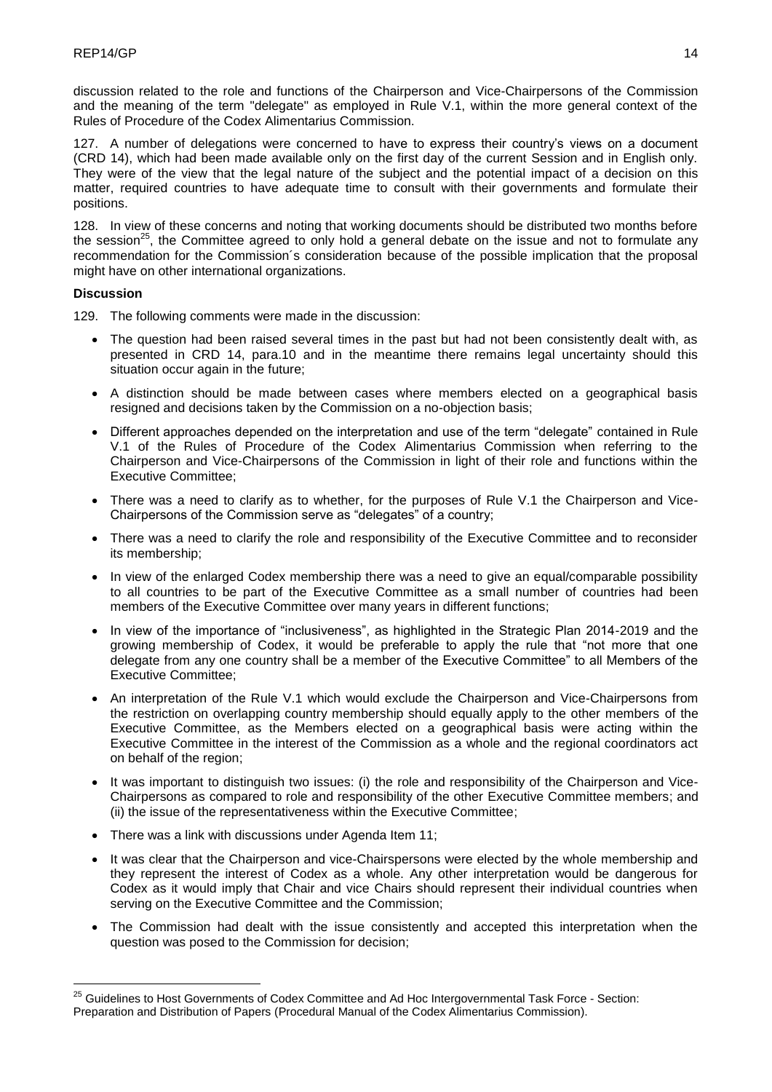discussion related to the role and functions of the Chairperson and Vice-Chairpersons of the Commission and the meaning of the term "delegate" as employed in Rule V.1, within the more general context of the Rules of Procedure of the Codex Alimentarius Commission.

127. A number of delegations were concerned to have to express their country's views on a document (CRD 14), which had been made available only on the first day of the current Session and in English only. They were of the view that the legal nature of the subject and the potential impact of a decision on this matter, required countries to have adequate time to consult with their governments and formulate their positions.

128. In view of these concerns and noting that working documents should be distributed two months before the session<sup>25</sup>, the Committee agreed to only hold a general debate on the issue and not to formulate any recommendation for the Commission´s consideration because of the possible implication that the proposal might have on other international organizations.

## **Discussion**

<u>.</u>

129. The following comments were made in the discussion:

- The question had been raised several times in the past but had not been consistently dealt with, as presented in CRD 14, para.10 and in the meantime there remains legal uncertainty should this situation occur again in the future;
- A distinction should be made between cases where members elected on a geographical basis resigned and decisions taken by the Commission on a no-objection basis;
- Different approaches depended on the interpretation and use of the term "delegate" contained in Rule V.1 of the Rules of Procedure of the Codex Alimentarius Commission when referring to the Chairperson and Vice-Chairpersons of the Commission in light of their role and functions within the Executive Committee;
- There was a need to clarify as to whether, for the purposes of Rule V.1 the Chairperson and Vice-Chairpersons of the Commission serve as "delegates" of a country;
- There was a need to clarify the role and responsibility of the Executive Committee and to reconsider its membership;
- In view of the enlarged Codex membership there was a need to give an equal/comparable possibility to all countries to be part of the Executive Committee as a small number of countries had been members of the Executive Committee over many years in different functions;
- In view of the importance of "inclusiveness", as highlighted in the Strategic Plan 2014-2019 and the growing membership of Codex, it would be preferable to apply the rule that "not more that one delegate from any one country shall be a member of the Executive Committee" to all Members of the Executive Committee;
- An interpretation of the Rule V.1 which would exclude the Chairperson and Vice-Chairpersons from the restriction on overlapping country membership should equally apply to the other members of the Executive Committee, as the Members elected on a geographical basis were acting within the Executive Committee in the interest of the Commission as a whole and the regional coordinators act on behalf of the region;
- It was important to distinguish two issues: (i) the role and responsibility of the Chairperson and Vice-Chairpersons as compared to role and responsibility of the other Executive Committee members; and (ii) the issue of the representativeness within the Executive Committee;
- There was a link with discussions under Agenda Item 11;
- It was clear that the Chairperson and vice-Chairspersons were elected by the whole membership and they represent the interest of Codex as a whole. Any other interpretation would be dangerous for Codex as it would imply that Chair and vice Chairs should represent their individual countries when serving on the Executive Committee and the Commission;
- The Commission had dealt with the issue consistently and accepted this interpretation when the question was posed to the Commission for decision;

<sup>&</sup>lt;sup>25</sup> Guidelines to Host Governments of Codex Committee and Ad Hoc Intergovernmental Task Force - Section: Preparation and Distribution of Papers (Procedural Manual of the Codex Alimentarius Commission).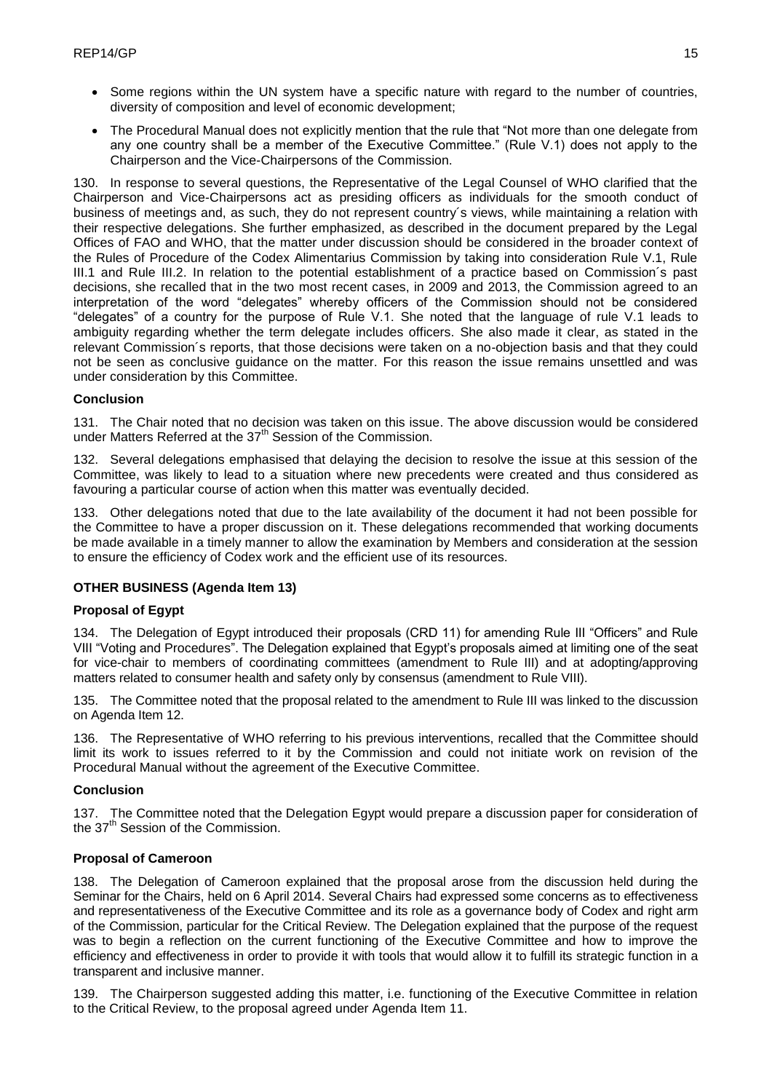- Some regions within the UN system have a specific nature with regard to the number of countries, diversity of composition and level of economic development;
- The Procedural Manual does not explicitly mention that the rule that "Not more than one delegate from any one country shall be a member of the Executive Committee." (Rule V.1) does not apply to the Chairperson and the Vice-Chairpersons of the Commission.

130. In response to several questions, the Representative of the Legal Counsel of WHO clarified that the Chairperson and Vice-Chairpersons act as presiding officers as individuals for the smooth conduct of business of meetings and, as such, they do not represent country´s views, while maintaining a relation with their respective delegations. She further emphasized, as described in the document prepared by the Legal Offices of FAO and WHO, that the matter under discussion should be considered in the broader context of the Rules of Procedure of the Codex Alimentarius Commission by taking into consideration Rule V.1, Rule III.1 and Rule III.2. In relation to the potential establishment of a practice based on Commission´s past decisions, she recalled that in the two most recent cases, in 2009 and 2013, the Commission agreed to an interpretation of the word "delegates" whereby officers of the Commission should not be considered "delegates" of a country for the purpose of Rule V.1. She noted that the language of rule V.1 leads to ambiguity regarding whether the term delegate includes officers. She also made it clear, as stated in the relevant Commission´s reports, that those decisions were taken on a no-objection basis and that they could not be seen as conclusive guidance on the matter. For this reason the issue remains unsettled and was under consideration by this Committee.

## **Conclusion**

131. The Chair noted that no decision was taken on this issue. The above discussion would be considered under Matters Referred at the 37<sup>th</sup> Session of the Commission.

132. Several delegations emphasised that delaying the decision to resolve the issue at this session of the Committee, was likely to lead to a situation where new precedents were created and thus considered as favouring a particular course of action when this matter was eventually decided.

133. Other delegations noted that due to the late availability of the document it had not been possible for the Committee to have a proper discussion on it. These delegations recommended that working documents be made available in a timely manner to allow the examination by Members and consideration at the session to ensure the efficiency of Codex work and the efficient use of its resources.

# **OTHER BUSINESS (Agenda Item 13)**

## **Proposal of Egypt**

134. The Delegation of Egypt introduced their proposals (CRD 11) for amending Rule III "Officers" and Rule VIII "Voting and Procedures". The Delegation explained that Egypt's proposals aimed at limiting one of the seat for vice-chair to members of coordinating committees (amendment to Rule III) and at adopting/approving matters related to consumer health and safety only by consensus (amendment to Rule VIII).

135. The Committee noted that the proposal related to the amendment to Rule III was linked to the discussion on Agenda Item 12.

136. The Representative of WHO referring to his previous interventions, recalled that the Committee should limit its work to issues referred to it by the Commission and could not initiate work on revision of the Procedural Manual without the agreement of the Executive Committee.

## **Conclusion**

137. The Committee noted that the Delegation Egypt would prepare a discussion paper for consideration of the 37<sup>th</sup> Session of the Commission.

## **Proposal of Cameroon**

138. The Delegation of Cameroon explained that the proposal arose from the discussion held during the Seminar for the Chairs, held on 6 April 2014. Several Chairs had expressed some concerns as to effectiveness and representativeness of the Executive Committee and its role as a governance body of Codex and right arm of the Commission, particular for the Critical Review. The Delegation explained that the purpose of the request was to begin a reflection on the current functioning of the Executive Committee and how to improve the efficiency and effectiveness in order to provide it with tools that would allow it to fulfill its strategic function in a transparent and inclusive manner.

139. The Chairperson suggested adding this matter, i.e. functioning of the Executive Committee in relation to the Critical Review, to the proposal agreed under Agenda Item 11.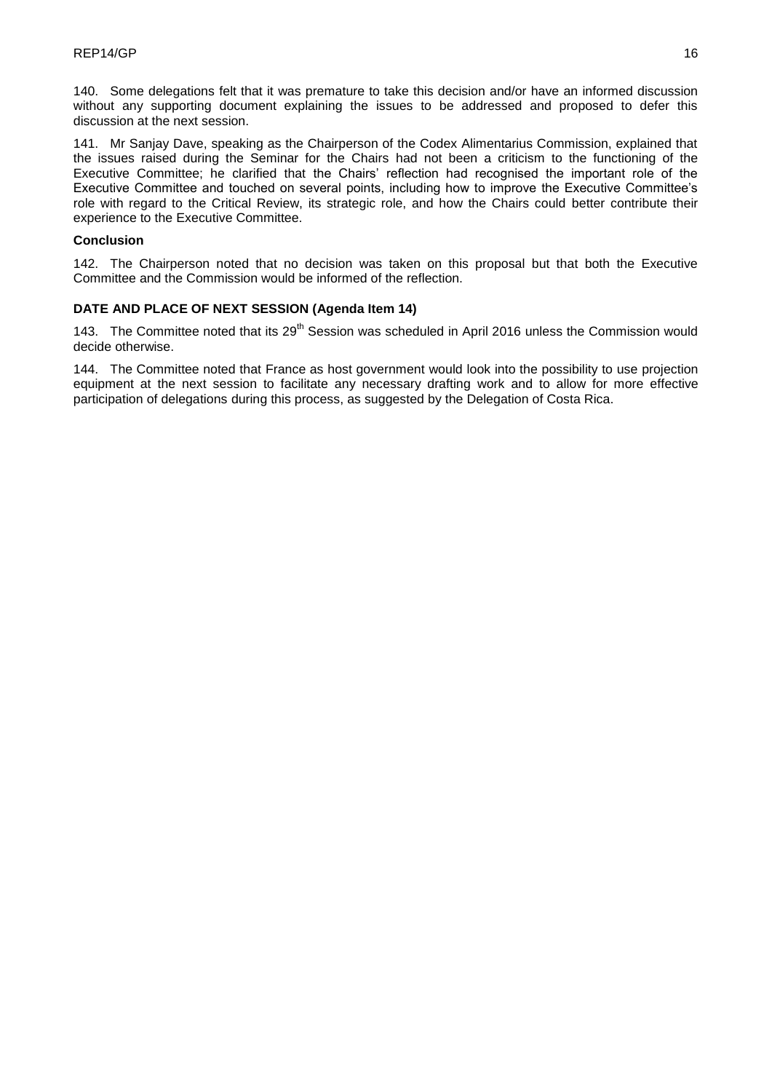140. Some delegations felt that it was premature to take this decision and/or have an informed discussion without any supporting document explaining the issues to be addressed and proposed to defer this discussion at the next session.

141. Mr Sanjay Dave, speaking as the Chairperson of the Codex Alimentarius Commission, explained that the issues raised during the Seminar for the Chairs had not been a criticism to the functioning of the Executive Committee; he clarified that the Chairs' reflection had recognised the important role of the Executive Committee and touched on several points, including how to improve the Executive Committee's role with regard to the Critical Review, its strategic role, and how the Chairs could better contribute their experience to the Executive Committee.

## **Conclusion**

142. The Chairperson noted that no decision was taken on this proposal but that both the Executive Committee and the Commission would be informed of the reflection.

## **DATE AND PLACE OF NEXT SESSION (Agenda Item 14)**

143. The Committee noted that its 29<sup>th</sup> Session was scheduled in April 2016 unless the Commission would decide otherwise.

144. The Committee noted that France as host government would look into the possibility to use projection equipment at the next session to facilitate any necessary drafting work and to allow for more effective participation of delegations during this process, as suggested by the Delegation of Costa Rica.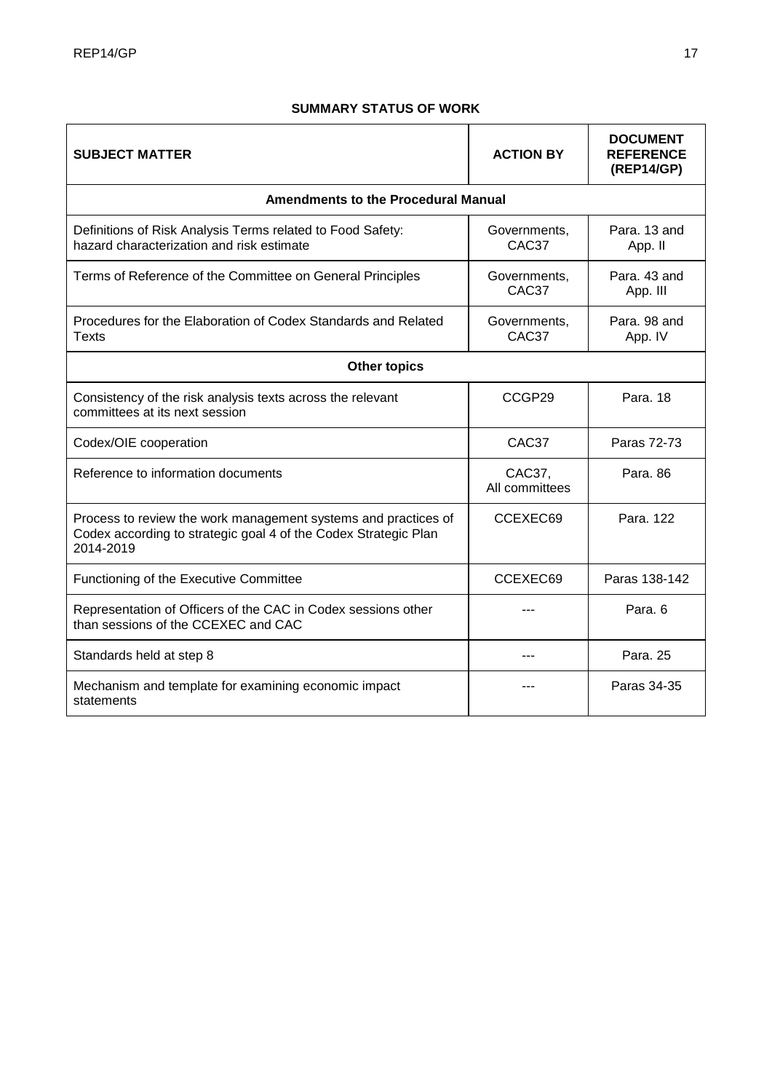# **SUMMARY STATUS OF WORK**

| <b>SUBJECT MATTER</b>                                                                                                                          | <b>ACTION BY</b>                  | <b>DOCUMENT</b><br><b>REFERENCE</b><br>(REP14/GP) |  |  |
|------------------------------------------------------------------------------------------------------------------------------------------------|-----------------------------------|---------------------------------------------------|--|--|
| <b>Amendments to the Procedural Manual</b>                                                                                                     |                                   |                                                   |  |  |
| Definitions of Risk Analysis Terms related to Food Safety:<br>hazard characterization and risk estimate                                        | Governments,<br>CAC <sub>37</sub> | Para. 13 and<br>App. II                           |  |  |
| Terms of Reference of the Committee on General Principles                                                                                      | Governments,<br>CAC37             | Para, 43 and<br>App. III                          |  |  |
| Procedures for the Elaboration of Codex Standards and Related<br>Texts                                                                         | Governments,<br>CAC37             | Para, 98 and<br>App. IV                           |  |  |
| <b>Other topics</b>                                                                                                                            |                                   |                                                   |  |  |
| Consistency of the risk analysis texts across the relevant<br>committees at its next session                                                   | CCGP29                            | Para, 18                                          |  |  |
| Codex/OIE cooperation                                                                                                                          | CAC37                             | Paras 72-73                                       |  |  |
| Reference to information documents                                                                                                             | CAC37,<br>All committees          | Para, 86                                          |  |  |
| Process to review the work management systems and practices of<br>Codex according to strategic goal 4 of the Codex Strategic Plan<br>2014-2019 | CCEXEC69                          | Para, 122                                         |  |  |
| Functioning of the Executive Committee                                                                                                         | CCEXEC69                          | Paras 138-142                                     |  |  |
| Representation of Officers of the CAC in Codex sessions other<br>than sessions of the CCEXEC and CAC                                           |                                   | Para, 6                                           |  |  |
| Standards held at step 8                                                                                                                       | ---                               | Para, 25                                          |  |  |
| Mechanism and template for examining economic impact<br>statements                                                                             |                                   | Paras 34-35                                       |  |  |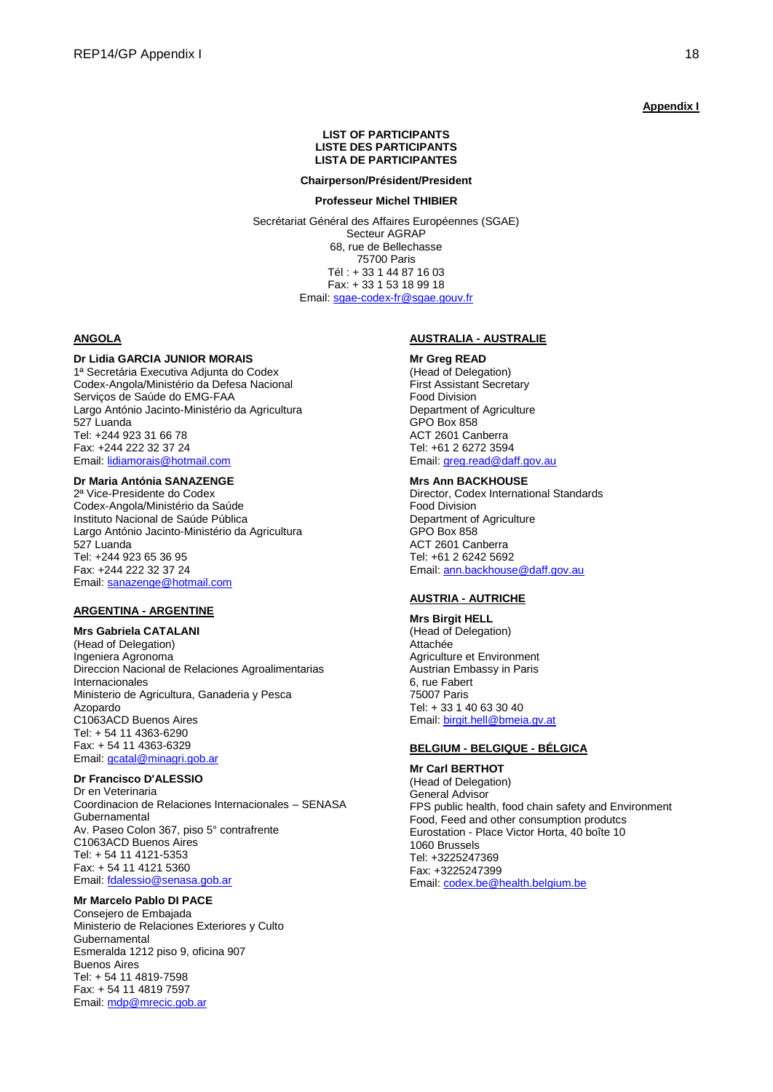### **Appendix I**

#### **LIST OF PARTICIPANTS LISTE DES PARTICIPANTS LISTA DE PARTICIPANTES**

#### **Chairperson/Président/President**

#### **Professeur Michel THIBIER**

Secrétariat Général des Affaires Européennes (SGAE) Secteur AGRAP 68, rue de Bellechasse 75700 Paris Tél : + 33 1 44 87 16 03 Fax: + 33 1 53 18 99 18 Email: [sgae-codex-fr@sgae.gouv.fr](mailto:sgae-codex-fr@sgae.gouv.fr)

#### **ANGOLA**

### **Dr Lidia GARCIA JUNIOR MORAIS**

1ª Secretária Executiva Adjunta do Codex Codex-Angola/Ministério da Defesa Nacional Serviços de Saúde do EMG-FAA Largo António Jacinto-Ministério da Agricultura 527 Luanda Tel: +244 923 31 66 78 Fax: +244 222 32 37 24 Email[: lidiamorais@hotmail.com](mailto:lidiamorais@hotmail.com)

## **Dr Maria Antónia SANAZENGE**

2ª Vice-Presidente do Codex Codex-Angola/Ministério da Saúde Instituto Nacional de Saúde Pública Largo António Jacinto-Ministério da Agricultura 527 Luanda Tel: +244 923 65 36 95 Fax: +244 222 32 37 24 Email[: sanazenge@hotmail.com](mailto:sanazenge@hotmail.com)

### **ARGENTINA - ARGENTINE**

**Mrs Gabriela CATALANI** (Head of Delegation) Ingeniera Agronoma Direccion Nacional de Relaciones Agroalimentarias Internacionales Ministerio de Agricultura, Ganaderia y Pesca Azopardo C1063ACD Buenos Aires Tel: + 54 11 4363-6290 Fax: + 54 11 4363-6329 Email[: gcatal@minagri.gob.ar](mailto:gcatal@minagri.gob.ar)

## **Dr Francisco D'ALESSIO**

Dr en Veterinaria Coordinacion de Relaciones Internacionales – SENASA **Gubernamental** Av. Paseo Colon 367, piso 5° contrafrente C1063ACD Buenos Aires Tel: + 54 11 4121-5353 Fax: + 54 11 4121 5360 Email[: fdalessio@senasa.gob.ar](mailto:fdalessio@senasa.gob.ar)

### **Mr Marcelo Pablo DI PACE**

Consejero de Embajada Ministerio de Relaciones Exteriores y Culto Gubernamental Esmeralda 1212 piso 9, oficina 907 Buenos Aires Tel: + 54 11 4819-7598 Fax: + 54 11 4819 7597 Email[: mdp@mrecic.gob.ar](mailto:mdp@mrecic.gob.ar)

### **AUSTRALIA - AUSTRALIE**

#### **Mr Greg READ**

(Head of Delegation) First Assistant Secretary Food Division Department of Agriculture GPO Box 858 ACT 2601 Canberra Tel: +61 2 6272 3594 Email[: greg.read@daff.gov.au](mailto:greg.read@daff.gov.au)

#### **Mrs Ann BACKHOUSE**

Director, Codex International Standards Food Division Department of Agriculture GPO Box 858 ACT 2601 Canberra Tel: +61 2 6242 5692 Email[: ann.backhouse@daff.gov.au](mailto:ann.backhouse@daff.gov.au)

#### **AUSTRIA - AUTRICHE**

**Mrs Birgit HELL** (Head of Delegation) Attachée Agriculture et Environment Austrian Embassy in Paris 6, rue Fabert 75007 Paris Tel: + 33 1 40 63 30 40 Email[: birgit.hell@bmeia.gv.at](mailto:birgit.hell@bmeia.gv.at)

### **BELGIUM - BELGIQUE - BÉLGICA**

**Mr Carl BERTHOT** (Head of Delegation) General Advisor FPS public health, food chain safety and Environment Food, Feed and other consumption produtcs Eurostation - Place Victor Horta, 40 boîte 10 1060 Brussels Tel: +3225247369 Fax: +3225247399 Email[: codex.be@health.belgium.be](mailto:codex.be@health.belgium.be)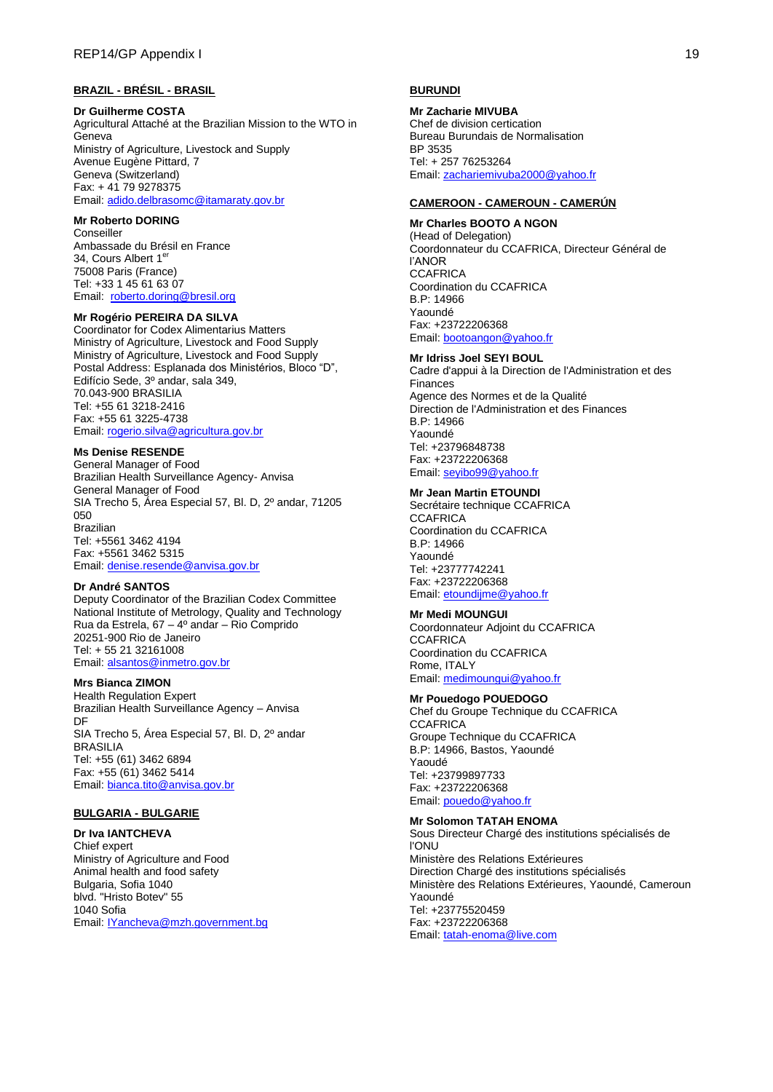### **BRAZIL - BRÉSIL - BRASIL**

#### **Dr Guilherme COSTA**

Agricultural Attaché at the Brazilian Mission to the WTO in Geneva Ministry of Agriculture, Livestock and Supply Avenue Eugène Pittard, 7 Geneva (Switzerland) Fax: + 41 79 9278375 Email[: adido.delbrasomc@itamaraty.gov.br](mailto:adido.delbrasomc@itamaraty.gov.br)

#### **Mr Roberto DORING**

**Conseiller** Ambassade du Brésil en France 34, Cours Albert 1<sup>e</sup> 75008 Paris (France) Tel: +33 1 45 61 63 07 Email: [roberto.doring@bresil.org](mailto:roberto.doring@bresil.org)

## **Mr Rogério PEREIRA DA SILVA**

Coordinator for Codex Alimentarius Matters Ministry of Agriculture, Livestock and Food Supply Ministry of Agriculture, Livestock and Food Supply Postal Address: Esplanada dos Ministérios, Bloco "D", Edifício Sede, 3º andar, sala 349, 70.043-900 BRASILIA Tel: +55 61 3218-2416 Fax: +55 61 3225-4738 Email[: rogerio.silva@agricultura.gov.br](mailto:rogerio.silva@agricultura.gov.br)

### **Ms Denise RESENDE**

General Manager of Food Brazilian Health Surveillance Agency- Anvisa General Manager of Food SIA Trecho 5, Área Especial 57, Bl. D, 2º andar, 71205 050 Brazilian Tel: +5561 3462 4194 Fax: +5561 3462 5315 Email[: denise.resende@anvisa.gov.br](mailto:denise.resende@anvisa.gov.br)

## **Dr André SANTOS**

Deputy Coordinator of the Brazilian Codex Committee National Institute of Metrology, Quality and Technology Rua da Estrela, 67 – 4º andar – Rio Comprido 20251-900 Rio de Janeiro Tel: + 55 21 32161008 Email[: alsantos@inmetro.gov.br](mailto:alsantos@inmetro.gov.br)

#### **Mrs Bianca ZIMON**

Health Regulation Expert Brazilian Health Surveillance Agency – Anvisa DF SIA Trecho 5, Área Especial 57, Bl. D, 2º andar BRASILIA Tel: +55 (61) 3462 6894 Fax: +55 (61) 3462 5414 Email[: bianca.tito@anvisa.gov.br](mailto:bianca.tito@anvisa.gov.br)

#### **BULGARIA - BULGARIE**

#### **Dr Iva IANTCHEVA**

Chief expert Ministry of Agriculture and Food Animal health and food safety Bulgaria, Sofia 1040 blvd. "Hristo Botev" 55 1040 Sofia Email[: IYancheva@mzh.government.bg](mailto:IYancheva@mzh.government.bg)

## **BURUNDI**

**Mr Zacharie MIVUBA** Chef de division certication Bureau Burundais de Normalisation BP 3535 Tel: + 257 76253264 Email: [zachariemivuba2000@yahoo.fr](mailto:zachariemivuba2000@yahoo.fr)

#### **CAMEROON - CAMEROUN - CAMERÚN**

**Mr Charles BOOTO A NGON** (Head of Delegation) Coordonnateur du CCAFRICA, Directeur Général de l'ANOR **CCAFRICA** Coordination du CCAFRICA B.P: 14966 Yaoundé Fax: +23722206368 Email[: bootoangon@yahoo.fr](mailto:bootoangon@yahoo.fr)

### **Mr Idriss Joel SEYI BOUL**

Cadre d'appui à la Direction de l'Administration et des Finances Agence des Normes et de la Qualité Direction de l'Administration et des Finances B.P: 14966 Yaoundé Tel: +23796848738 Fax: +23722206368 Email[: seyibo99@yahoo.fr](mailto:seyibo99@yahoo.fr)

### **Mr Jean Martin ETOUNDI**

Secrétaire technique CCAFRICA **CCAFRICA** Coordination du CCAFRICA B.P: 14966 Yaoundé Tel: +23777742241 Fax: +23722206368 Email[: etoundijme@yahoo.fr](mailto:etoundijme@yahoo.fr)

#### **Mr Medi MOUNGUI**

Coordonnateur Adjoint du CCAFRICA **CCAFRICA** Coordination du CCAFRICA Rome, ITALY Email[: medimoungui@yahoo.fr](mailto:medimoungui@yahoo.fr)

#### **Mr Pouedogo POUEDOGO**

Chef du Groupe Technique du CCAFRICA **CCAFRICA** Groupe Technique du CCAFRICA B.P: 14966, Bastos, Yaoundé Yaoudé Tel: +23799897733 Fax: +23722206368 Email[: pouedo@yahoo.fr](mailto:pouedo@yahoo.fr)

#### **Mr Solomon TATAH ENOMA**

Sous Directeur Chargé des institutions spécialisés de l'ONU Ministère des Relations Extérieures Direction Chargé des institutions spécialisés Ministère des Relations Extérieures, Yaoundé, Cameroun Yaoundé Tel: +23775520459 Fax: +23722206368 Email[: tatah-enoma@live.com](mailto:tatah-enoma@live.com)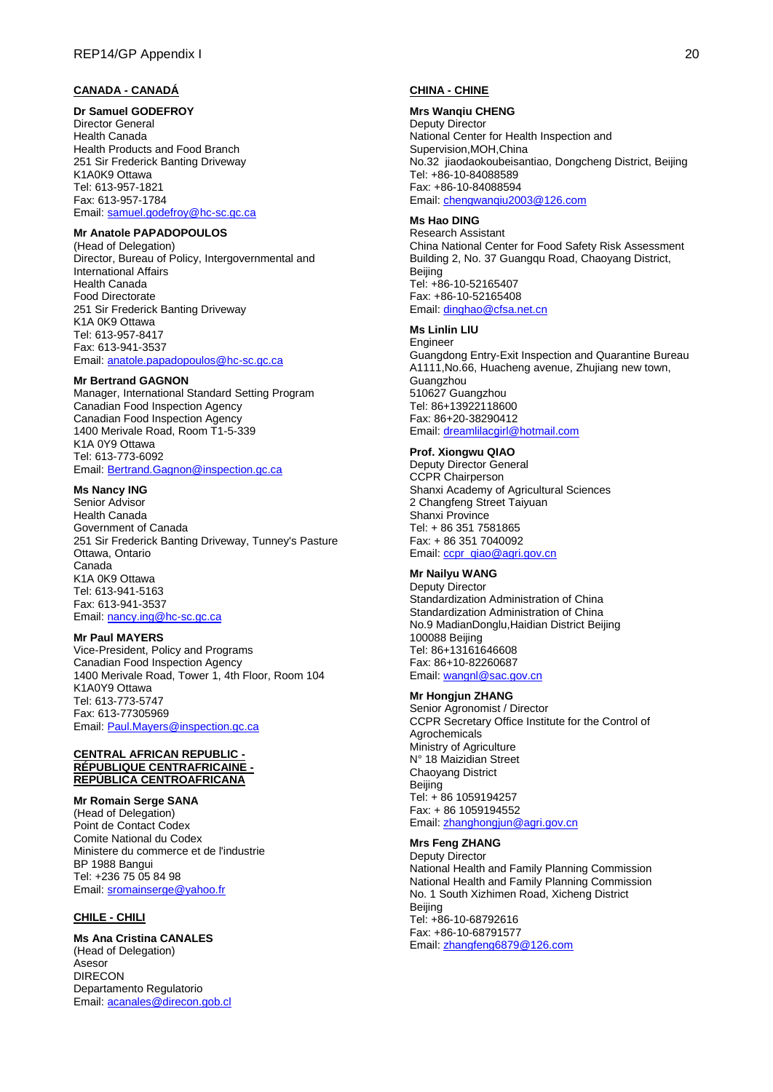### **CANADA - CANADÁ**

**Dr Samuel GODEFROY** Director General Health Canada Health Products and Food Branch 251 Sir Frederick Banting Driveway K1A0K9 Ottawa Tel: 613-957-1821 Fax: 613-957-1784 Email[: samuel.godefroy@hc-sc.gc.ca](mailto:samuel.godefroy@hc-sc.gc.ca)

# **Mr Anatole PAPADOPOULOS**

(Head of Delegation) Director, Bureau of Policy, Intergovernmental and International Affairs Health Canada Food Directorate 251 Sir Frederick Banting Driveway K1A 0K9 Ottawa Tel: 613-957-8417 Fax: 613-941-3537 Email[: anatole.papadopoulos@hc-sc.gc.ca](mailto:anatole.papadopoulos@hc-sc.gc.ca)

#### **Mr Bertrand GAGNON**

Manager, International Standard Setting Program Canadian Food Inspection Agency Canadian Food Inspection Agency 1400 Merivale Road, Room T1-5-339 K1A 0Y9 Ottawa Tel: 613-773-6092 Email[: Bertrand.Gagnon@inspection.gc.ca](mailto:Bertrand.Gagnon@inspection.gc.ca)

### **Ms Nancy ING**

Senior Advisor Health Canada Government of Canada 251 Sir Frederick Banting Driveway, Tunney's Pasture Ottawa, Ontario Canada K1A 0K9 Ottawa Tel: 613-941-5163 Fax: 613-941-3537 Email[: nancy.ing@hc-sc.gc.ca](mailto:nancy.ing@hc-sc.gc.ca)

### **Mr Paul MAYERS**

Vice-President, Policy and Programs Canadian Food Inspection Agency 1400 Merivale Road, Tower 1, 4th Floor, Room 104 K1A0Y9 Ottawa Tel: 613-773-5747 Fax: 613-77305969 Email[: Paul.Mayers@inspection.gc.ca](mailto:Paul.Mayers@inspection.gc.ca)

### **CENTRAL AFRICAN REPUBLIC - RÉPUBLIQUE CENTRAFRICAINE - REPÚBLICA CENTROAFRICANA**

**Mr Romain Serge SANA** (Head of Delegation) Point de Contact Codex Comite National du Codex Ministere du commerce et de l'industrie BP 1988 Bangui Tel: +236 75 05 84 98 Email[: sromainserge@yahoo.fr](mailto:sromainserge@yahoo.fr)

### **CHILE - CHILI**

**Ms Ana Cristina CANALES** (Head of Delegation) Asesor DIRECON Departamento Regulatorio Email[: acanales@direcon.gob.cl](mailto:acanales@direcon.gob.cl)

### **CHINA - CHINE**

#### **Mrs Wanqiu CHENG**

Deputy Director National Center for Health Inspection and Supervision,MOH,China No.32 jiaodaokoubeisantiao, Dongcheng District, Beijing Tel: +86-10-84088589 Fax: +86-10-84088594 Email[: chengwanqiu2003@126.com](mailto:chengwanqiu2003@126.com)

#### **Ms Hao DING**

Research Assistant China National Center for Food Safety Risk Assessment Building 2, No. 37 Guangqu Road, Chaoyang District, Beijing Tel: +86-10-52165407 Fax: +86-10-52165408 Email[: dinghao@cfsa.net.cn](mailto:dinghao@cfsa.net.cn)

### **Ms Linlin LIU**

Engineer Guangdong Entry-Exit Inspection and Quarantine Bureau A1111,No.66, Huacheng avenue, Zhujiang new town, **Guangzhou** 510627 Guangzhou Tel: 86+13922118600 Fax: 86+20-38290412 Email[: dreamlilacgirl@hotmail.com](mailto:dreamlilacgirl@hotmail.com)

#### **Prof. Xiongwu QIAO**

Deputy Director General CCPR Chairperson Shanxi Academy of Agricultural Sciences 2 Changfeng Street Taiyuan Shanxi Province Tel: + 86 351 7581865 Fax: + 86 351 7040092 Email[: ccpr\\_qiao@agri.gov.cn](mailto:ccpr_qiao@agri.gov.cn)

## **Mr Nailyu WANG**

Deputy Director Standardization Administration of China Standardization Administration of China No.9 MadianDonglu,Haidian District Beijing 100088 Beijing Tel: 86+13161646608 Fax: 86+10-82260687 Email[: wangnl@sac.gov.cn](mailto:wangnl@sac.gov.cn)

#### **Mr Hongjun ZHANG**

Senior Agronomist / Director CCPR Secretary Office Institute for the Control of Agrochemicals Ministry of Agriculture N° 18 Maizidian Street Chaoyang District Beijing Tel: + 86 1059194257 Fax: + 86 1059194552 Email[: zhanghongjun@agri.gov.cn](mailto:zhanghongjun@agri.gov.cn)

#### **Mrs Feng ZHANG**

Deputy Director National Health and Family Planning Commission National Health and Family Planning Commission No. 1 South Xizhimen Road, Xicheng District **Beijing** Tel: +86-10-68792616 Fax: +86-10-68791577 Email[: zhangfeng6879@126.com](mailto:zhangfeng6879@126.com)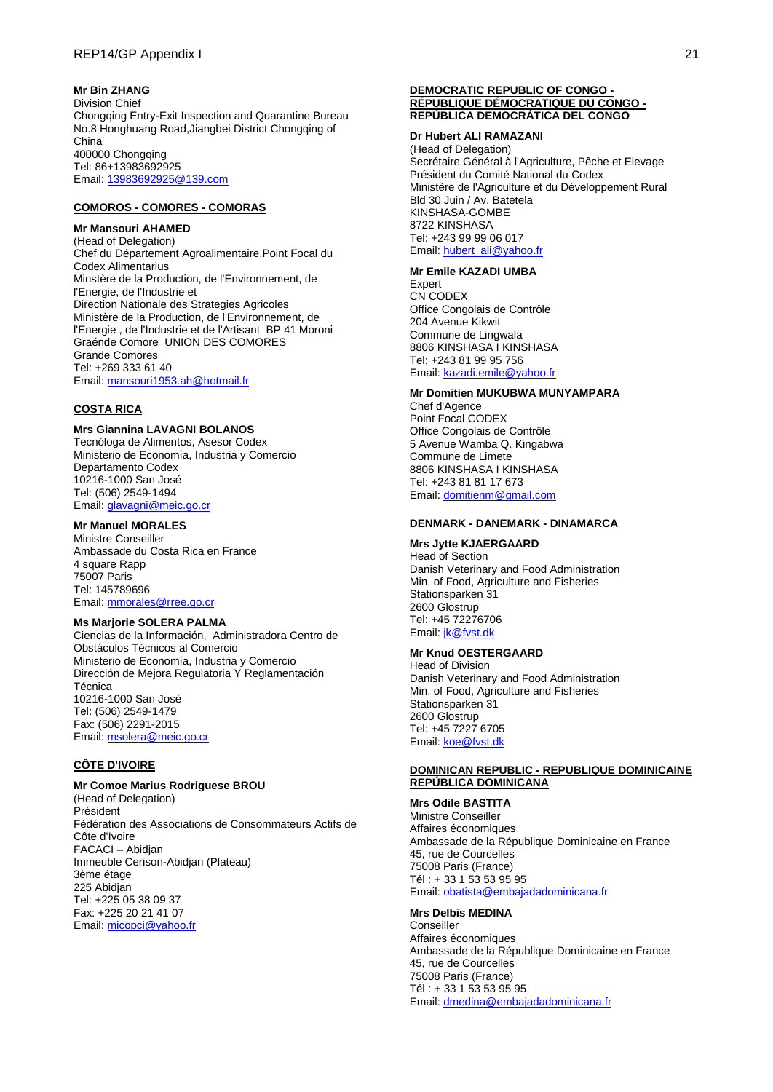## **Mr Bin ZHANG**

Division Chief Chongqing Entry-Exit Inspection and Quarantine Bureau No.8 Honghuang Road,Jiangbei District Chongqing of China 400000 Chongqing Tel: 86+13983692925 Email[: 13983692925@139.com](mailto:13983692925@139.com)

## **COMOROS - COMORES - COMORAS**

## **Mr Mansouri AHAMED**

(Head of Delegation) Chef du Département Agroalimentaire,Point Focal du Codex Alimentarius Minstère de la Production, de l'Environnement, de l'Energie, de l'Industrie et Direction Nationale des Strategies Agricoles Ministère de la Production, de l'Environnement, de l'Energie , de l'Industrie et de l'Artisant BP 41 Moroni Graénde Comore UNION DES COMORES Grande Comores Tel: +269 333 61 40 Email[: mansouri1953.ah@hotmail.fr](mailto:mansouri1953.ah@hotmail.fr)

#### **COSTA RICA**

#### **Mrs Giannina LAVAGNI BOLANOS**

Tecnóloga de Alimentos, Asesor Codex Ministerio de Economía, Industria y Comercio Departamento Codex 10216-1000 San José Tel: (506) 2549-1494 Email[: glavagni@meic.go.cr](mailto:glavagni@meic.go.cr)

## **Mr Manuel MORALES**

Ministre Conseiller Ambassade du Costa Rica en France 4 square Rapp 75007 Paris Tel: 145789696 Email[: mmorales@rree.go.cr](mailto:mmorales@rree.go.cr)

## **Ms Marjorie SOLERA PALMA**

Ciencias de la Información, Administradora Centro de Obstáculos Técnicos al Comercio Ministerio de Economía, Industria y Comercio Dirección de Mejora Regulatoria Y Reglamentación **Técnica** 10216-1000 San José Tel: (506) 2549-1479 Fax: (506) 2291-2015 Email[: msolera@meic.go.cr](mailto:msolera@meic.go.cr)

## **CÔTE D'IVOIRE**

#### **Mr Comoe Marius Rodriguese BROU** (Head of Delegation) Président Fédération des Associations de Consommateurs Actifs de Côte d'Ivoire FACACI – Abidjan Immeuble Cerison-Abidjan (Plateau) 3ème étage 225 Abidjan Tel: +225 05 38 09 37 Fax: +225 20 21 41 07 Email[: micopci@yahoo.fr](mailto:micopci@yahoo.fr)

#### **DEMOCRATIC REPUBLIC OF CONGO - RÉPUBLIQUE DÉMOCRATIQUE DU CONGO - REPÚBLICA DEMOCRÁTICA DEL CONGO**

#### **Dr Hubert ALI RAMAZANI**

(Head of Delegation) Secrétaire Général à l'Agriculture, Pêche et Elevage Président du Comité National du Codex Ministère de l'Agriculture et du Développement Rural Bld 30 Juin / Av. Batetela KINSHASA-GOMBE 8722 KINSHASA Tel: +243 99 99 06 017 Email[: hubert\\_ali@yahoo.fr](mailto:hubert_ali@yahoo.fr)

# **Mr Emile KAZADI UMBA**

Expert CN CODEX Office Congolais de Contrôle 204 Avenue Kikwit Commune de Lingwala 8806 KINSHASA I KINSHASA Tel: +243 81 99 95 756 Email[: kazadi.emile@yahoo.fr](mailto:kazadi.emile@yahoo.fr)

#### **Mr Domitien MUKUBWA MUNYAMPARA**

Chef d'Agence Point Focal CODEX Office Congolais de Contrôle 5 Avenue Wamba Q. Kingabwa Commune de Limete 8806 KINSHASA I KINSHASA Tel: +243 81 81 17 673 Email[: domitienm@gmail.com](mailto:domitienm@gmail.com)

#### **DENMARK - DANEMARK - DINAMARCA**

### **Mrs Jytte KJAERGAARD**

Head of Section Danish Veterinary and Food Administration Min. of Food, Agriculture and Fisheries Stationsparken 31 2600 Glostrup Tel: +45 72276706 Email[: jk@fvst.dk](mailto:jk@fvst.dk)

## **Mr Knud OESTERGAARD**

Head of Division Danish Veterinary and Food Administration Min. of Food, Agriculture and Fisheries Stationsparken 31 2600 Glostrup Tel: +45 7227 6705 Email[: koe@fvst.dk](mailto:koe@fvst.dk)

### **DOMINICAN REPUBLIC - REPUBLIQUE DOMINICAINE REPÚBLICA DOMINICANA**

#### **Mrs Odile BASTITA**

Ministre Conseiller Affaires économiques Ambassade de la République Dominicaine en France 45, rue de Courcelles 75008 Paris (France) Tél : + 33 1 53 53 95 95 Email: [obatista@embajadadominicana.fr](mailto:obatista@embajadadominicana.fr)

#### **Mrs Delbis MEDINA**

**Conseiller** Affaires économiques Ambassade de la République Dominicaine en France 45, rue de Courcelles 75008 Paris (France) Tél : + 33 1 53 53 95 95 Email: [dmedina@embajadadominicana.fr](mailto:dmedina@embajadadominicana.fr)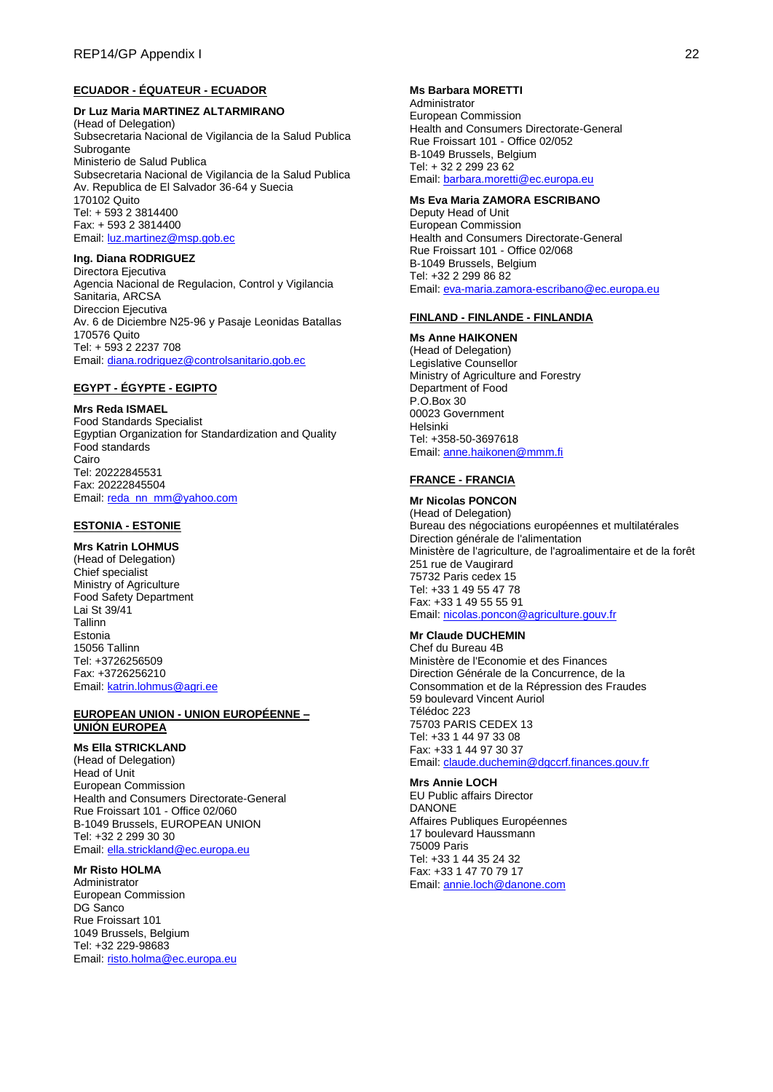## **ECUADOR - ÉQUATEUR - ECUADOR**

### **Dr Luz Maria MARTINEZ ALTARMIRANO**

(Head of Delegation) Subsecretaria Nacional de Vigilancia de la Salud Publica Subrogante Ministerio de Salud Publica Subsecretaria Nacional de Vigilancia de la Salud Publica Av. Republica de El Salvador 36-64 y Suecia 170102 Quito Tel: + 593 2 3814400 Fax: + 593 2 3814400 Email[: luz.martinez@msp.gob.ec](mailto:luz.martinez@msp.gob.ec)

# **Ing. Diana RODRIGUEZ**

Directora Ejecutiva Agencia Nacional de Regulacion, Control y Vigilancia Sanitaria, ARCSA Direccion Ejecutiva Av. 6 de Diciembre N25-96 y Pasaje Leonidas Batallas 170576 Quito Tel: + 593 2 2237 708 Email[: diana.rodriguez@controlsanitario.gob.ec](mailto:diana.rodriguez@controlsanitario.gob.ec)

### **EGYPT - ÉGYPTE - EGIPTO**

#### **Mrs Reda ISMAEL**

Food Standards Specialist Egyptian Organization for Standardization and Quality Food standards Cairo Tel: 20222845531 Fax: 20222845504 Email[: reda\\_nn\\_mm@yahoo.com](mailto:reda_nn_mm@yahoo.com)

### **ESTONIA - ESTONIE**

## **Mrs Katrin LOHMUS**

(Head of Delegation) Chief specialist Ministry of Agriculture Food Safety Department Lai St 39/41 Tallinn Estonia 15056 Tallinn Tel: +3726256509 Fax: +3726256210 Email[: katrin.lohmus@agri.ee](mailto:katrin.lohmus@agri.ee)

#### **EUROPEAN UNION - UNION EUROPÉENNE – UNIÓN EUROPEA**

### **Ms Ella STRICKLAND**

(Head of Delegation) Head of Unit European Commission Health and Consumers Directorate-General Rue Froissart 101 - Office 02/060 B-1049 Brussels, EUROPEAN UNION Tel: +32 2 299 30 30 Email[: ella.strickland@ec.europa.eu](mailto:ella.strickland@ec.europa.eu)

## **Mr Risto HOLMA**

Administrator European Commission DG Sanco Rue Froissart 101 1049 Brussels, Belgium Tel: +32 229-98683 Email[: risto.holma@ec.europa.eu](mailto:risto.holma@ec.europa.eu)

#### **Ms Barbara MORETTI**

Administrator European Commission Health and Consumers Directorate-General Rue Froissart 101 - Office 02/052 B-1049 Brussels, Belgium Tel: + 32 2 299 23 62 Email[: barbara.moretti@ec.europa.eu](mailto:barbara.moretti@ec.europa.eu)

#### **Ms Eva Maria ZAMORA ESCRIBANO**

Deputy Head of Unit European Commission Health and Consumers Directorate-General Rue Froissart 101 - Office 02/068 B-1049 Brussels, Belgium Tel: +32 2 299 86 82 Email[: eva-maria.zamora-escribano@ec.europa.eu](mailto:eva-maria.zamora-escribano@ec.europa.eu)

### **FINLAND - FINLANDE - FINLANDIA**

#### **Ms Anne HAIKONEN**

(Head of Delegation) Legislative Counsellor Ministry of Agriculture and Forestry Department of Food P.O.Box 30 00023 Government Helsinki Tel: +358-50-3697618 Email[: anne.haikonen@mmm.fi](mailto:anne.haikonen@mmm.fi)

# **FRANCE - FRANCIA**

#### **Mr Nicolas PONCON** (Head of Delegation) Bureau des négociations européennes et multilatérales Direction générale de l'alimentation Ministère de l'agriculture, de l'agroalimentaire et de la forêt 251 rue de Vaugirard 75732 Paris cedex 15 Tel: +33 1 49 55 47 78 Fax: +33 1 49 55 55 91 Email[: nicolas.poncon@agriculture.gouv.fr](mailto:nicolas.poncon@agriculture.gouv.fr)

## **Mr Claude DUCHEMIN**

Chef du Bureau 4B Ministère de l'Economie et des Finances Direction Générale de la Concurrence, de la Consommation et de la Répression des Fraudes 59 boulevard Vincent Auriol Télédoc 223 75703 PARIS CEDEX 13 Tel: +33 1 44 97 33 08 Fax: +33 1 44 97 30 37 Email[: claude.duchemin@dgccrf.finances.gouv.fr](mailto:claude.duchemin@dgccrf.finances.gouv.fr)

#### **Mrs Annie LOCH**

EU Public affairs Director DANONE Affaires Publiques Européennes 17 boulevard Haussmann 75009 Paris Tel: +33 1 44 35 24 32 Fax: +33 1 47 70 79 17 Email[: annie.loch@danone.com](mailto:annie.loch@danone.com)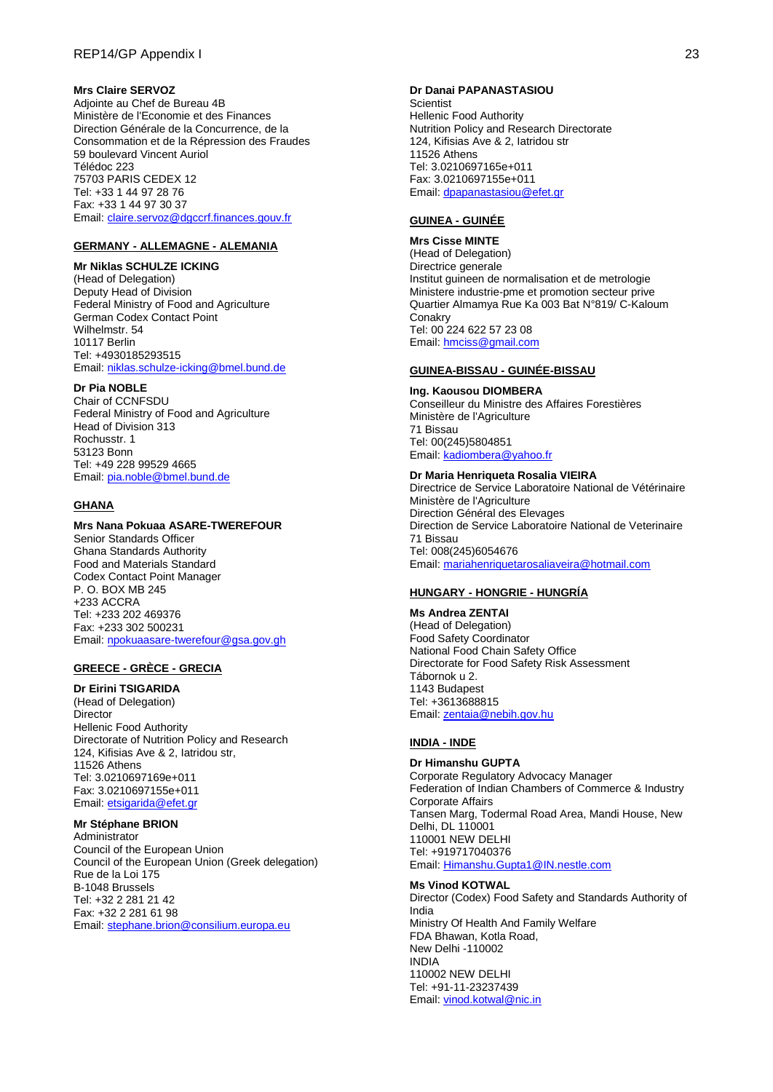### **Mrs Claire SERVOZ**

Adjointe au Chef de Bureau 4B Ministère de l'Economie et des Finances Direction Générale de la Concurrence, de la Consommation et de la Répression des Fraudes 59 boulevard Vincent Auriol Télédoc 223 75703 PARIS CEDEX 12 Tel: +33 1 44 97 28 76 Fax: +33 1 44 97 30 37 Email[: claire.servoz@dgccrf.finances.gouv.fr](mailto:claire.servoz@dgccrf.finances.gouv.fr)

### **GERMANY - ALLEMAGNE - ALEMANIA**

**Mr Niklas SCHULZE ICKING** (Head of Delegation) Deputy Head of Division Federal Ministry of Food and Agriculture German Codex Contact Point Wilhelmstr. 54 10117 Berlin Tel: +4930185293515 Email[: niklas.schulze-icking@bmel.bund.de](mailto:niklas.schulze-icking@bmel.bund.de)

### **Dr Pia NOBLE**

Chair of CCNFSDU Federal Ministry of Food and Agriculture Head of Division 313 Rochusstr. 1 53123 Bonn Tel: +49 228 99529 4665 Email[: pia.noble@bmel.bund.de](mailto:pia.noble@bmel.bund.de)

### **GHANA**

### **Mrs Nana Pokuaa ASARE-TWEREFOUR**

Senior Standards Officer Ghana Standards Authority Food and Materials Standard Codex Contact Point Manager P. O. BOX MB 245 +233 ACCRA Tel: +233 202 469376 Fax: +233 302 500231 Email[: npokuaasare-twerefour@gsa.gov.gh](mailto:npokuaasare-twerefour@gsa.gov.gh)

### **GREECE - GRÈCE - GRECIA**

**Dr Eirini TSIGARIDA** (Head of Delegation) Director Hellenic Food Authority Directorate of Nutrition Policy and Research 124, Kifisias Ave & 2, Iatridou str,

11526 Athens Tel: 3.0210697169e+011 Fax: 3.0210697155e+011 Email[: etsigarida@efet.gr](mailto:etsigarida@efet.gr)

## **Mr Stéphane BRION**

Administrator Council of the European Union Council of the European Union (Greek delegation) Rue de la Loi 175 B-1048 Brussels Tel: +32 2 281 21 42 Fax: +32 2 281 61 98 Email[: stephane.brion@consilium.europa.eu](mailto:stephane.brion@consilium.europa.eu)

#### **Dr Danai PAPANASTASIOU**

**Scientist** Hellenic Food Authority Nutrition Policy and Research Directorate 124, Kifisias Ave & 2, Iatridou str 11526 Athens Tel: 3.0210697165e+011 Fax: 3.0210697155e+011 Email[: dpapanastasiou@efet.gr](mailto:dpapanastasiou@efet.gr)

#### **GUINEA - GUINÉE**

**Mrs Cisse MINTE** (Head of Delegation) Directrice generale Institut guineen de normalisation et de metrologie Ministere industrie-pme et promotion secteur prive Quartier Almamya Rue Ka 003 Bat N°819/ C-Kaloum **Conakry** Tel: 00 224 622 57 23 08 Email[: hmciss@gmail.com](mailto:hmciss@gmail.com)

### **GUINEA-BISSAU - GUINÉE-BISSAU**

**Ing. Kaousou DIOMBERA** Conseilleur du Ministre des Affaires Forestières Ministère de l'Agriculture 71 Bissau Tel: 00(245)5804851 Email[: kadiombera@yahoo.fr](mailto:kadiombera@yahoo.fr)

**Dr Maria Henriqueta Rosalia VIEIRA** Directrice de Service Laboratoire National de Vétérinaire Ministère de l'Agriculture Direction Général des Elevages Direction de Service Laboratoire National de Veterinaire 71 Bissau Tel: 008(245)6054676 Email[: mariahenriquetarosaliaveira@hotmail.com](mailto:mariahenriquetarosaliaveira@hotmail.com)

#### **HUNGARY - HONGRIE - HUNGRÍA**

**Ms Andrea ZENTAI** (Head of Delegation) Food Safety Coordinator National Food Chain Safety Office Directorate for Food Safety Risk Assessment Tábornok u 2. 1143 Budapest Tel: +3613688815 Email[: zentaia@nebih.gov.hu](mailto:zentaia@nebih.gov.hu)

## **INDIA - INDE**

**Dr Himanshu GUPTA** Corporate Regulatory Advocacy Manager Federation of Indian Chambers of Commerce & Industry Corporate Affairs Tansen Marg, Todermal Road Area, Mandi House, New Delhi, DL 110001 110001 NEW DELHI Tel: +919717040376 Email[: Himanshu.Gupta1@IN.nestle.com](mailto:Himanshu.Gupta1@IN.nestle.com)

### **Ms Vinod KOTWAL**

Director (Codex) Food Safety and Standards Authority of India Ministry Of Health And Family Welfare FDA Bhawan, Kotla Road, New Delhi -110002 INDIA 110002 NEW DELHI Tel: +91-11-23237439 Email[: vinod.kotwal@nic.in](mailto:vinod.kotwal@nic.in)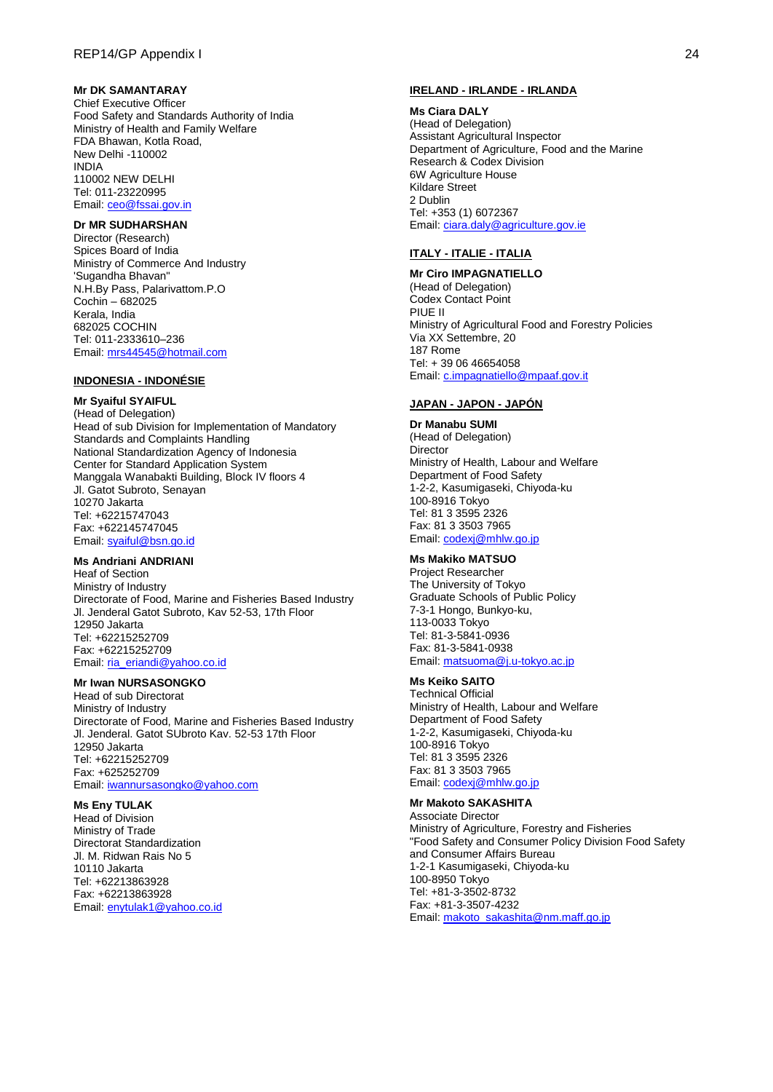## **Mr DK SAMANTARAY**

Chief Executive Officer Food Safety and Standards Authority of India Ministry of Health and Family Welfare FDA Bhawan, Kotla Road, New Delhi -110002 INDIA 110002 NEW DELHI Tel: 011-23220995 Email[: ceo@fssai.gov.in](mailto:ceo@fssai.gov.in)

## **Dr MR SUDHARSHAN**

Director (Research) Spices Board of India Ministry of Commerce And Industry 'Sugandha Bhavan" N.H.By Pass, Palarivattom.P.O Cochin – 682025 Kerala, India 682025 COCHIN Tel: 011-2333610–236 Email[: mrs44545@hotmail.com](mailto:mrs44545@hotmail.com)

### **INDONESIA - INDONÉSIE**

## **Mr Syaiful SYAIFUL**

(Head of Delegation) Head of sub Division for Implementation of Mandatory Standards and Complaints Handling National Standardization Agency of Indonesia Center for Standard Application System Manggala Wanabakti Building, Block IV floors 4 Jl. Gatot Subroto, Senayan 10270 Jakarta Tel: +62215747043 Fax: +622145747045 Email[: syaiful@bsn.go.id](mailto:syaiful@bsn.go.id)

### **Ms Andriani ANDRIANI**

Heaf of Section Ministry of Industry Directorate of Food, Marine and Fisheries Based Industry Jl. Jenderal Gatot Subroto, Kav 52-53, 17th Floor 12950 Jakarta Tel: +62215252709 Fax: +62215252709 Email[: ria\\_eriandi@yahoo.co.id](mailto:ria_eriandi@yahoo.co.id)

### **Mr Iwan NURSASONGKO**

Head of sub Directorat Ministry of Industry Directorate of Food, Marine and Fisheries Based Industry Jl. Jenderal. Gatot SUbroto Kav. 52-53 17th Floor 12950 Jakarta Tel: +62215252709 Fax: +625252709 Email[: iwannursasongko@yahoo.com](mailto:iwannursasongko@yahoo.com)

### **Ms Eny TULAK**

Head of Division Ministry of Trade Directorat Standardization Jl. M. Ridwan Rais No 5 10110 Jakarta Tel: +62213863928 Fax: +62213863928 Email[: enytulak1@yahoo.co.id](mailto:enytulak1@yahoo.co.id)

#### **IRELAND - IRLANDE - IRLANDA**

#### **Ms Ciara DALY**

(Head of Delegation) Assistant Agricultural Inspector Department of Agriculture, Food and the Marine Research & Codex Division 6W Agriculture House Kildare Street 2 Dublin Tel: +353 (1) 6072367 Email[: ciara.daly@agriculture.gov.ie](mailto:ciara.daly@agriculture.gov.ie)

#### **ITALY - ITALIE - ITALIA**

# **Mr Ciro IMPAGNATIELLO**

(Head of Delegation) Codex Contact Point PIUE II Ministry of Agricultural Food and Forestry Policies Via XX Settembre, 20 187 Rome Tel: + 39 06 46654058 Email[: c.impagnatiello@mpaaf.gov.it](mailto:c.impagnatiello@mpaaf.gov.it)

## **JAPAN - JAPON - JAPÓN**

**Dr Manabu SUMI** (Head of Delegation) Director Ministry of Health, Labour and Welfare Department of Food Safety 1-2-2, Kasumigaseki, Chiyoda-ku 100-8916 Tokyo Tel: 81 3 3595 2326 Fax: 81 3 3503 7965 Email[: codexj@mhlw.go.jp](mailto:codexj@mhlw.go.jp)

### **Ms Makiko MATSUO**

Project Researcher The University of Tokyo Graduate Schools of Public Policy 7-3-1 Hongo, Bunkyo-ku, 113-0033 Tokyo Tel: 81-3-5841-0936 Fax: 81-3-5841-0938 Email[: matsuoma@j.u-tokyo.ac.jp](mailto:matsuoma@j.u-tokyo.ac.jp)

## **Ms Keiko SAITO**

Technical Official Ministry of Health, Labour and Welfare Department of Food Safety 1-2-2, Kasumigaseki, Chiyoda-ku 100-8916 Tokyo Tel: 81 3 3595 2326 Fax: 81 3 3503 7965 Email[: codexj@mhlw.go.jp](mailto:codexj@mhlw.go.jp)

## **Mr Makoto SAKASHITA**

Associate Director Ministry of Agriculture, Forestry and Fisheries "Food Safety and Consumer Policy Division Food Safety and Consumer Affairs Bureau 1-2-1 Kasumigaseki, Chiyoda-ku 100-8950 Tokyo Tel: +81-3-3502-8732 Fax: +81-3-3507-4232 Email[: makoto\\_sakashita@nm.maff.go.jp](mailto:makoto_sakashita@nm.maff.go.jp)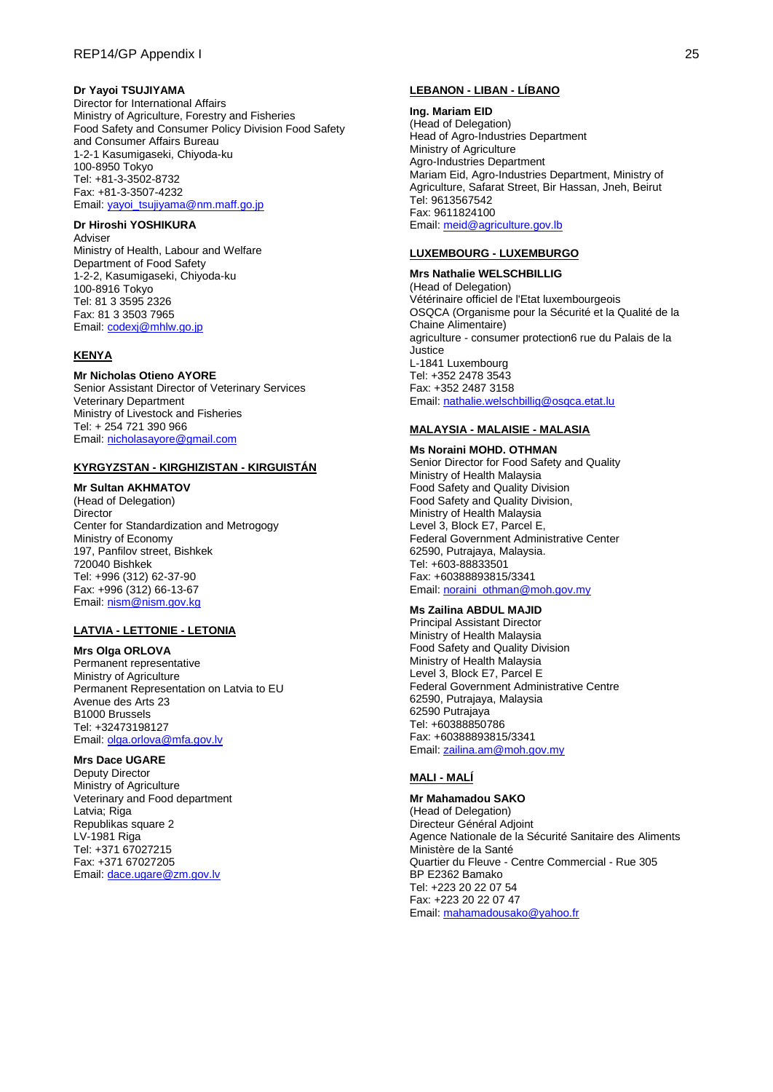## **Dr Yayoi TSUJIYAMA**

Director for International Affairs Ministry of Agriculture, Forestry and Fisheries Food Safety and Consumer Policy Division Food Safety and Consumer Affairs Bureau 1-2-1 Kasumigaseki, Chiyoda-ku 100-8950 Tokyo Tel: +81-3-3502-8732 Fax: +81-3-3507-4232 Email[: yayoi\\_tsujiyama@nm.maff.go.jp](mailto:yayoi_tsujiyama@nm.maff.go.jp)

# **Dr Hiroshi YOSHIKURA**

Adviser Ministry of Health, Labour and Welfare Department of Food Safety 1-2-2, Kasumigaseki, Chiyoda-ku 100-8916 Tokyo Tel: 81 3 3595 2326 Fax: 81 3 3503 7965 Email[: codexj@mhlw.go.jp](mailto:codexj@mhlw.go.jp)

## **KENYA**

### **Mr Nicholas Otieno AYORE**

Senior Assistant Director of Veterinary Services Veterinary Department Ministry of Livestock and Fisheries Tel: + 254 721 390 966 Email[: nicholasayore@gmail.com](mailto:nicholasayore@gmail.com)

### **KYRGYZSTAN - KIRGHIZISTAN - KIRGUISTÁN**

### **Mr Sultan AKHMATOV**

(Head of Delegation) Director Center for Standardization and Metrogogy Ministry of Economy 197, Panfilov street, Bishkek 720040 Bishkek Tel: +996 (312) 62-37-90 Fax: +996 (312) 66-13-67 Email[: nism@nism.gov.kg](mailto:nism@nism.gov.kg)

### **LATVIA - LETTONIE - LETONIA**

### **Mrs Olga ORLOVA**

Permanent representative Ministry of Agriculture Permanent Representation on Latvia to EU Avenue des Arts 23 B1000 Brussels Tel: +32473198127 Email[: olga.orlova@mfa.gov.lv](mailto:olga.orlova@mfa.gov.lv)

### **Mrs Dace UGARE**

Deputy Director Ministry of Agriculture Veterinary and Food department Latvia; Riga Republikas square 2 LV-1981 Riga Tel: +371 67027215 Fax: +371 67027205 Email[: dace.ugare@zm.gov.lv](mailto:dace.ugare@zm.gov.lv)

### **LEBANON - LIBAN - LÍBANO**

#### **Ing. Mariam EID**

(Head of Delegation) Head of Agro-Industries Department Ministry of Agriculture Agro-Industries Department Mariam Eid, Agro-Industries Department, Ministry of Agriculture, Safarat Street, Bir Hassan, Jneh, Beirut Tel: 9613567542 Fax: 9611824100 Email[: meid@agriculture.gov.lb](mailto:meid@agriculture.gov.lb)

## **LUXEMBOURG - LUXEMBURGO**

**Mrs Nathalie WELSCHBILLIG** (Head of Delegation) Vétérinaire officiel de l'Etat luxembourgeois OSQCA (Organisme pour la Sécurité et la Qualité de la Chaine Alimentaire) agriculture - consumer protection6 rue du Palais de la **Justice** L-1841 Luxembourg Tel: +352 2478 3543 Fax: +352 2487 3158 Email[: nathalie.welschbillig@osqca.etat.lu](mailto:nathalie.welschbillig@osqca.etat.lu)

### **MALAYSIA - MALAISIE - MALASIA**

**Ms Noraini MOHD. OTHMAN** Senior Director for Food Safety and Quality Ministry of Health Malaysia Food Safety and Quality Division Food Safety and Quality Division, Ministry of Health Malaysia Level 3, Block E7, Parcel E, Federal Government Administrative Center 62590, Putrajaya, Malaysia. Tel: +603-88833501 Fax: +60388893815/3341 Email[: noraini\\_othman@moh.gov.my](mailto:noraini_othman@moh.gov.my)

### **Ms Zailina ABDUL MAJID**

Principal Assistant Director Ministry of Health Malaysia Food Safety and Quality Division Ministry of Health Malaysia Level 3, Block E7, Parcel E Federal Government Administrative Centre 62590, Putrajaya, Malaysia 62590 Putrajaya Tel: +60388850786 Fax: +60388893815/3341 Email[: zailina.am@moh.gov.my](mailto:zailina.am@moh.gov.my)

### **MALI - MALÍ**

**Mr Mahamadou SAKO** (Head of Delegation) Directeur Général Adjoint Agence Nationale de la Sécurité Sanitaire des Aliments Ministère de la Santé Quartier du Fleuve - Centre Commercial - Rue 305 BP E2362 Bamako Tel: +223 20 22 07 54 Fax: +223 20 22 07 47 Email[: mahamadousako@yahoo.fr](mailto:mahamadousako@yahoo.fr)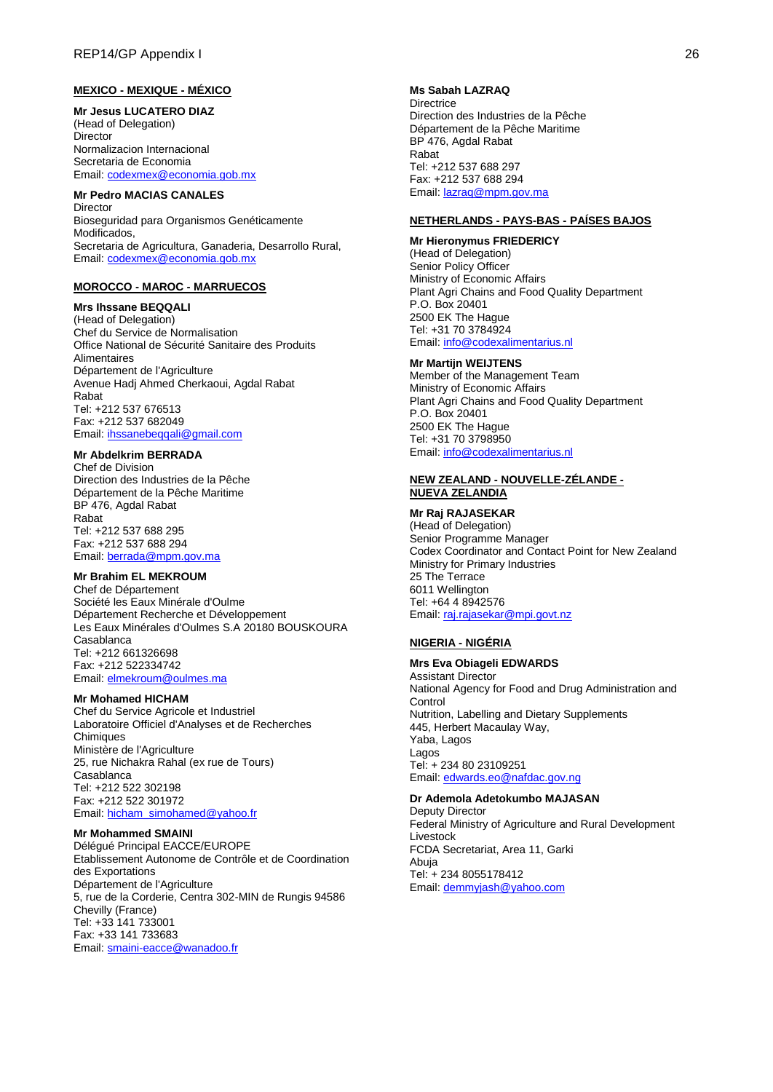## **MEXICO - MEXIQUE - MÉXICO**

**Mr Jesus LUCATERO DIAZ** (Head of Delegation) Director Normalizacion Internacional Secretaria de Economia Email[: codexmex@economia.gob.mx](mailto:codexmex@economia.gob.mx)

### **Mr Pedro MACIAS CANALES**

Director Bioseguridad para Organismos Genéticamente Modificados, Secretaria de Agricultura, Ganaderia, Desarrollo Rural, Email[: codexmex@economia.gob.mx](mailto:codexmex@economia.gob.mx)

### **MOROCCO - MAROC - MARRUECOS**

#### **Mrs Ihssane BEQQALI**

(Head of Delegation) Chef du Service de Normalisation Office National de Sécurité Sanitaire des Produits Alimentaires Département de l'Agriculture Avenue Hadj Ahmed Cherkaoui, Agdal Rabat Rabat Tel: +212 537 676513 Fax: +212 537 682049 Email[: ihssanebeqqali@gmail.com](mailto:ihssanebeqqali@gmail.com)

## **Mr Abdelkrim BERRADA**

Chef de Division Direction des Industries de la Pêche Département de la Pêche Maritime BP 476, Agdal Rabat Rabat Tel: +212 537 688 295 Fax: +212 537 688 294 Email[: berrada@mpm.gov.ma](mailto:berrada@mpm.gov.ma)

### **Mr Brahim EL MEKROUM**

Chef de Département Société les Eaux Minérale d'Oulme Département Recherche et Développement Les Eaux Minérales d'Oulmes S.A 20180 BOUSKOURA Casablanca Tel: +212 661326698 Fax: +212 522334742 Email[: elmekroum@oulmes.ma](mailto:elmekroum@oulmes.ma)

#### **Mr Mohamed HICHAM**

Chef du Service Agricole et Industriel Laboratoire Officiel d'Analyses et de Recherches **Chimiques** Ministère de l'Agriculture 25, rue Nichakra Rahal (ex rue de Tours) Casablanca Tel: +212 522 302198 Fax: +212 522 301972 Email[: hicham\\_simohamed@yahoo.fr](mailto:hicham_simohamed@yahoo.fr)

#### **Mr Mohammed SMAINI**

Délégué Principal EACCE/EUROPE Etablissement Autonome de Contrôle et de Coordination des Exportations Département de l'Agriculture 5, rue de la Corderie, Centra 302-MIN de Rungis 94586 Chevilly (France) Tel: +33 141 733001 Fax: +33 141 733683 Email[: smaini-eacce@wanadoo.fr](mailto:smaini-eacce@wanadoo.fr)

**Ms Sabah LAZRAQ Directrice** Direction des Industries de la Pêche Département de la Pêche Maritime BP 476, Agdal Rabat Rabat Tel: +212 537 688 297 Fax: +212 537 688 294 Email[: lazraq@mpm.gov.ma](mailto:lazraq@mpm.gov.ma)

### **NETHERLANDS - PAYS-BAS - PAÍSES BAJOS**

### **Mr Hieronymus FRIEDERICY**

(Head of Delegation) Senior Policy Officer Ministry of Economic Affairs Plant Agri Chains and Food Quality Department P.O. Box 20401 2500 EK The Hague Tel: +31 70 3784924 Email[: info@codexalimentarius.nl](mailto:info@codexalimentarius.nl)

#### **Mr Martijn WEIJTENS**

Member of the Management Team Ministry of Economic Affairs Plant Agri Chains and Food Quality Department P.O. Box 20401 2500 EK The Hague Tel: +31 70 3798950 Email[: info@codexalimentarius.nl](mailto:info@codexalimentarius.nl)

### **NEW ZEALAND - NOUVELLE-ZÉLANDE - NUEVA ZELANDIA**

**Mr Raj RAJASEKAR** (Head of Delegation)

Senior Programme Manager Codex Coordinator and Contact Point for New Zealand Ministry for Primary Industries 25 The Terrace 6011 Wellington Tel: +64 4 8942576 Email[: raj.rajasekar@mpi.govt.nz](mailto:raj.rajasekar@mpi.govt.nz)

### **NIGERIA - NIGÉRIA**

## **Mrs Eva Obiageli EDWARDS**

Assistant Director National Agency for Food and Drug Administration and Control Nutrition, Labelling and Dietary Supplements 445, Herbert Macaulay Way, Yaba, Lagos Lagos Tel: + 234 80 23109251 Email[: edwards.eo@nafdac.gov.ng](mailto:edwards.eo@nafdac.gov.ng)

# **Dr Ademola Adetokumbo MAJASAN**

Deputy Director Federal Ministry of Agriculture and Rural Development Livestock FCDA Secretariat, Area 11, Garki Abuja Tel: + 234 8055178412 Email[: demmyjash@yahoo.com](mailto:demmyjash@yahoo.com)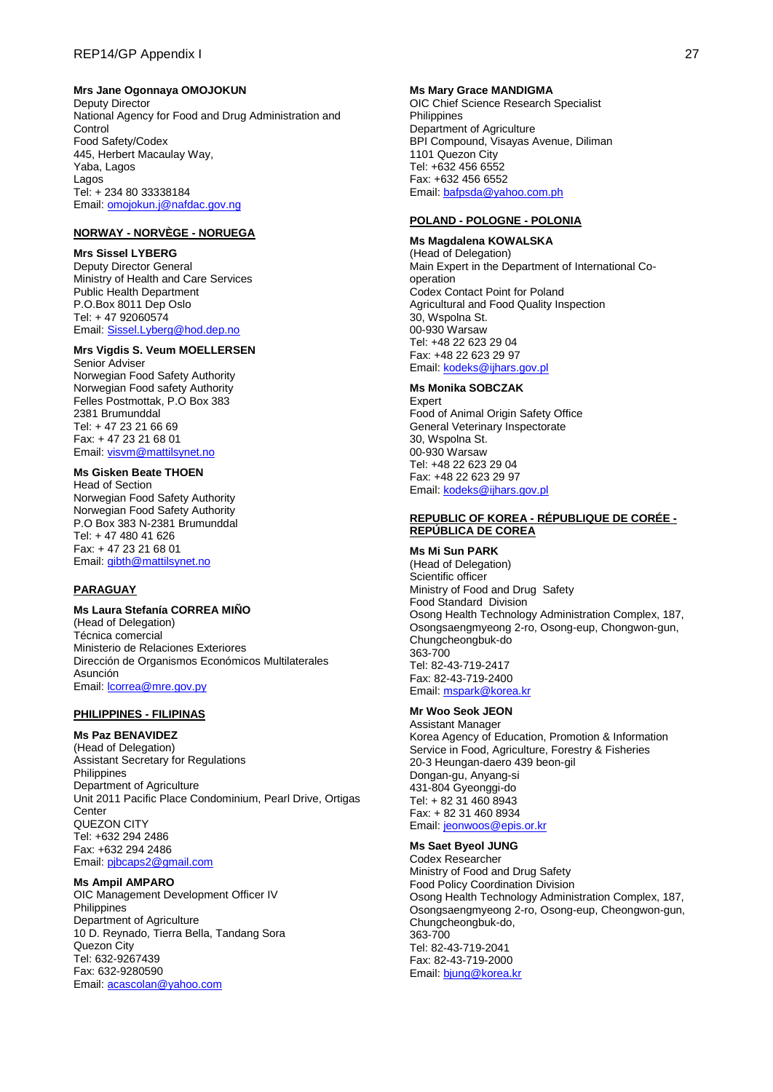### **Mrs Jane Ogonnaya OMOJOKUN**

Deputy Director National Agency for Food and Drug Administration and Control Food Safety/Codex 445, Herbert Macaulay Way, Yaba, Lagos Lagos Tel: + 234 80 33338184 Email[: omojokun.j@nafdac.gov.ng](mailto:omojokun.j@nafdac.gov.ng)

## **NORWAY - NORVÈGE - NORUEGA**

#### **Mrs Sissel LYBERG**

Deputy Director General Ministry of Health and Care Services Public Health Department P.O.Box 8011 Dep Oslo Tel: + 47 92060574 Email[: Sissel.Lyberg@hod.dep.no](mailto:Sissel.Lyberg@hod.dep.no)

### **Mrs Vigdis S. Veum MOELLERSEN**

Senior Adviser Norwegian Food Safety Authority Norwegian Food safety Authority Felles Postmottak, P.O Box 383 2381 Brumunddal Tel: + 47 23 21 66 69 Fax: + 47 23 21 68 01 Email[: visvm@mattilsynet.no](mailto:visvm@mattilsynet.no)

# **Ms Gisken Beate THOEN**

Head of Section Norwegian Food Safety Authority Norwegian Food Safety Authority P.O Box 383 N-2381 Brumunddal Tel: + 47 480 41 626 Fax: + 47 23 21 68 01 Email[: gibth@mattilsynet.no](mailto:gibth@mattilsynet.no)

## **PARAGUAY**

## **Ms Laura Stefanía CORREA MIÑO**

(Head of Delegation) Técnica comercial Ministerio de Relaciones Exteriores Dirección de Organismos Económicos Multilaterales Asunción Email: **lcorrea@mre.gov.py** 

#### **PHILIPPINES - FILIPINAS**

### **Ms Paz BENAVIDEZ**

(Head of Delegation) Assistant Secretary for Regulations Philippines Department of Agriculture Unit 2011 Pacific Place Condominium, Pearl Drive, Ortigas **Center** QUEZON CITY Tel: +632 294 2486 Fax: +632 294 2486 Email[: pjbcaps2@gmail.com](mailto:pjbcaps2@gmail.com)

## **Ms Ampil AMPARO**

OIC Management Development Officer IV **Philippines** Department of Agriculture 10 D. Reynado, Tierra Bella, Tandang Sora Quezon City Tel: 632-9267439 Fax: 632-9280590 Email[: acascolan@yahoo.com](mailto:acascolan@yahoo.com)

#### **Ms Mary Grace MANDIGMA**

OIC Chief Science Research Specialist **Philippines** Department of Agriculture BPI Compound, Visayas Avenue, Diliman 1101 Quezon City Tel: +632 456 6552 Fax: +632 456 6552 Email[: bafpsda@yahoo.com.ph](mailto:bafpsda@yahoo.com.ph)

#### **POLAND - POLOGNE - POLONIA**

# **Ms Magdalena KOWALSKA**

(Head of Delegation) Main Expert in the Department of International Cooperation Codex Contact Point for Poland Agricultural and Food Quality Inspection 30, Wspolna St. 00-930 Warsaw Tel: +48 22 623 29 04 Fax: +48 22 623 29 97 Email[: kodeks@ijhars.gov.pl](mailto:kodeks@ijhars.gov.pl)

## **Ms Monika SOBCZAK**

Expert Food of Animal Origin Safety Office General Veterinary Inspectorate 30, Wspolna St. 00-930 Warsaw Tel: +48 22 623 29 04 Fax: +48 22 623 29 97 Email[: kodeks@ijhars.gov.pl](mailto:kodeks@ijhars.gov.pl)

### **REPUBLIC OF KOREA - RÉPUBLIQUE DE CORÉE - REPÚBLICA DE COREA**

### **Ms Mi Sun PARK**

(Head of Delegation) Scientific officer Ministry of Food and Drug Safety Food Standard Division Osong Health Technology Administration Complex, 187, Osongsaengmyeong 2-ro, Osong-eup, Chongwon-gun, Chungcheongbuk-do 363-700 Tel: 82-43-719-2417 Fax: 82-43-719-2400 Email[: mspark@korea.kr](mailto:mspark@korea.kr)

## **Mr Woo Seok JEON**

Assistant Manager Korea Agency of Education, Promotion & Information Service in Food, Agriculture, Forestry & Fisheries 20-3 Heungan-daero 439 beon-gil Dongan-gu, Anyang-si 431-804 Gyeonggi-do Tel: + 82 31 460 8943 Fax: + 82 31 460 8934 Email[: jeonwoos@epis.or.kr](mailto:jeonwoos@epis.or.kr)

### **Ms Saet Byeol JUNG**

Codex Researcher Ministry of Food and Drug Safety Food Policy Coordination Division Osong Health Technology Administration Complex, 187, Osongsaengmyeong 2-ro, Osong-eup, Cheongwon-gun, Chungcheongbuk-do, 363-700 Tel: 82-43-719-2041 Fax: 82-43-719-2000 Email[: bjung@korea.kr](mailto:bjung@korea.kr)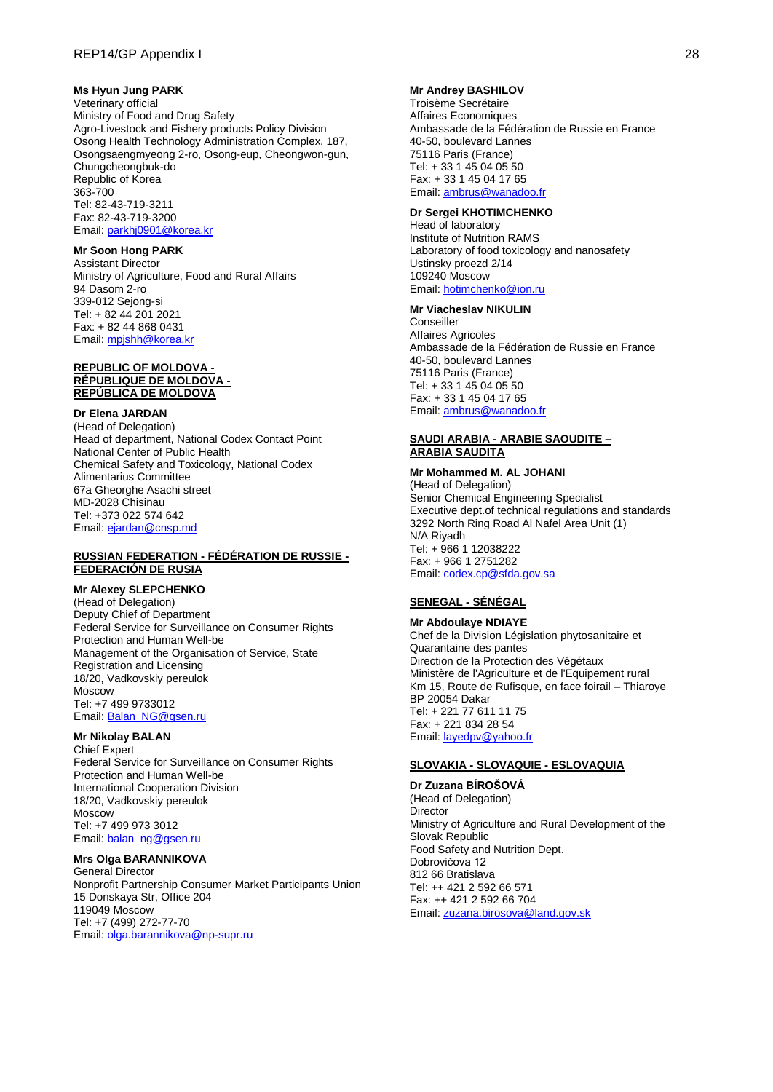### **Ms Hyun Jung PARK**

Veterinary official Ministry of Food and Drug Safety Agro-Livestock and Fishery products Policy Division Osong Health Technology Administration Complex, 187, Osongsaengmyeong 2-ro, Osong-eup, Cheongwon-gun, Chungcheongbuk-do Republic of Korea 363-700 Tel: 82-43-719-3211 Fax: 82-43-719-3200 Email[: parkhj0901@korea.kr](mailto:parkhj0901@korea.kr)

### **Mr Soon Hong PARK**

Assistant Director Ministry of Agriculture, Food and Rural Affairs 94 Dasom 2-ro 339-012 Sejong-si Tel: + 82 44 201 2021 Fax: + 82 44 868 0431 Email[: mpjshh@korea.kr](mailto:mpjshh@korea.kr)

#### **REPUBLIC OF MOLDOVA - RÉPUBLIQUE DE MOLDOVA - REPÚBLICA DE MOLDOVA**

### **Dr Elena JARDAN**

(Head of Delegation) Head of department, National Codex Contact Point National Center of Public Health Chemical Safety and Toxicology, National Codex Alimentarius Committee 67a Gheorghe Asachi street MD-2028 Chisinau Tel: +373 022 574 642 Email[: ejardan@cnsp.md](mailto:ejardan@cnsp.md)

### **RUSSIAN FEDERATION - FÉDÉRATION DE RUSSIE - FEDERACIÓN DE RUSIA**

### **Mr Alexey SLEPCHENKO**

(Head of Delegation) Deputy Chief of Department Federal Service for Surveillance on Consumer Rights Protection and Human Well-be Management of the Organisation of Service, State Registration and Licensing 18/20, Vadkovskiy pereulok Moscow Tel: +7 499 9733012 Email[: Balan\\_NG@gsen.ru](mailto:Balan_NG@gsen.ru)

## **Mr Nikolay BALAN**

Chief Expert Federal Service for Surveillance on Consumer Rights Protection and Human Well-be International Cooperation Division 18/20, Vadkovskiy pereulok Moscow Tel: +7 499 973 3012 Email[: balan\\_ng@gsen.ru](mailto:balan_ng@gsen.ru)

# **Mrs Olga BARANNIKOVA**

General Director Nonprofit Partnership Consumer Market Participants Union 15 Donskaya Str, Office 204 119049 Moscow Tel: +7 (499) 272-77-70 Email[: olga.barannikova@np-supr.ru](mailto:olga.barannikova@np-supr.ru)

### **Mr Andrey BASHILOV**

Troisème Secrétaire Affaires Economiques Ambassade de la Fédération de Russie en France 40-50, boulevard Lannes 75116 Paris (France) Tel: + 33 1 45 04 05 50 Fax: + 33 1 45 04 17 65 Email: [ambrus@wanadoo.fr](mailto:ambrus@wanadoo.fr)

#### **Dr Sergei KHOTIMCHENKO**

Head of laboratory Institute of Nutrition RAMS Laboratory of food toxicology and nanosafety Ustinsky proezd 2/14 109240 Moscow Email[: hotimchenko@ion.ru](mailto:hotimchenko@ion.ru)

#### **Mr Viacheslav NIKULIN**

**Conseiller** Affaires Agricoles Ambassade de la Fédération de Russie en France 40-50, boulevard Lannes 75116 Paris (France) Tel: + 33 1 45 04 05 50 Fax: + 33 1 45 04 17 65 Email: [ambrus@wanadoo.fr](mailto:ambrus@wanadoo.fr)

### **SAUDI ARABIA - ARABIE SAOUDITE – ARABIA SAUDITA**

#### **Mr Mohammed M. AL JOHANI** (Head of Delegation)

Senior Chemical Engineering Specialist Executive dept.of technical regulations and standards 3292 North Ring Road Al Nafel Area Unit (1) N/A Riyadh Tel: + 966 1 12038222 Fax: + 966 1 2751282 Email[: codex.cp@sfda.gov.sa](mailto:codex.cp@sfda.gov.sa)

## **SENEGAL - SÉNÉGAL**

**Mr Abdoulaye NDIAYE** Chef de la Division Législation phytosanitaire et Quarantaine des pantes Direction de la Protection des Végétaux Ministère de l'Agriculture et de l'Equipement rural Km 15, Route de Rufisque, en face foirail – Thiaroye BP 20054 Dakar Tel: + 221 77 611 11 75 Fax: + 221 834 28 54 Email[: layedpv@yahoo.fr](mailto:layedpv@yahoo.fr)

### **SLOVAKIA - SLOVAQUIE - ESLOVAQUIA**

**Dr Zuzana BÍROŠOVÁ** (Head of Delegation) **Director** Ministry of Agriculture and Rural Development of the Slovak Republic Food Safety and Nutrition Dept. Dobrovičova 12 812 66 Bratislava Tel: ++ 421 2 592 66 571 Fax: ++ 421 2 592 66 704 Email[: zuzana.birosova@land.gov.sk](mailto:zuzana.birosova@land.gov.sk)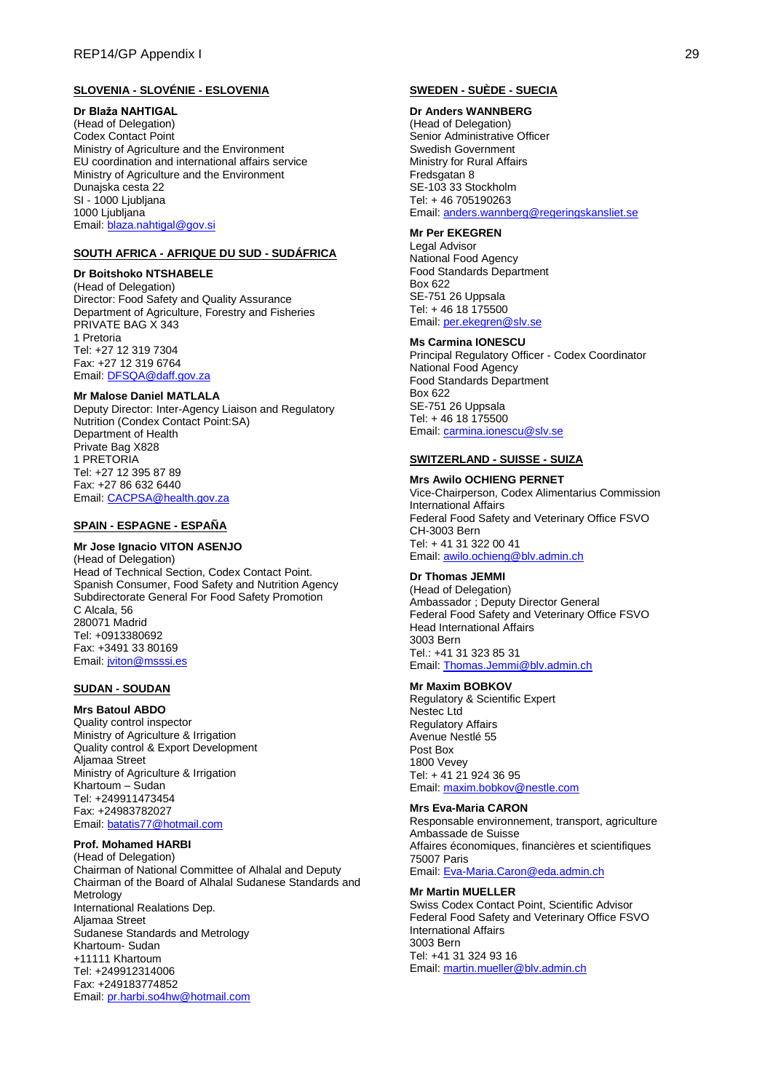### **SLOVENIA - SLOVÉNIE - ESLOVENIA**

#### **Dr Blaža NAHTIGAL**

(Head of Delegation) Codex Contact Point Ministry of Agriculture and the Environment EU coordination and international affairs service Ministry of Agriculture and the Environment Dunajska cesta 22 SI - 1000 Ljubljana 1000 Ljubljana Email[: blaza.nahtigal@gov.si](mailto:blaza.nahtigal@gov.si)

## **SOUTH AFRICA - AFRIQUE DU SUD - SUDÁFRICA**

## **Dr Boitshoko NTSHABELE**

(Head of Delegation) Director: Food Safety and Quality Assurance Department of Agriculture, Forestry and Fisheries PRIVATE BAG X 343 1 Pretoria Tel: +27 12 319 7304 Fax: +27 12 319 6764 Email[: DFSQA@daff.gov.za](mailto:DFSQA@daff.gov.za)

#### **Mr Malose Daniel MATLALA**

Deputy Director: Inter-Agency Liaison and Regulatory Nutrition (Condex Contact Point:SA) Department of Health Private Bag X828 1 PRETORIA Tel: +27 12 395 87 89 Fax: +27 86 632 6440 Email[: CACPSA@health.gov.za](mailto:CACPSA@health.gov.za)

### **SPAIN - ESPAGNE - ESPAÑA**

#### **Mr Jose Ignacio VITON ASENJO**

(Head of Delegation) Head of Technical Section, Codex Contact Point. Spanish Consumer, Food Safety and Nutrition Agency Subdirectorate General For Food Safety Promotion C Alcala, 56 280071 Madrid Tel: +0913380692 Fax: +3491 33 80169 Email[: jviton@msssi.es](mailto:jviton@msssi.es)

### **SUDAN - SOUDAN**

#### **Mrs Batoul ABDO**

Quality control inspector Ministry of Agriculture & Irrigation Quality control & Export Development Aljamaa Street Ministry of Agriculture & Irrigation Khartoum – Sudan Tel: +249911473454 Fax: +24983782027 Email[: batatis77@hotmail.com](mailto:batatis77@hotmail.com)

## **Prof. Mohamed HARBI**

(Head of Delegation) Chairman of National Committee of Alhalal and Deputy Chairman of the Board of Alhalal Sudanese Standards and Metrology International Realations Dep. Aljamaa Street Sudanese Standards and Metrology Khartoum- Sudan +11111 Khartoum Tel: +249912314006 Fax: +249183774852 Email[: pr.harbi.so4hw@hotmail.com](mailto:pr.harbi.so4hw@hotmail.com)

## **SWEDEN - SUÈDE - SUECIA**

## **Dr Anders WANNBERG**

(Head of Delegation) Senior Administrative Officer Swedish Government Ministry for Rural Affairs Fredsgatan 8 SE-103 33 Stockholm Tel: + 46 705190263 Email[: anders.wannberg@regeringskansliet.se](mailto:anders.wannberg@regeringskansliet.se)

## **Mr Per EKEGREN**

Legal Advisor National Food Agency Food Standards Department Box 622 SE-751 26 Uppsala Tel: + 46 18 175500 Email[: per.ekegren@slv.se](mailto:per.ekegren@slv.se)

### **Ms Carmina IONESCU**

Principal Regulatory Officer - Codex Coordinator National Food Agency Food Standards Department Box 622 SE-751 26 Uppsala Tel: + 46 18 175500 Email[: carmina.ionescu@slv.se](mailto:carmina.ionescu@slv.se)

## **SWITZERLAND - SUISSE - SUIZA**

#### **Mrs Awilo OCHIENG PERNET**

Vice-Chairperson, Codex Alimentarius Commission International Affairs Federal Food Safety and Veterinary Office FSVO CH-3003 Bern Tel: + 41 31 322 00 41 Email[: awilo.ochieng@blv.admin.ch](mailto:awilo.ochieng@blv.admin.ch)

#### **Dr Thomas JEMMI**

(Head of Delegation) Ambassador ; Deputy Director General Federal Food Safety and Veterinary Office FSVO Head International Affairs 3003 Bern Tel.: +41 31 323 85 31 Email[: Thomas.Jemmi@blv.admin.ch](mailto:Thomas.Jemmi@blv.admin.ch)

#### **Mr Maxim BOBKOV**

Regulatory & Scientific Expert Nestec Ltd Regulatory Affairs Avenue Nestlé 55 Post Box 1800 Vevey Tel: + 41 21 924 36 95 Email[: maxim.bobkov@nestle.com](mailto:maxim.bobkov@nestle.com)

#### **Mrs Eva-Maria CARON**

Responsable environnement, transport, agriculture Ambassade de Suisse Affaires économiques, financières et scientifiques 75007 Paris Email[: Eva-Maria.Caron@eda.admin.ch](mailto:Eva-Maria.Caron@eda.admin.ch)

#### **Mr Martin MUELLER**

Swiss Codex Contact Point, Scientific Advisor Federal Food Safety and Veterinary Office FSVO International Affairs 3003 Bern Tel: +41 31 324 93 16 Email[: martin.mueller@blv.admin.ch](mailto:martin.mueller@blv.admin.ch)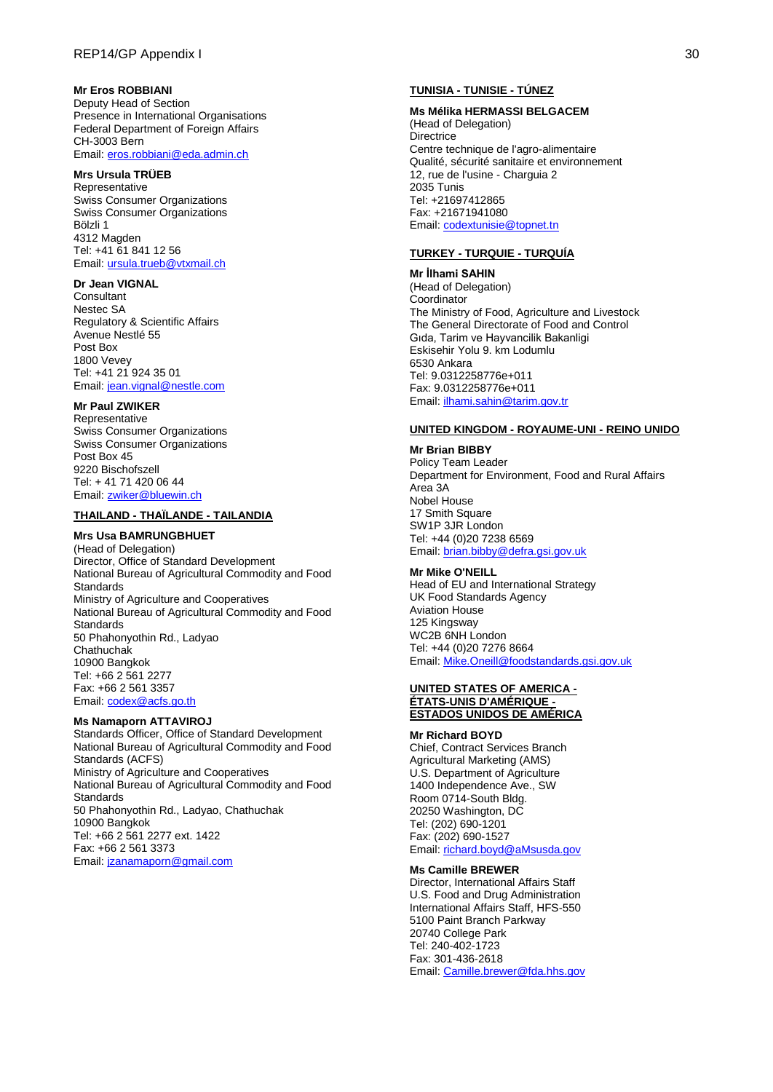### **Mr Eros ROBBIANI**

Deputy Head of Section Presence in International Organisations Federal Department of Foreign Affairs CH-3003 Bern Email[: eros.robbiani@eda.admin.ch](mailto:eros.robbiani@eda.admin.ch)

### **Mrs Ursula TRÜEB**

Representative Swiss Consumer Organizations Swiss Consumer Organizations Bölzli 1 4312 Magden Tel: +41 61 841 12 56 Email[: ursula.trueb@vtxmail.ch](mailto:ursula.trueb@vtxmail.ch)

#### **Dr Jean VIGNAL**

**Consultant** Nestec SA Regulatory & Scientific Affairs Avenue Nestlé 55 Post Box 1800 Vevey Tel: +41 21 924 35 01 Email[: jean.vignal@nestle.com](mailto:jean.vignal@nestle.com)

# **Mr Paul ZWIKER**

Representative Swiss Consumer Organizations Swiss Consumer Organizations Post Box 45 9220 Bischofszell Tel: + 41 71 420 06 44 Email[: zwiker@bluewin.ch](mailto:zwiker@bluewin.ch)

## **THAILAND - THAÏLANDE - TAILANDIA**

### **Mrs Usa BAMRUNGBHUET**

(Head of Delegation) Director, Office of Standard Development National Bureau of Agricultural Commodity and Food **Standards** Ministry of Agriculture and Cooperatives National Bureau of Agricultural Commodity and Food **Standards** 50 Phahonyothin Rd., Ladyao **Chathuchak** 10900 Bangkok Tel: +66 2 561 2277 Fax: +66 2 561 3357 Email[: codex@acfs.go.th](mailto:codex@acfs.go.th)

### **Ms Namaporn ATTAVIROJ**

Standards Officer, Office of Standard Development National Bureau of Agricultural Commodity and Food Standards (ACFS) Ministry of Agriculture and Cooperatives National Bureau of Agricultural Commodity and Food **Standards** 50 Phahonyothin Rd., Ladyao, Chathuchak 10900 Bangkok Tel: +66 2 561 2277 ext. 1422 Fax: +66 2 561 3373 Email[: jzanamaporn@gmail.com](mailto:jzanamaporn@gmail.com)

### **TUNISIA - TUNISIE - TÚNEZ**

#### **Ms Mélika HERMASSI BELGACEM**

(Head of Delegation) **Directrice** Centre technique de l'agro-alimentaire Qualité, sécurité sanitaire et environnement 12, rue de l'usine - Charguia 2 2035 Tunis Tel: +21697412865 Fax: +21671941080 Email[: codextunisie@topnet.tn](mailto:codextunisie@topnet.tn)

### **TURKEY - TURQUIE - TURQUÍA**

**Mr İlhami SAHIN** (Head of Delegation) Coordinator The Ministry of Food, Agriculture and Livestock The General Directorate of Food and Control Gıda, Tarim ve Hayvancilik Bakanligi Eskisehir Yolu 9. km Lodumlu 6530 Ankara Tel: 9.0312258776e+011 Fax: 9.0312258776e+011 Email[: ilhami.sahin@tarim.gov.tr](mailto:ilhami.sahin@tarim.gov.tr)

#### **UNITED KINGDOM - ROYAUME-UNI - REINO UNIDO**

**Mr Brian BIBBY** Policy Team Leader Department for Environment, Food and Rural Affairs Area 3A Nobel House 17 Smith Square SW1P 3JR London Tel: +44 (0)20 7238 6569 Email[: brian.bibby@defra.gsi.gov.uk](mailto:brian.bibby@defra.gsi.gov.uk)

### **Mr Mike O'NEILL**

Head of EU and International Strategy UK Food Standards Agency Aviation House 125 Kingsway WC2B 6NH London Tel: +44 (0)20 7276 8664 Email[: Mike.Oneill@foodstandards.gsi.gov.uk](mailto:Mike.Oneill@foodstandards.gsi.gov.uk)

#### **UNITED STATES OF AMERICA - ÉTATS-UNIS D'AMÉRIQUE - ESTADOS UNIDOS DE AMÉRICA**

#### **Mr Richard BOYD**

Chief, Contract Services Branch Agricultural Marketing (AMS) U.S. Department of Agriculture 1400 Independence Ave., SW Room 0714-South Bldg. 20250 Washington, DC Tel: (202) 690-1201 Fax: (202) 690-1527 Email[: richard.boyd@aMsusda.gov](mailto:richard.boyd@ams.usda.gov)

#### **Ms Camille BREWER**

Director, International Affairs Staff U.S. Food and Drug Administration International Affairs Staff, HFS-550 5100 Paint Branch Parkway 20740 College Park Tel: 240-402-1723 Fax: 301-436-2618 Email[: Camille.brewer@fda.hhs.gov](mailto:Camille.brewer@fda.hhs.gov)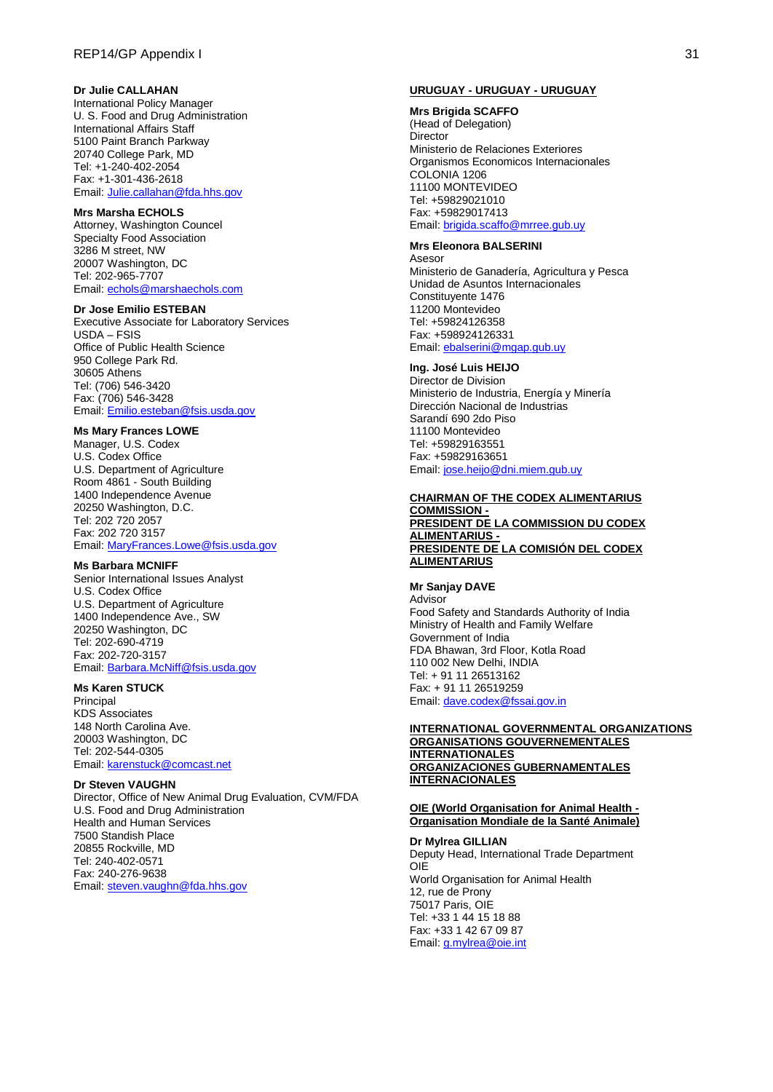### **Dr Julie CALLAHAN**

International Policy Manager U. S. Food and Drug Administration International Affairs Staff 5100 Paint Branch Parkway 20740 College Park, MD Tel: +1-240-402-2054 Fax: +1-301-436-2618 Email[: Julie.callahan@fda.hhs.gov](mailto:Julie.callahan@fda.hhs.gov)

#### **Mrs Marsha ECHOLS**

Attorney, Washington Councel Specialty Food Association 3286 M street, NW 20007 Washington, DC Tel: 202-965-7707 Email[: echols@marshaechols.com](mailto:echols@marshaechols.com)

#### **Dr Jose Emilio ESTEBAN**

Executive Associate for Laboratory Services USDA – FSIS Office of Public Health Science 950 College Park Rd. 30605 Athens Tel: (706) 546-3420 Fax: (706) 546-3428 Email[: Emilio.esteban@fsis.usda.gov](mailto:Emilio.esteban@fsis.usda.gov)

### **Ms Mary Frances LOWE**

Manager, U.S. Codex U.S. Codex Office U.S. Department of Agriculture Room 4861 - South Building 1400 Independence Avenue 20250 Washington, D.C. Tel: 202 720 2057 Fax: 202 720 3157 Email[: MaryFrances.Lowe@fsis.usda.gov](mailto:MaryFrances.Lowe@fsis.usda.gov)

### **Ms Barbara MCNIFF**

Senior International Issues Analyst U.S. Codex Office U.S. Department of Agriculture 1400 Independence Ave., SW 20250 Washington, DC Tel: 202-690-4719 Fax: 202-720-3157 Email[: Barbara.McNiff@fsis.usda.gov](mailto:Barbara.McNiff@fsis.usda.gov)

### **Ms Karen STUCK**

**Principal** KDS Associates 148 North Carolina Ave. 20003 Washington, DC Tel: 202-544-0305 Email[: karenstuck@comcast.net](mailto:karenstuck@comcast.net)

#### **Dr Steven VAUGHN**

Director, Office of New Animal Drug Evaluation, CVM/FDA U.S. Food and Drug Administration Health and Human Services 7500 Standish Place 20855 Rockville, MD Tel: 240-402-0571 Fax: 240-276-9638 Email[: steven.vaughn@fda.hhs.gov](mailto:steven.vaughn@fda.hhs.gov)

#### **URUGUAY - URUGUAY - URUGUAY**

**Mrs Brigida SCAFFO** (Head of Delegation) Director Ministerio de Relaciones Exteriores Organismos Economicos Internacionales COLONIA 1206 11100 MONTEVIDEO Tel: +59829021010 Fax: +59829017413 Email[: brigida.scaffo@mrree.gub.uy](mailto:brigida.scaffo@mrree.gub.uy)

#### **Mrs Eleonora BALSERINI**

Asesor Ministerio de Ganadería, Agricultura y Pesca Unidad de Asuntos Internacionales Constituyente 1476 11200 Montevideo Tel: +59824126358 Fax: +598924126331 Email[: ebalserini@mgap.gub.uy](mailto:ebalserini@mgap.gub.uy)

## **Ing. José Luis HEIJO**

Director de Division Ministerio de Industria, Energía y Minería Dirección Nacional de Industrias Sarandí 690 2do Piso 11100 Montevideo Tel: +59829163551 Fax: +59829163651 Email[: jose.heijo@dni.miem.gub.uy](mailto:jose.heijo@dni.miem.gub.uy)

#### **CHAIRMAN OF THE CODEX ALIMENTARIUS COMMISSION - PRESIDENT DE LA COMMISSION DU CODEX ALIMENTARIUS -**

## **PRESIDENTE DE LA COMISIÓN DEL CODEX ALIMENTARIUS**

## **Mr Sanjay DAVE**

Advisor Food Safety and Standards Authority of India Ministry of Health and Family Welfare Government of India FDA Bhawan, 3rd Floor, Kotla Road 110 002 New Delhi, INDIA Tel: + 91 11 26513162 Fax: + 91 11 26519259 Email[: dave.codex@fssai.gov.in](mailto:dave.codex@fssai.gov.in)

#### **INTERNATIONAL GOVERNMENTAL ORGANIZATIONS ORGANISATIONS GOUVERNEMENTALES INTERNATIONALES ORGANIZACIONES GUBERNAMENTALES INTERNACIONALES**

#### **OIE (World Organisation for Animal Health - Organisation Mondiale de la Santé Animale)**

**Dr Mylrea GILLIAN** Deputy Head, International Trade Department OIE World Organisation for Animal Health 12, rue de Prony 75017 Paris, OIE Tel: +33 1 44 15 18 88 Fax: +33 1 42 67 09 87 Email[: g.mylrea@oie.int](mailto:g.mylrea@oie.int)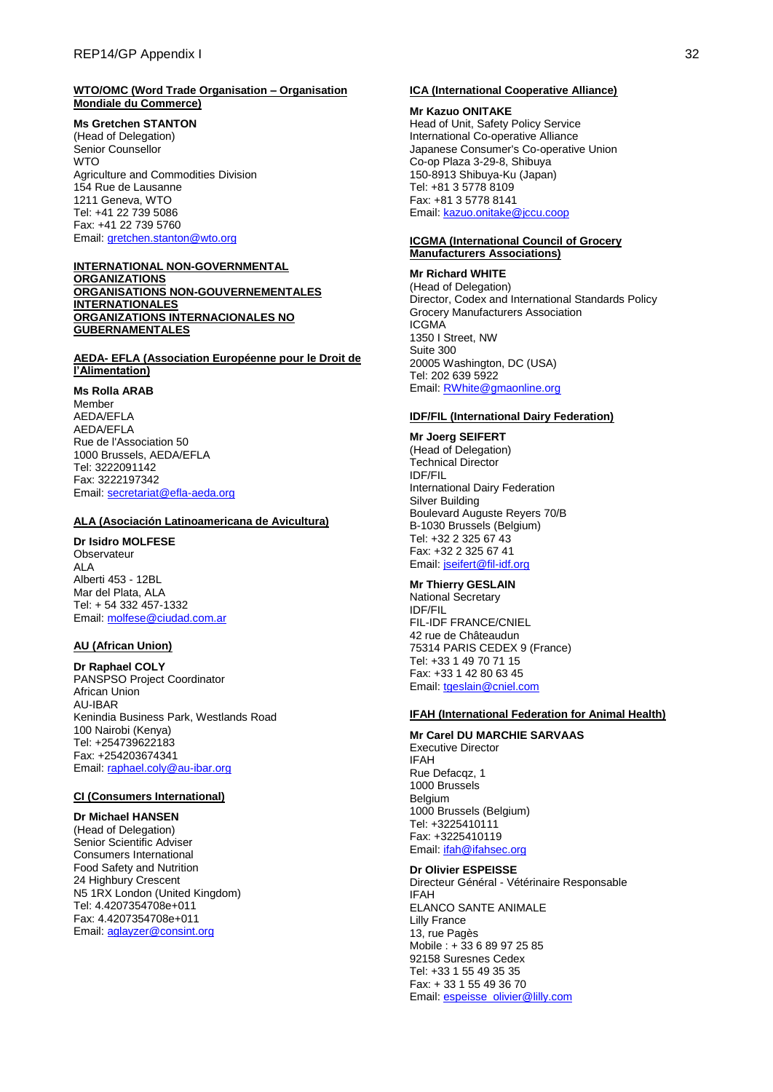#### **WTO/OMC (Word Trade Organisation – Organisation Mondiale du Commerce)**

**Ms Gretchen STANTON**

(Head of Delegation) Senior Counsellor **WTO** Agriculture and Commodities Division 154 Rue de Lausanne 1211 Geneva, WTO Tel: +41 22 739 5086 Fax: +41 22 739 5760 Email[: gretchen.stanton@wto.org](mailto:gretchen.stanton@wto.org)

#### **INTERNATIONAL NON-GOVERNMENTAL ORGANIZATIONS**

**ORGANISATIONS NON-GOUVERNEMENTALES INTERNATIONALES ORGANIZATIONS INTERNACIONALES NO GUBERNAMENTALES**

## **AEDA- EFLA (Association Européenne pour le Droit de l'Alimentation)**

**Ms Rolla ARAB**

Member AEDA/EFLA AEDA/EFLA Rue de l'Association 50 1000 Brussels, AEDA/EFLA Tel: 3222091142 Fax: 3222197342 Email[: secretariat@efla-aeda.org](mailto:secretariat@efla-aeda.org)

#### **ALA (Asociación Latinoamericana de Avicultura)**

#### **Dr Isidro MOLFESE**

**Observateur** ALA Alberti 453 - 12BL Mar del Plata, ALA Tel: + 54 332 457-1332 Email[: molfese@ciudad.com.ar](mailto:molfese@ciudad.com.ar)

#### **AU (African Union)**

**Dr Raphael COLY** PANSPSO Project Coordinator African Union AU-IBAR Kenindia Business Park, Westlands Road 100 Nairobi (Kenya) Tel: +254739622183 Fax: +254203674341 Email[: raphael.coly@au-ibar.org](mailto:raphael.coly@au-ibar.org)

#### **CI (Consumers International)**

### **Dr Michael HANSEN**

(Head of Delegation) Senior Scientific Adviser Consumers International Food Safety and Nutrition 24 Highbury Crescent N5 1RX London (United Kingdom) Tel: 4.4207354708e+011 Fax: 4.4207354708e+011 Email[: aglayzer@consint.org](mailto:aglayzer@consint.org)

#### **ICA (International Cooperative Alliance)**

#### **Mr Kazuo ONITAKE**

Head of Unit, Safety Policy Service International Co-operative Alliance Japanese Consumer's Co-operative Union Co-op Plaza 3-29-8, Shibuya 150-8913 Shibuya-Ku (Japan) Tel: +81 3 5778 8109 Fax: +81 3 5778 8141 Email[: kazuo.onitake@jccu.coop](mailto:kazuo.onitake@jccu.coop)

#### **ICGMA (International Council of Grocery Manufacturers Associations)**

## **Mr Richard WHITE**

(Head of Delegation) Director, Codex and International Standards Policy Grocery Manufacturers Association ICGMA 1350 I Street, NW Suite 300 20005 Washington, DC (USA) Tel: 202 639 5922 Email[: RWhite@gmaonline.org](mailto:RWhite@gmaonline.org)

### **IDF/FIL (International Dairy Federation)**

**Mr Joerg SEIFERT** (Head of Delegation) Technical Director IDF/FIL International Dairy Federation Silver Building Boulevard Auguste Reyers 70/B B-1030 Brussels (Belgium) Tel: +32 2 325 67 43 Fax: +32 2 325 67 41 Email[: jseifert@fil-idf.org](mailto:jseifert@fil-idf.org)

### **Mr Thierry GESLAIN**

National Secretary IDF/FIL FIL-IDF FRANCE/CNIEL 42 rue de Châteaudun 75314 PARIS CEDEX 9 (France) Tel: +33 1 49 70 71 15 Fax: +33 1 42 80 63 45 Email[: tgeslain@cniel.com](mailto:tgeslain@cniel.com)

### **IFAH (International Federation for Animal Health)**

#### **Mr Carel DU MARCHIE SARVAAS**

Executive Director IFAH Rue Defacqz, 1 1000 Brussels **Belgium** 1000 Brussels (Belgium) Tel: +3225410111 Fax: +3225410119 Email[: ifah@ifahsec.org](mailto:ifah@ifahsec.org)

#### **Dr Olivier ESPEISSE**

Directeur Général - Vétérinaire Responsable IFAH ELANCO SANTE ANIMALE Lilly France 13, rue Pagès Mobile : + 33 6 89 97 25 85 92158 Suresnes Cedex Tel: +33 1 55 49 35 35 Fax: + 33 1 55 49 36 70 Email[: espeisse\\_olivier@lilly.com](mailto:espeisse_olivier@lilly.com)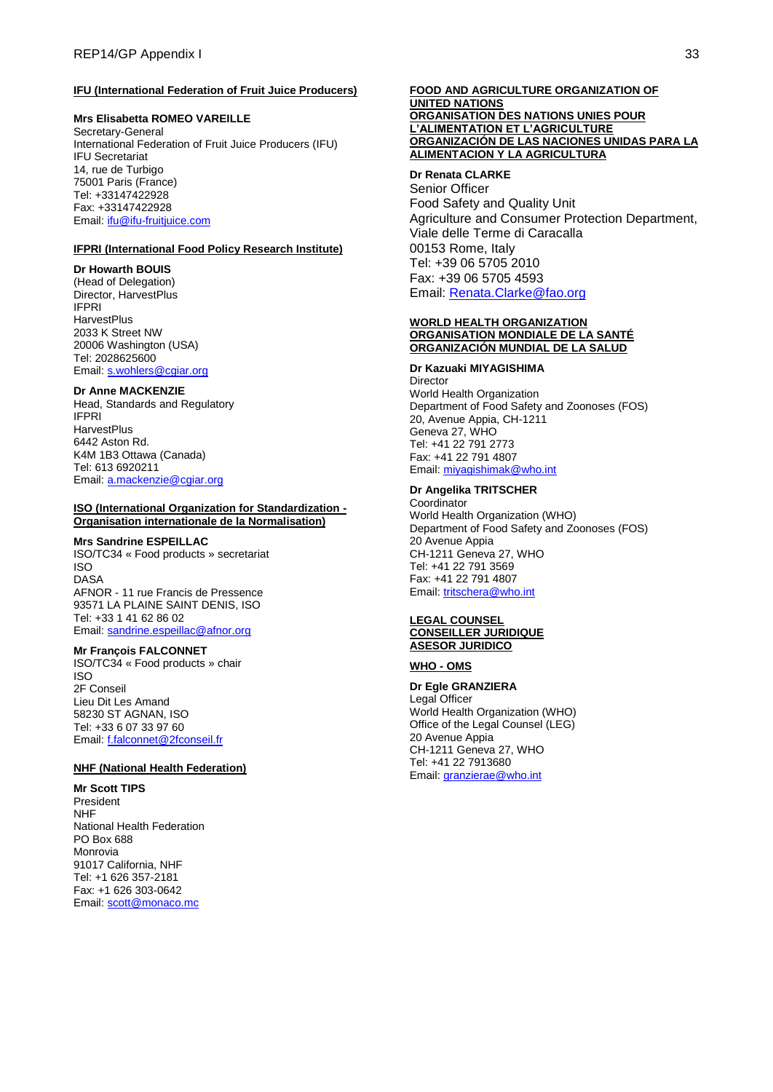### **IFU (International Federation of Fruit Juice Producers)**

### **Mrs Elisabetta ROMEO VAREILLE**

Secretary-General International Federation of Fruit Juice Producers (IFU) IFU Secretariat 14, rue de Turbigo 75001 Paris (France) Tel: +33147422928 Fax: +33147422928 Email[: ifu@ifu-fruitjuice.com](mailto:ifu@ifu-fruitjuice.com)

### **IFPRI (International Food Policy Research Institute)**

### **Dr Howarth BOUIS**

(Head of Delegation) Director, HarvestPlus IFPRI **HarvestPlus** 2033 K Street NW 20006 Washington (USA) Tel: 2028625600 Email[: s.wohlers@cgiar.org](mailto:s.wohlers@cgiar.org)

### **Dr Anne MACKENZIE**

Head, Standards and Regulatory **IFPRI HarvestPlus** 6442 Aston Rd. K4M 1B3 Ottawa (Canada) Tel: 613 6920211 Email: [a.mackenzie@cgiar.org](mailto:a.mackenzie@cgiar.org)

#### **ISO (International Organization for Standardization - Organisation internationale de la Normalisation)**

#### **Mrs Sandrine ESPEILLAC**

ISO/TC34 « Food products » secretariat ISO DASA AFNOR - 11 rue Francis de Pressence 93571 LA PLAINE SAINT DENIS, ISO Tel: +33 1 41 62 86 02 Email[: sandrine.espeillac@afnor.org](mailto:sandrine.espeillac@afnor.org)

#### **Mr François FALCONNET**

ISO/TC34 « Food products » chair ISO 2F Conseil Lieu Dit Les Amand 58230 ST AGNAN, ISO Tel: +33 6 07 33 97 60 Email[: f.falconnet@2fconseil.fr](mailto:f.falconnet@2fconseil.fr)

### **NHF (National Health Federation)**

**Mr Scott TIPS** President NHF National Health Federation PO Box 688 Monrovia 91017 California, NHF Tel: +1 626 357-2181 Fax: +1 626 303-0642 Email[: scott@monaco.mc](mailto:scott@monaco.mc)

#### **FOOD AND AGRICULTURE ORGANIZATION OF UNITED NATIONS ORGANISATION DES NATIONS UNIES POUR L'ALIMENTATION ET L'AGRICULTURE ORGANIZACIÓN DE LAS NACIONES UNIDAS PARA LA ALIMENTACION Y LA AGRICULTURA**

### **Dr Renata CLARKE** Senior Officer Food Safety and Quality Unit Agriculture and Consumer Protection Department,

Viale delle Terme di Caracalla 00153 Rome, Italy Tel: +39 06 5705 2010 Fax: +39 06 5705 4593 Email: [Renata.Clarke@fao.org](mailto:Renata.Clarke@fao.org)

#### **WORLD HEALTH ORGANIZATION ORGANISATION MONDIALE DE LA SANTÉ ORGANIZACIÓN MUNDIAL DE LA SALUD**

#### **Dr Kazuaki MIYAGISHIMA**

Director World Health Organization Department of Food Safety and Zoonoses (FOS) 20, Avenue Appia, CH-1211 Geneva 27, WHO Tel: +41 22 791 2773 Fax: +41 22 791 4807 Email[: miyagishimak@who.int](mailto:miyagishimak@who.int)

## **Dr Angelika TRITSCHER**

**Coordinator** World Health Organization (WHO) Department of Food Safety and Zoonoses (FOS) 20 Avenue Appia CH-1211 Geneva 27, WHO Tel: +41 22 791 3569 Fax: +41 22 791 4807 Email[: tritschera@who.int](mailto:tritschera@who.int)

#### **LEGAL COUNSEL CONSEILLER JURIDIQUE ASESOR JURIDICO**

#### **WHO - OMS**

**Dr Egle GRANZIERA** Legal Officer World Health Organization (WHO) Office of the Legal Counsel (LEG) 20 Avenue Appia CH-1211 Geneva 27, WHO Tel: +41 22 7913680 Email[: granzierae@who.int](mailto:granzierae@who.int)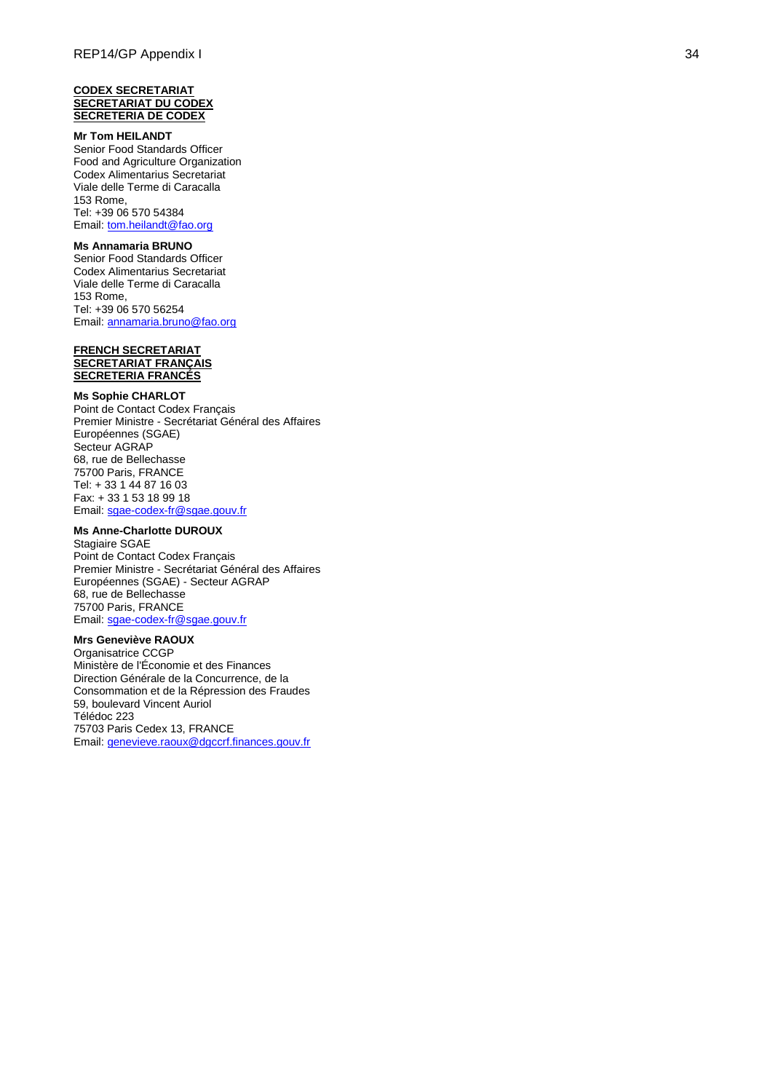#### **CODEX SECRETARIAT SECRETARIAT DU CODEX SECRETERIA DE CODEX**

### **Mr Tom HEILANDT**

Senior Food Standards Officer Food and Agriculture Organization Codex Alimentarius Secretariat Viale delle Terme di Caracalla 153 Rome, Tel: +39 06 570 54384 Email[: tom.heilandt@fao.org](mailto:tom.heilandt@fao.org)

# **Ms Annamaria BRUNO**

Senior Food Standards Officer Codex Alimentarius Secretariat Viale delle Terme di Caracalla 153 Rome, Tel: +39 06 570 56254 Email[: annamaria.bruno@fao.org](mailto:annamaria.bruno@fao.org)

#### **FRENCH SECRETARIAT SECRETARIAT FRANÇAIS SECRETERIA FRANCÉS**

#### **Ms Sophie CHARLOT**

Point de Contact Codex Français Premier Ministre - Secrétariat Général des Affaires Européennes (SGAE) Secteur AGRAP 68, rue de Bellechasse 75700 Paris, FRANCE Tel: + 33 1 44 87 16 03 Fax: + 33 1 53 18 99 18 Email: sgae-codex[-fr@sgae.gouv.fr](mailto:sgae-codex-fr@sgae.gouv.fr)

#### **Ms Anne -Charlotte DUROUX**

Stagiaire SGAE Point de Contact Codex Français Premier Ministre - Secrétariat Général des Affaires Européennes (SGAE) - Secteur AGRAP 68, rue de Bellechasse 75700 Paris, FRANCE Email: sgae-codex[-fr@sgae.gouv.fr](mailto:sgae-codex-fr@sgae.gouv.fr)

# **Mrs Geneviève RAOUX**

Organisatrice CCGP Ministère de l'Économie et des Finances Direction Générale de la Concurrence, de la Consommation et de la Répression des Fraudes 59, boulevard Vincent Auriol Télédoc 223 75703 Paris Cedex 13, FRANCE Email[: genevieve.raoux@dgccrf.finances.gouv.fr](mailto:genevieve.raoux@dgccrf.finances.gouv.fr)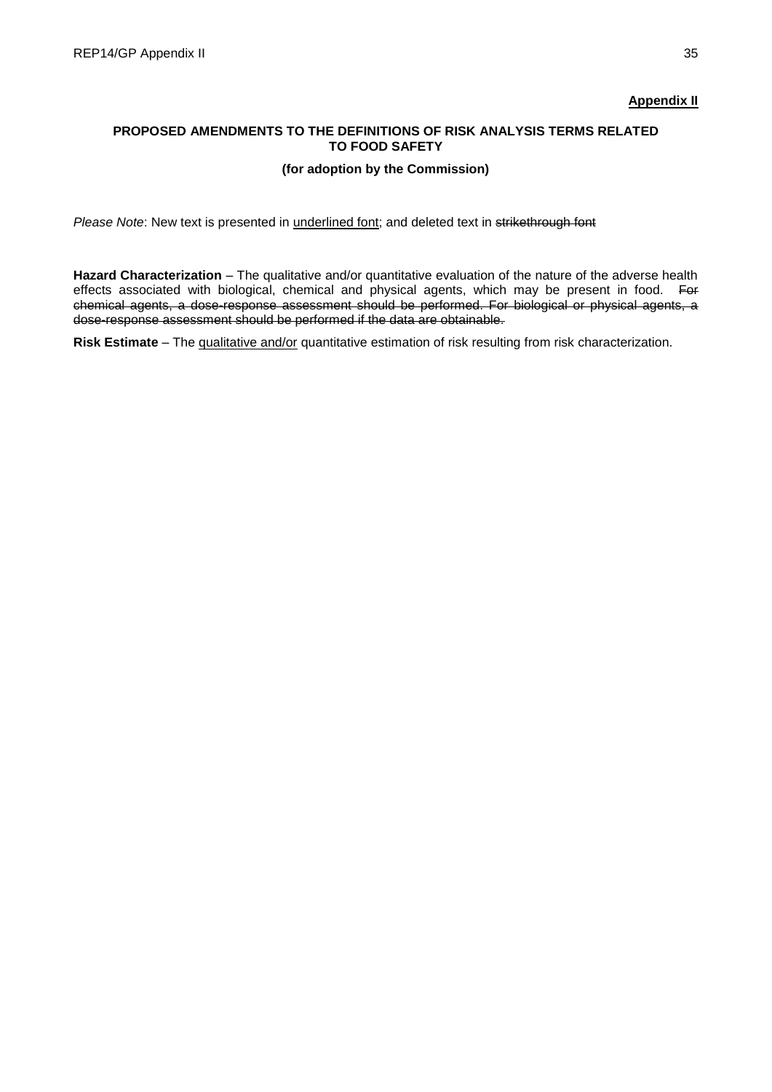# **Appendix II**

# **PROPOSED AMENDMENTS TO THE DEFINITIONS OF RISK ANALYSIS TERMS RELATED TO FOOD SAFETY**

# **(for adoption by the Commission)**

*Please Note*: New text is presented in underlined font; and deleted text in strikethrough font

**Hazard Characterization** – The qualitative and/or quantitative evaluation of the nature of the adverse health effects associated with biological, chemical and physical agents, which may be present in food. For chemical agents, a dose-response assessment should be performed. For biological or physical agents, a dose-response assessment should be performed if the data are obtainable.

**Risk Estimate** – The qualitative and/or quantitative estimation of risk resulting from risk characterization.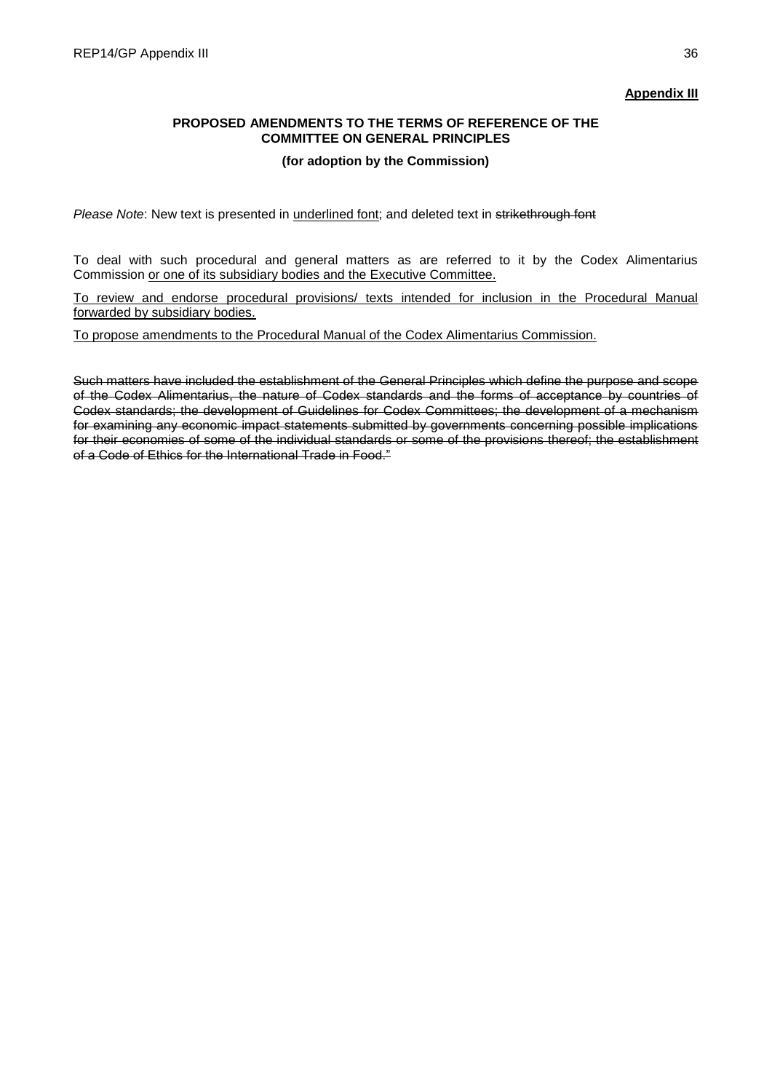# **Appendix III**

# **PROPOSED AMENDMENTS TO THE TERMS OF REFERENCE OF THE COMMITTEE ON GENERAL PRINCIPLES**

## **(for adoption by the Commission)**

*Please Note*: New text is presented in underlined font; and deleted text in strikethrough font

To deal with such procedural and general matters as are referred to it by the Codex Alimentarius Commission or one of its subsidiary bodies and the Executive Committee.

To review and endorse procedural provisions/ texts intended for inclusion in the Procedural Manual forwarded by subsidiary bodies.

To propose amendments to the Procedural Manual of the Codex Alimentarius Commission.

Such matters have included the establishment of the General Principles which define the purpose and scope of the Codex Alimentarius, the nature of Codex standards and the forms of acceptance by countries of Codex standards; the development of Guidelines for Codex Committees; the development of a mechanism for examining any economic impact statements submitted by governments concerning possible implications for their economies of some of the individual standards or some of the provisions thereof; the establishment of a Code of Ethics for the International Trade in Food."